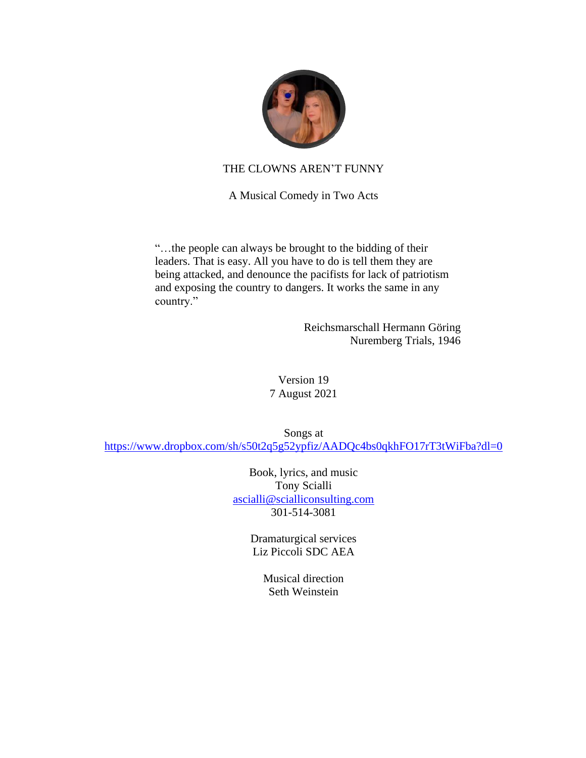

### THE CLOWNS AREN'T FUNNY

A Musical Comedy in Two Acts

"…the people can always be brought to the bidding of their leaders. That is easy. All you have to do is tell them they are being attacked, and denounce the pacifists for lack of patriotism and exposing the country to dangers. It works the same in any country."

> Reichsmarschall Hermann Göring Nuremberg Trials, 1946

Version 19 7 August 2021

Songs at <https://www.dropbox.com/sh/s50t2q5g52ypfiz/AADQc4bs0qkhFO17rT3tWiFba?dl=0>

> Book, lyrics, and music Tony Scialli [ascialli@scialliconsulting.com](mailto:ascialli@scialliconsulting.com) 301-514-3081

> > Dramaturgical services Liz Piccoli SDC AEA

> > > Musical direction Seth Weinstein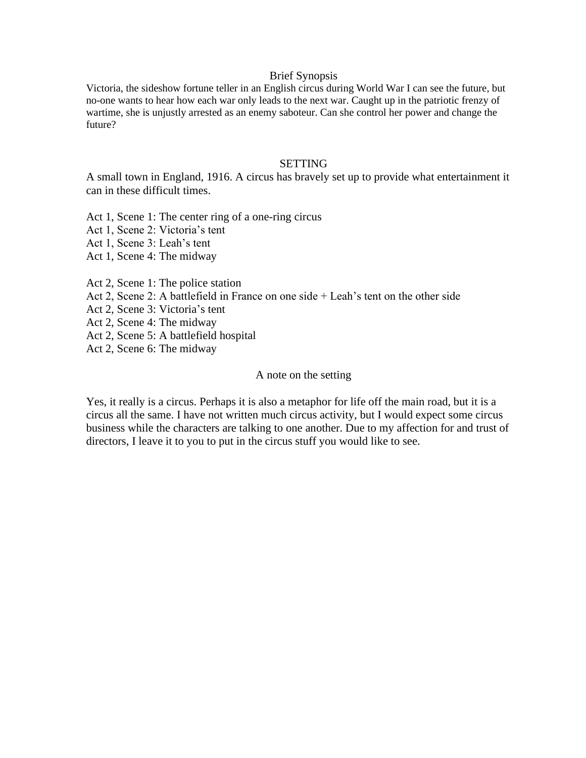#### Brief Synopsis

Victoria, the sideshow fortune teller in an English circus during World War I can see the future, but no-one wants to hear how each war only leads to the next war. Caught up in the patriotic frenzy of wartime, she is unjustly arrested as an enemy saboteur. Can she control her power and change the future?

#### **SETTING**

A small town in England, 1916. A circus has bravely set up to provide what entertainment it can in these difficult times.

Act 1, Scene 1: The center ring of a one-ring circus

Act 1, Scene 2: Victoria's tent

Act 1, Scene 3: Leah's tent

Act 1, Scene 4: The midway

Act 2, Scene 1: The police station

Act 2, Scene 2: A battlefield in France on one side + Leah's tent on the other side

Act 2, Scene 3: Victoria's tent

Act 2, Scene 4: The midway

Act 2, Scene 5: A battlefield hospital

Act 2, Scene 6: The midway

#### A note on the setting

Yes, it really is a circus. Perhaps it is also a metaphor for life off the main road, but it is a circus all the same. I have not written much circus activity, but I would expect some circus business while the characters are talking to one another. Due to my affection for and trust of directors, I leave it to you to put in the circus stuff you would like to see.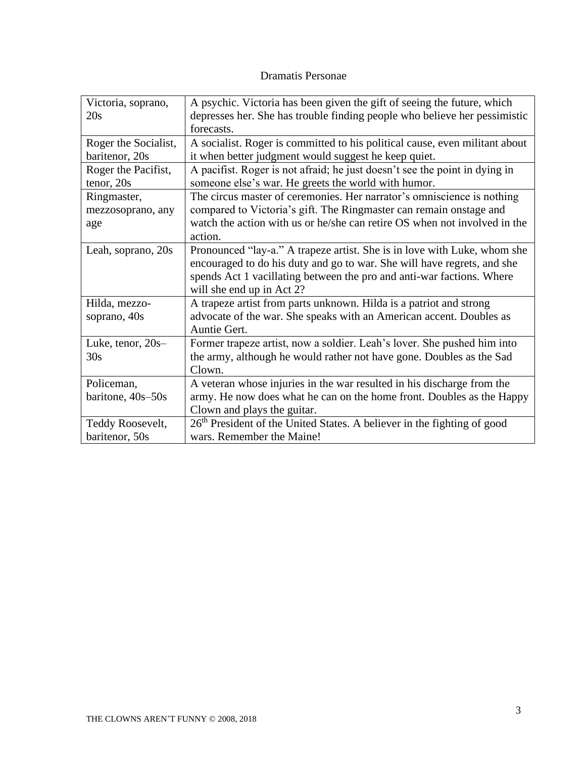## Dramatis Personae

| Victoria, soprano,<br>20s               | A psychic. Victoria has been given the gift of seeing the future, which<br>depresses her. She has trouble finding people who believe her pessimistic<br>forecasts.                                                                                        |
|-----------------------------------------|-----------------------------------------------------------------------------------------------------------------------------------------------------------------------------------------------------------------------------------------------------------|
| Roger the Socialist,                    | A socialist. Roger is committed to his political cause, even militant about                                                                                                                                                                               |
| baritenor, 20s                          | it when better judgment would suggest he keep quiet.                                                                                                                                                                                                      |
| Roger the Pacifist,                     | A pacifist. Roger is not afraid; he just doesn't see the point in dying in                                                                                                                                                                                |
| tenor, 20s                              | someone else's war. He greets the world with humor.                                                                                                                                                                                                       |
| Ringmaster,<br>mezzosoprano, any<br>age | The circus master of ceremonies. Her narrator's omniscience is nothing<br>compared to Victoria's gift. The Ringmaster can remain onstage and<br>watch the action with us or he/she can retire OS when not involved in the<br>action.                      |
| Leah, soprano, 20s                      | Pronounced "lay-a." A trapeze artist. She is in love with Luke, whom she<br>encouraged to do his duty and go to war. She will have regrets, and she<br>spends Act 1 vacillating between the pro and anti-war factions. Where<br>will she end up in Act 2? |
| Hilda, mezzo-                           | A trapeze artist from parts unknown. Hilda is a patriot and strong                                                                                                                                                                                        |
| soprano, 40s                            | advocate of the war. She speaks with an American accent. Doubles as<br>Auntie Gert.                                                                                                                                                                       |
| Luke, tenor, $20s-$                     | Former trapeze artist, now a soldier. Leah's lover. She pushed him into                                                                                                                                                                                   |
| 30s                                     | the army, although he would rather not have gone. Doubles as the Sad                                                                                                                                                                                      |
|                                         | Clown.                                                                                                                                                                                                                                                    |
| Policeman,                              | A veteran whose injuries in the war resulted in his discharge from the                                                                                                                                                                                    |
| baritone, 40s-50s                       | army. He now does what he can on the home front. Doubles as the Happy                                                                                                                                                                                     |
|                                         | Clown and plays the guitar.                                                                                                                                                                                                                               |
| Teddy Roosevelt,                        | 26 <sup>th</sup> President of the United States. A believer in the fighting of good                                                                                                                                                                       |
| baritenor, 50s                          | wars. Remember the Maine!                                                                                                                                                                                                                                 |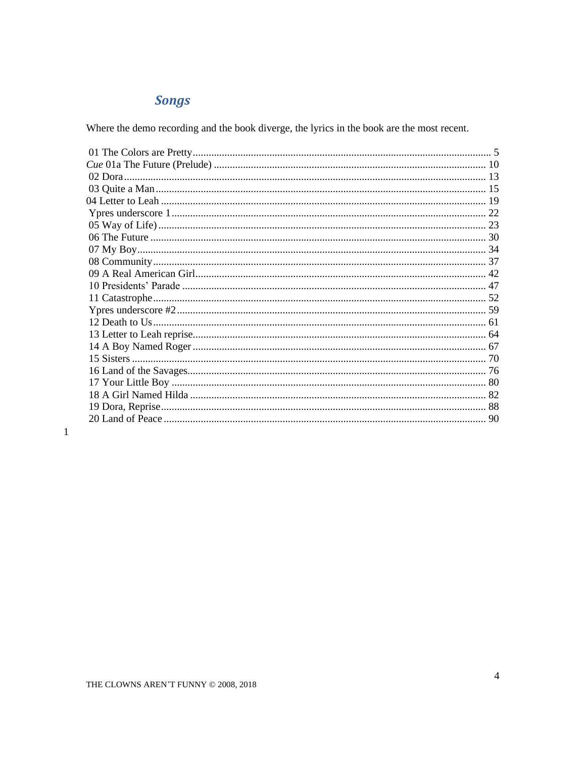# **Songs**

Where the demo recording and the book diverge, the lyrics in the book are the most recent.

 $\mathbf{1}$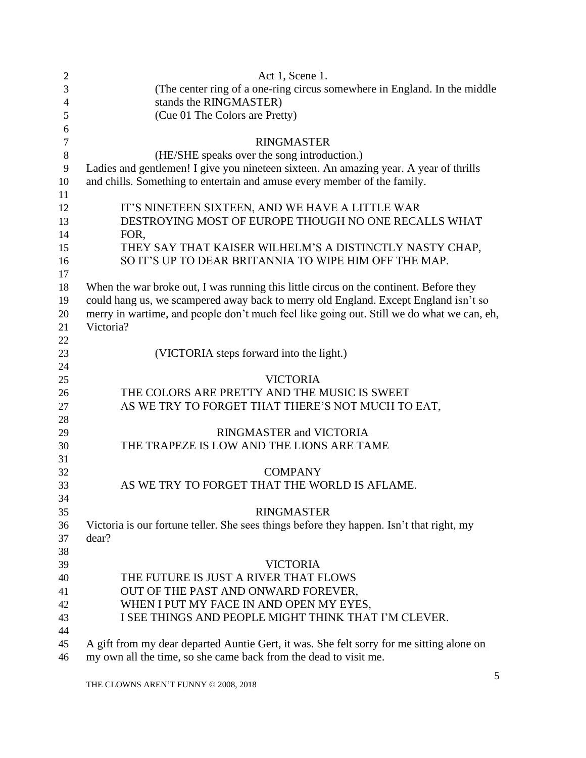<span id="page-4-0"></span>

| $\overline{2}$ | Act 1, Scene 1.                                                                           |
|----------------|-------------------------------------------------------------------------------------------|
| 3              | (The center ring of a one-ring circus somewhere in England. In the middle                 |
| $\overline{4}$ | stands the RINGMASTER)                                                                    |
| 5              | (Cue 01 The Colors are Pretty)                                                            |
| 6              |                                                                                           |
| $\tau$         | <b>RINGMASTER</b>                                                                         |
| $\,8\,$        | (HE/SHE speaks over the song introduction.)                                               |
| 9              | Ladies and gentlemen! I give you nineteen sixteen. An amazing year. A year of thrills     |
| 10             | and chills. Something to entertain and amuse every member of the family.                  |
| 11             |                                                                                           |
| 12             | IT'S NINETEEN SIXTEEN, AND WE HAVE A LITTLE WAR                                           |
| 13             | DESTROYING MOST OF EUROPE THOUGH NO ONE RECALLS WHAT                                      |
| 14             | FOR,                                                                                      |
| 15             | THEY SAY THAT KAISER WILHELM'S A DISTINCTLY NASTY CHAP,                                   |
| 16             | SO IT'S UP TO DEAR BRITANNIA TO WIPE HIM OFF THE MAP.                                     |
| 17             |                                                                                           |
| 18             | When the war broke out, I was running this little circus on the continent. Before they    |
| 19             | could hang us, we scampered away back to merry old England. Except England isn't so       |
| 20             | merry in wartime, and people don't much feel like going out. Still we do what we can, eh, |
| 21             | Victoria?                                                                                 |
| 22             |                                                                                           |
| 23             | (VICTORIA steps forward into the light.)                                                  |
| 24             |                                                                                           |
| 25             | <b>VICTORIA</b>                                                                           |
| 26             | THE COLORS ARE PRETTY AND THE MUSIC IS SWEET                                              |
| 27             | AS WE TRY TO FORGET THAT THERE'S NOT MUCH TO EAT,                                         |
| 28             |                                                                                           |
| 29             | RINGMASTER and VICTORIA                                                                   |
| 30             | THE TRAPEZE IS LOW AND THE LIONS ARE TAME                                                 |
| 31             |                                                                                           |
| 32             | <b>COMPANY</b>                                                                            |
| 33             | AS WE TRY TO FORGET THAT THE WORLD IS AFLAME.                                             |
| 34             |                                                                                           |
| 35             | <b>RINGMASTER</b>                                                                         |
| 36             | Victoria is our fortune teller. She sees things before they happen. Isn't that right, my  |
| 37             | dear?                                                                                     |
| 38             |                                                                                           |
| 39             | <b>VICTORIA</b>                                                                           |
| 40             | THE FUTURE IS JUST A RIVER THAT FLOWS                                                     |
| 41             | OUT OF THE PAST AND ONWARD FOREVER,                                                       |
| 42             | WHEN I PUT MY FACE IN AND OPEN MY EYES,                                                   |
| 43             | I SEE THINGS AND PEOPLE MIGHT THINK THAT I'M CLEVER.                                      |
| 44             |                                                                                           |
| 45             | A gift from my dear departed Auntie Gert, it was. She felt sorry for me sitting alone on  |
| 46             | my own all the time, so she came back from the dead to visit me.                          |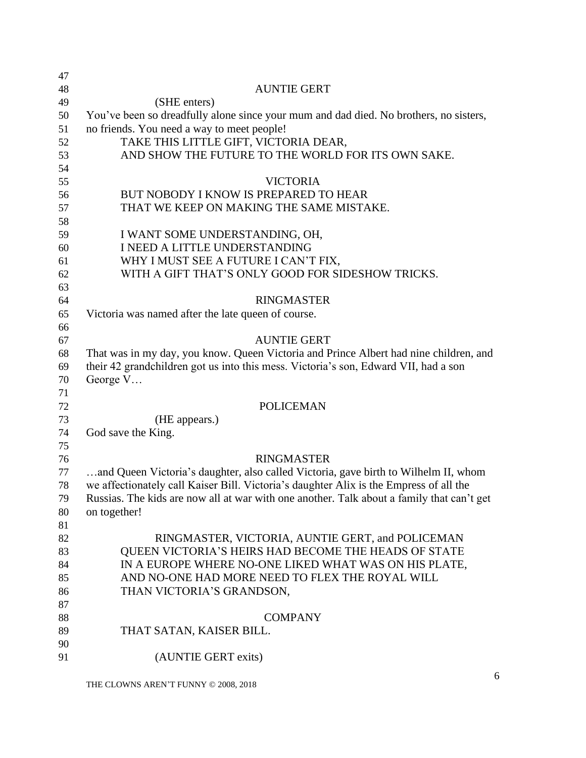| 47 |                                                                                           |
|----|-------------------------------------------------------------------------------------------|
| 48 | <b>AUNTIE GERT</b>                                                                        |
| 49 | (SHE enters)                                                                              |
| 50 | You've been so dreadfully alone since your mum and dad died. No brothers, no sisters,     |
| 51 | no friends. You need a way to meet people!                                                |
| 52 | TAKE THIS LITTLE GIFT, VICTORIA DEAR,                                                     |
| 53 | AND SHOW THE FUTURE TO THE WORLD FOR ITS OWN SAKE.                                        |
| 54 |                                                                                           |
| 55 | <b>VICTORIA</b>                                                                           |
| 56 | BUT NOBODY I KNOW IS PREPARED TO HEAR                                                     |
| 57 | THAT WE KEEP ON MAKING THE SAME MISTAKE.                                                  |
| 58 |                                                                                           |
| 59 | I WANT SOME UNDERSTANDING, OH,                                                            |
| 60 | I NEED A LITTLE UNDERSTANDING                                                             |
| 61 | WHY I MUST SEE A FUTURE I CAN'T FIX,                                                      |
| 62 | WITH A GIFT THAT'S ONLY GOOD FOR SIDESHOW TRICKS.                                         |
| 63 |                                                                                           |
| 64 | <b>RINGMASTER</b>                                                                         |
| 65 | Victoria was named after the late queen of course.                                        |
| 66 |                                                                                           |
| 67 | <b>AUNTIE GERT</b>                                                                        |
| 68 | That was in my day, you know. Queen Victoria and Prince Albert had nine children, and     |
| 69 | their 42 grandchildren got us into this mess. Victoria's son, Edward VII, had a son       |
| 70 | George V                                                                                  |
| 71 |                                                                                           |
| 72 | <b>POLICEMAN</b>                                                                          |
| 73 | (HE appears.)                                                                             |
| 74 | God save the King.                                                                        |
| 75 |                                                                                           |
| 76 | <b>RINGMASTER</b>                                                                         |
| 77 | and Queen Victoria's daughter, also called Victoria, gave birth to Wilhelm II, whom       |
| 78 | we affectionately call Kaiser Bill. Victoria's daughter Alix is the Empress of all the    |
| 79 | Russias. The kids are now all at war with one another. Talk about a family that can't get |
| 80 | on together!                                                                              |
| 81 |                                                                                           |
| 82 | RINGMASTER, VICTORIA, AUNTIE GERT, and POLICEMAN                                          |
| 83 | QUEEN VICTORIA'S HEIRS HAD BECOME THE HEADS OF STATE                                      |
| 84 | IN A EUROPE WHERE NO-ONE LIKED WHAT WAS ON HIS PLATE,                                     |
| 85 | AND NO-ONE HAD MORE NEED TO FLEX THE ROYAL WILL                                           |
| 86 | THAN VICTORIA'S GRANDSON,                                                                 |
| 87 |                                                                                           |
| 88 | <b>COMPANY</b>                                                                            |
| 89 | THAT SATAN, KAISER BILL.                                                                  |
| 90 |                                                                                           |
| 91 | (AUNTIE GERT exits)                                                                       |
|    |                                                                                           |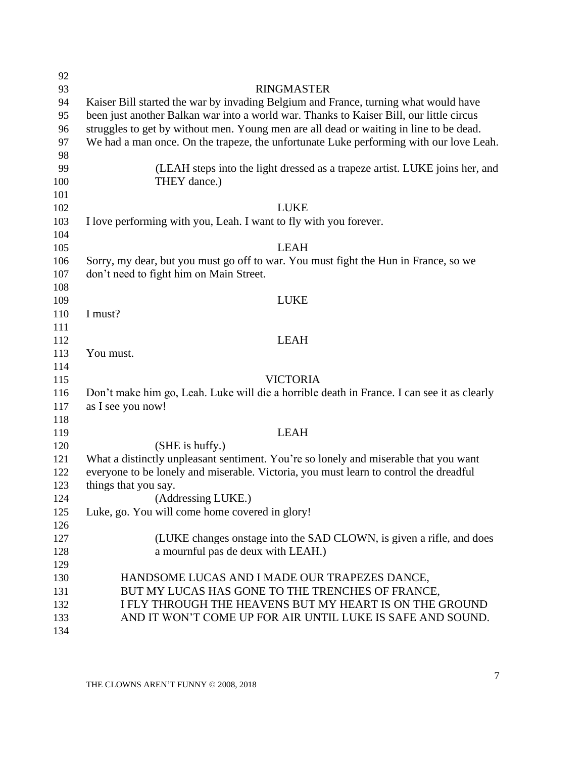| 92  |                                                                                            |
|-----|--------------------------------------------------------------------------------------------|
| 93  | <b>RINGMASTER</b>                                                                          |
| 94  | Kaiser Bill started the war by invading Belgium and France, turning what would have        |
| 95  | been just another Balkan war into a world war. Thanks to Kaiser Bill, our little circus    |
| 96  | struggles to get by without men. Young men are all dead or waiting in line to be dead.     |
| 97  | We had a man once. On the trapeze, the unfortunate Luke performing with our love Leah.     |
| 98  |                                                                                            |
| 99  | (LEAH steps into the light dressed as a trapeze artist. LUKE joins her, and                |
| 100 | THEY dance.)                                                                               |
| 101 |                                                                                            |
| 102 | <b>LUKE</b>                                                                                |
| 103 | I love performing with you, Leah. I want to fly with you forever.                          |
| 104 |                                                                                            |
| 105 | <b>LEAH</b>                                                                                |
| 106 | Sorry, my dear, but you must go off to war. You must fight the Hun in France, so we        |
| 107 | don't need to fight him on Main Street.                                                    |
| 108 |                                                                                            |
| 109 | <b>LUKE</b>                                                                                |
| 110 | I must?                                                                                    |
| 111 |                                                                                            |
| 112 | <b>LEAH</b>                                                                                |
| 113 | You must.                                                                                  |
| 114 |                                                                                            |
| 115 | <b>VICTORIA</b>                                                                            |
| 116 | Don't make him go, Leah. Luke will die a horrible death in France. I can see it as clearly |
| 117 | as I see you now!                                                                          |
| 118 |                                                                                            |
| 119 | <b>LEAH</b>                                                                                |
| 120 | (SHE is huffy.)                                                                            |
| 121 | What a distinctly unpleasant sentiment. You're so lonely and miserable that you want       |
| 122 | everyone to be lonely and miserable. Victoria, you must learn to control the dreadful      |
| 123 | things that you say.                                                                       |
| 124 | (Addressing LUKE.)                                                                         |
| 125 | Luke, go. You will come home covered in glory!                                             |
| 126 |                                                                                            |
| 127 | (LUKE changes on tage into the SAD CLOWN, is given a rifle, and does                       |
| 128 | a mournful pas de deux with LEAH.)                                                         |
| 129 |                                                                                            |
| 130 | HANDSOME LUCAS AND I MADE OUR TRAPEZES DANCE,                                              |
| 131 | BUT MY LUCAS HAS GONE TO THE TRENCHES OF FRANCE,                                           |
| 132 | I FLY THROUGH THE HEAVENS BUT MY HEART IS ON THE GROUND                                    |
| 133 | AND IT WON'T COME UP FOR AIR UNTIL LUKE IS SAFE AND SOUND.                                 |
| 134 |                                                                                            |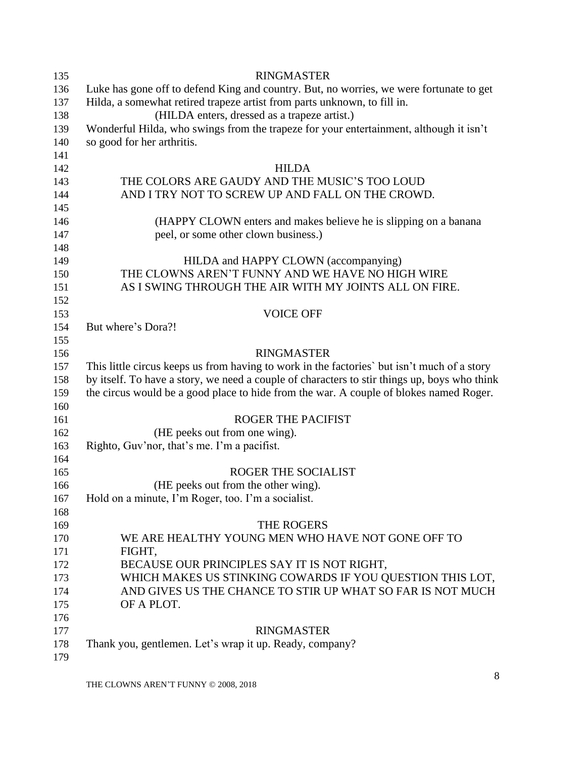| 135 | <b>RINGMASTER</b>                                                                            |
|-----|----------------------------------------------------------------------------------------------|
| 136 | Luke has gone off to defend King and country. But, no worries, we were fortunate to get      |
| 137 | Hilda, a somewhat retired trapeze artist from parts unknown, to fill in.                     |
| 138 | (HILDA enters, dressed as a trapeze artist.)                                                 |
| 139 | Wonderful Hilda, who swings from the trapeze for your entertainment, although it isn't       |
| 140 | so good for her arthritis.                                                                   |
| 141 |                                                                                              |
| 142 | <b>HILDA</b>                                                                                 |
| 143 | THE COLORS ARE GAUDY AND THE MUSIC'S TOO LOUD                                                |
| 144 | AND I TRY NOT TO SCREW UP AND FALL ON THE CROWD.                                             |
| 145 |                                                                                              |
| 146 | (HAPPY CLOWN enters and makes believe he is slipping on a banana                             |
| 147 | peel, or some other clown business.)                                                         |
| 148 |                                                                                              |
| 149 | HILDA and HAPPY CLOWN (accompanying)                                                         |
| 150 | THE CLOWNS AREN'T FUNNY AND WE HAVE NO HIGH WIRE                                             |
| 151 | AS I SWING THROUGH THE AIR WITH MY JOINTS ALL ON FIRE.                                       |
| 152 |                                                                                              |
| 153 | <b>VOICE OFF</b>                                                                             |
| 154 | But where's Dora?!                                                                           |
| 155 |                                                                                              |
| 156 | <b>RINGMASTER</b>                                                                            |
| 157 | This little circus keeps us from having to work in the factories' but isn't much of a story  |
| 158 | by itself. To have a story, we need a couple of characters to stir things up, boys who think |
| 159 | the circus would be a good place to hide from the war. A couple of blokes named Roger.       |
| 160 |                                                                                              |
| 161 | <b>ROGER THE PACIFIST</b>                                                                    |
| 162 | (HE peeks out from one wing).                                                                |
| 163 | Righto, Guv'nor, that's me. I'm a pacifist.                                                  |
| 164 |                                                                                              |
| 165 | ROGER THE SOCIALIST                                                                          |
| 166 | (HE peeks out from the other wing).                                                          |
| 167 | Hold on a minute, I'm Roger, too. I'm a socialist.                                           |
| 168 |                                                                                              |
| 169 | THE ROGERS                                                                                   |
| 170 | WE ARE HEALTHY YOUNG MEN WHO HAVE NOT GONE OFF TO                                            |
| 171 | FIGHT,                                                                                       |
| 172 | BECAUSE OUR PRINCIPLES SAY IT IS NOT RIGHT,                                                  |
| 173 | WHICH MAKES US STINKING COWARDS IF YOU QUESTION THIS LOT,                                    |
| 174 | AND GIVES US THE CHANCE TO STIR UP WHAT SO FAR IS NOT MUCH                                   |
| 175 | OF A PLOT.                                                                                   |
| 176 |                                                                                              |
| 177 | <b>RINGMASTER</b>                                                                            |
| 178 | Thank you, gentlemen. Let's wrap it up. Ready, company?                                      |
| 179 |                                                                                              |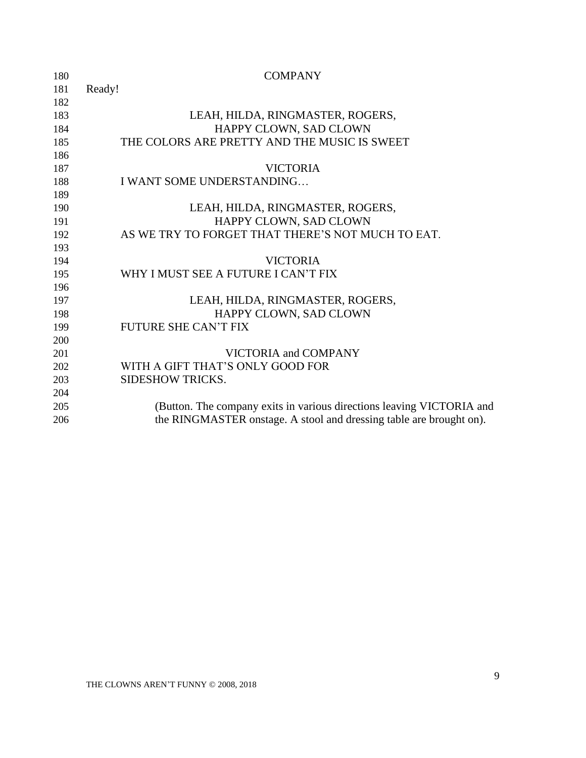| 180 | <b>COMPANY</b>                                                        |
|-----|-----------------------------------------------------------------------|
| 181 | Ready!                                                                |
| 182 |                                                                       |
| 183 | LEAH, HILDA, RINGMASTER, ROGERS,                                      |
| 184 | HAPPY CLOWN, SAD CLOWN                                                |
| 185 | THE COLORS ARE PRETTY AND THE MUSIC IS SWEET                          |
| 186 |                                                                       |
| 187 | <b>VICTORIA</b>                                                       |
| 188 | I WANT SOME UNDERSTANDING                                             |
| 189 |                                                                       |
| 190 | LEAH, HILDA, RINGMASTER, ROGERS,                                      |
| 191 | HAPPY CLOWN, SAD CLOWN                                                |
| 192 | AS WE TRY TO FORGET THAT THERE'S NOT MUCH TO EAT.                     |
| 193 |                                                                       |
| 194 | <b>VICTORIA</b>                                                       |
| 195 | WHY I MUST SEE A FUTURE I CAN'T FIX                                   |
| 196 |                                                                       |
| 197 | LEAH, HILDA, RINGMASTER, ROGERS,                                      |
| 198 | HAPPY CLOWN, SAD CLOWN                                                |
| 199 | <b>FUTURE SHE CAN'T FIX</b>                                           |
| 200 |                                                                       |
| 201 | VICTORIA and COMPANY                                                  |
| 202 | WITH A GIFT THAT'S ONLY GOOD FOR                                      |
| 203 | <b>SIDESHOW TRICKS.</b>                                               |
| 204 |                                                                       |
| 205 | (Button. The company exits in various directions leaving VICTORIA and |
| 206 | the RINGMASTER onstage. A stool and dressing table are brought on).   |
|     |                                                                       |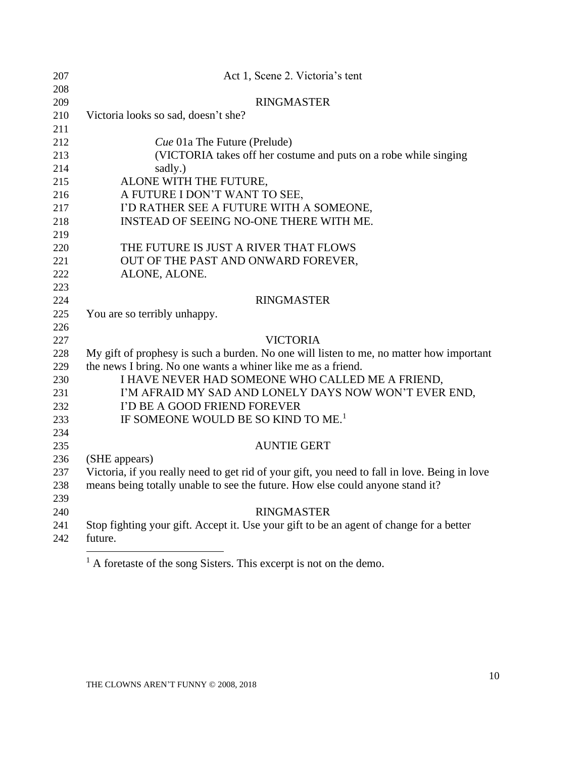<span id="page-9-0"></span>

| 207        | Act 1, Scene 2. Victoria's tent                                                               |
|------------|-----------------------------------------------------------------------------------------------|
| 208        |                                                                                               |
| 209        | <b>RINGMASTER</b>                                                                             |
| 210        | Victoria looks so sad, doesn't she?                                                           |
| 211        |                                                                                               |
| 212        | Cue 01a The Future (Prelude)                                                                  |
| 213        | (VICTORIA takes off her costume and puts on a robe while singing                              |
| 214        | sadly.)                                                                                       |
| 215        | ALONE WITH THE FUTURE,                                                                        |
| 216        | A FUTURE I DON'T WANT TO SEE,                                                                 |
| 217        | I'D RATHER SEE A FUTURE WITH A SOMEONE,                                                       |
| 218        | INSTEAD OF SEEING NO-ONE THERE WITH ME.                                                       |
| 219        |                                                                                               |
| 220        | THE FUTURE IS JUST A RIVER THAT FLOWS                                                         |
| 221        | OUT OF THE PAST AND ONWARD FOREVER,                                                           |
| 222        | ALONE, ALONE.                                                                                 |
| 223        |                                                                                               |
| 224        | <b>RINGMASTER</b>                                                                             |
| 225        | You are so terribly unhappy.                                                                  |
| 226<br>227 | <b>VICTORIA</b>                                                                               |
| 228        | My gift of prophesy is such a burden. No one will listen to me, no matter how important       |
| 229        | the news I bring. No one wants a whiner like me as a friend.                                  |
| 230        | I HAVE NEVER HAD SOMEONE WHO CALLED ME A FRIEND,                                              |
| 231        | I'M AFRAID MY SAD AND LONELY DAYS NOW WON'T EVER END,                                         |
| 232        | I'D BE A GOOD FRIEND FOREVER                                                                  |
| 233        | IF SOMEONE WOULD BE SO KIND TO ME. <sup>1</sup>                                               |
| 234        |                                                                                               |
| 235        | <b>AUNTIE GERT</b>                                                                            |
| 236        | (SHE appears)                                                                                 |
| 237        | Victoria, if you really need to get rid of your gift, you need to fall in love. Being in love |
| 238        | means being totally unable to see the future. How else could anyone stand it?                 |
| 239        |                                                                                               |
| 240        | <b>RINGMASTER</b>                                                                             |
| 241        | Stop fighting your gift. Accept it. Use your gift to be an agent of change for a better       |
| 242        | future.                                                                                       |
|            |                                                                                               |

 $<sup>1</sup>$  A foretaste of the song Sisters. This excerpt is not on the demo.</sup>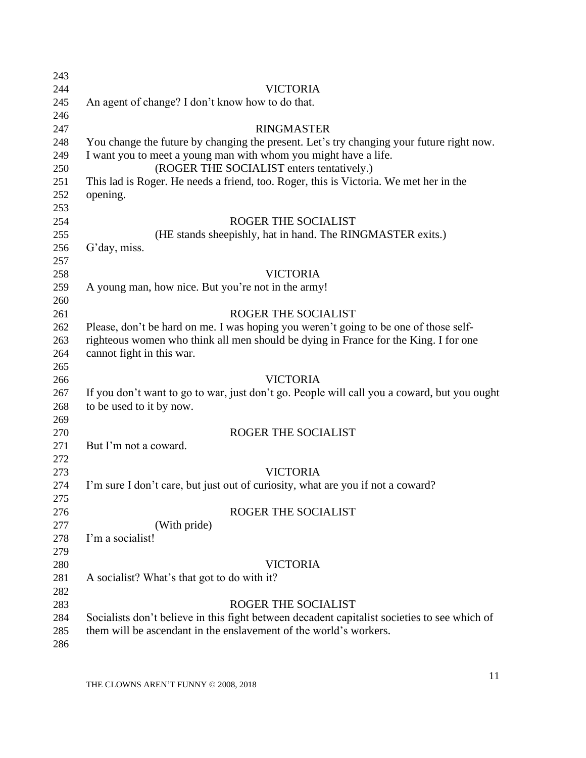| 243 |                                                                                              |
|-----|----------------------------------------------------------------------------------------------|
| 244 | <b>VICTORIA</b>                                                                              |
| 245 | An agent of change? I don't know how to do that.                                             |
| 246 |                                                                                              |
| 247 | <b>RINGMASTER</b>                                                                            |
| 248 | You change the future by changing the present. Let's try changing your future right now.     |
| 249 | I want you to meet a young man with whom you might have a life.                              |
| 250 | (ROGER THE SOCIALIST enters tentatively.)                                                    |
| 251 | This lad is Roger. He needs a friend, too. Roger, this is Victoria. We met her in the        |
| 252 | opening.                                                                                     |
| 253 |                                                                                              |
| 254 | ROGER THE SOCIALIST                                                                          |
| 255 | (HE stands sheepishly, hat in hand. The RINGMASTER exits.)                                   |
| 256 | G'day, miss.                                                                                 |
| 257 |                                                                                              |
| 258 | <b>VICTORIA</b>                                                                              |
| 259 | A young man, how nice. But you're not in the army!                                           |
| 260 |                                                                                              |
| 261 | ROGER THE SOCIALIST                                                                          |
| 262 | Please, don't be hard on me. I was hoping you weren't going to be one of those self-         |
| 263 | righteous women who think all men should be dying in France for the King. I for one          |
| 264 | cannot fight in this war.                                                                    |
| 265 |                                                                                              |
| 266 | <b>VICTORIA</b>                                                                              |
| 267 | If you don't want to go to war, just don't go. People will call you a coward, but you ought  |
| 268 | to be used to it by now.                                                                     |
| 269 |                                                                                              |
| 270 | ROGER THE SOCIALIST                                                                          |
| 271 | But I'm not a coward.                                                                        |
| 272 |                                                                                              |
| 273 | <b>VICTORIA</b>                                                                              |
| 274 | I'm sure I don't care, but just out of curiosity, what are you if not a coward?              |
| 275 |                                                                                              |
| 276 | ROGER THE SOCIALIST                                                                          |
| 277 | (With pride)                                                                                 |
| 278 | I'm a socialist!                                                                             |
| 279 |                                                                                              |
| 280 | <b>VICTORIA</b>                                                                              |
| 281 | A socialist? What's that got to do with it?                                                  |
| 282 |                                                                                              |
| 283 | ROGER THE SOCIALIST                                                                          |
| 284 | Socialists don't believe in this fight between decadent capitalist societies to see which of |
| 285 | them will be ascendant in the enslavement of the world's workers.                            |
| 286 |                                                                                              |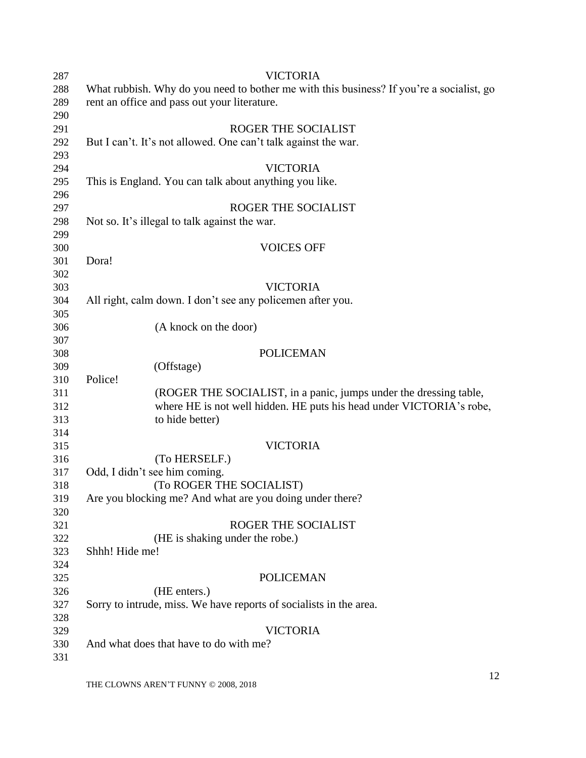| 287 | <b>VICTORIA</b>                                                                          |
|-----|------------------------------------------------------------------------------------------|
| 288 | What rubbish. Why do you need to bother me with this business? If you're a socialist, go |
| 289 | rent an office and pass out your literature.                                             |
| 290 |                                                                                          |
| 291 | ROGER THE SOCIALIST                                                                      |
| 292 | But I can't. It's not allowed. One can't talk against the war.                           |
| 293 |                                                                                          |
| 294 | <b>VICTORIA</b>                                                                          |
| 295 | This is England. You can talk about anything you like.                                   |
| 296 |                                                                                          |
| 297 | ROGER THE SOCIALIST                                                                      |
| 298 | Not so. It's illegal to talk against the war.                                            |
| 299 |                                                                                          |
| 300 | <b>VOICES OFF</b>                                                                        |
| 301 | Dora!                                                                                    |
| 302 |                                                                                          |
| 303 | <b>VICTORIA</b>                                                                          |
| 304 | All right, calm down. I don't see any policemen after you.                               |
| 305 |                                                                                          |
| 306 | (A knock on the door)                                                                    |
| 307 |                                                                                          |
| 308 | <b>POLICEMAN</b>                                                                         |
| 309 | (Offstage)                                                                               |
| 310 | Police!                                                                                  |
| 311 | (ROGER THE SOCIALIST, in a panic, jumps under the dressing table,                        |
| 312 | where HE is not well hidden. HE puts his head under VICTORIA's robe,                     |
| 313 | to hide better)                                                                          |
| 314 |                                                                                          |
| 315 | <b>VICTORIA</b>                                                                          |
| 316 | (To HERSELF.)                                                                            |
| 317 | Odd, I didn't see him coming.                                                            |
| 318 | (To ROGER THE SOCIALIST)                                                                 |
| 319 | Are you blocking me? And what are you doing under there?                                 |
| 320 |                                                                                          |
| 321 | ROGER THE SOCIALIST                                                                      |
| 322 | (HE is shaking under the robe.)                                                          |
| 323 | Shhh! Hide me!                                                                           |
| 324 |                                                                                          |
| 325 | <b>POLICEMAN</b>                                                                         |
| 326 | (HE enters.)                                                                             |
| 327 | Sorry to intrude, miss. We have reports of socialists in the area.                       |
| 328 |                                                                                          |
| 329 | <b>VICTORIA</b>                                                                          |
| 330 | And what does that have to do with me?                                                   |
| 331 |                                                                                          |
|     |                                                                                          |

THE CLOWNS AREN'T FUNNY © 2008, 2018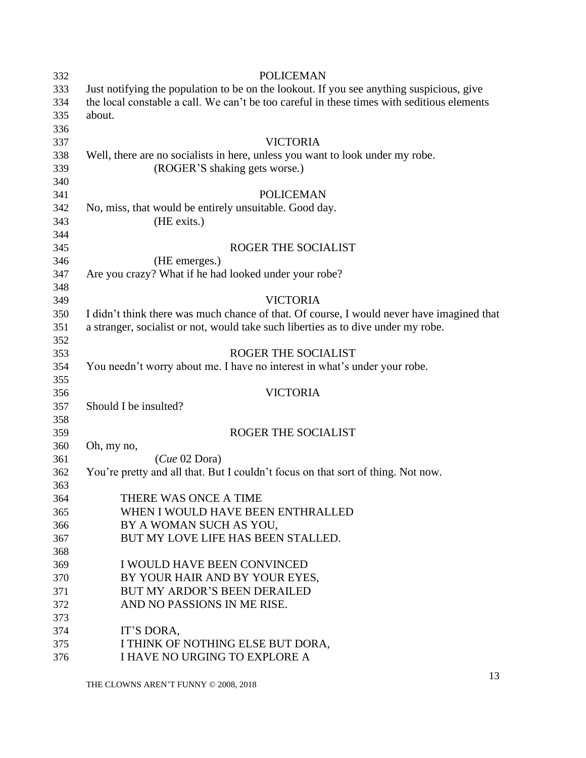<span id="page-12-0"></span>

| Just notifying the population to be on the lookout. If you see anything suspicious, give<br>333<br>the local constable a call. We can't be too careful in these times with seditious elements<br>334<br>about.<br>335<br>336<br>337<br>VICTORIA<br>338<br>Well, there are no socialists in here, unless you want to look under my robe.<br>(ROGER'S shaking gets worse.)<br>339<br>340<br>341<br><b>POLICEMAN</b><br>342<br>No, miss, that would be entirely unsuitable. Good day.<br>343<br>(HE exits.)<br>344<br>ROGER THE SOCIALIST<br>345<br>(HE emerges.)<br>346<br>Are you crazy? What if he had looked under your robe?<br>347<br>348<br><b>VICTORIA</b><br>349<br>I didn't think there was much chance of that. Of course, I would never have imagined that<br>350<br>351<br>a stranger, socialist or not, would take such liberties as to dive under my robe.<br>352<br>ROGER THE SOCIALIST<br>353<br>You needn't worry about me. I have no interest in what's under your robe.<br>354<br>355<br><b>VICTORIA</b><br>356 |  |
|----------------------------------------------------------------------------------------------------------------------------------------------------------------------------------------------------------------------------------------------------------------------------------------------------------------------------------------------------------------------------------------------------------------------------------------------------------------------------------------------------------------------------------------------------------------------------------------------------------------------------------------------------------------------------------------------------------------------------------------------------------------------------------------------------------------------------------------------------------------------------------------------------------------------------------------------------------------------------------------------------------------------------------|--|
|                                                                                                                                                                                                                                                                                                                                                                                                                                                                                                                                                                                                                                                                                                                                                                                                                                                                                                                                                                                                                                  |  |
|                                                                                                                                                                                                                                                                                                                                                                                                                                                                                                                                                                                                                                                                                                                                                                                                                                                                                                                                                                                                                                  |  |
|                                                                                                                                                                                                                                                                                                                                                                                                                                                                                                                                                                                                                                                                                                                                                                                                                                                                                                                                                                                                                                  |  |
|                                                                                                                                                                                                                                                                                                                                                                                                                                                                                                                                                                                                                                                                                                                                                                                                                                                                                                                                                                                                                                  |  |
|                                                                                                                                                                                                                                                                                                                                                                                                                                                                                                                                                                                                                                                                                                                                                                                                                                                                                                                                                                                                                                  |  |
|                                                                                                                                                                                                                                                                                                                                                                                                                                                                                                                                                                                                                                                                                                                                                                                                                                                                                                                                                                                                                                  |  |
|                                                                                                                                                                                                                                                                                                                                                                                                                                                                                                                                                                                                                                                                                                                                                                                                                                                                                                                                                                                                                                  |  |
|                                                                                                                                                                                                                                                                                                                                                                                                                                                                                                                                                                                                                                                                                                                                                                                                                                                                                                                                                                                                                                  |  |
|                                                                                                                                                                                                                                                                                                                                                                                                                                                                                                                                                                                                                                                                                                                                                                                                                                                                                                                                                                                                                                  |  |
|                                                                                                                                                                                                                                                                                                                                                                                                                                                                                                                                                                                                                                                                                                                                                                                                                                                                                                                                                                                                                                  |  |
|                                                                                                                                                                                                                                                                                                                                                                                                                                                                                                                                                                                                                                                                                                                                                                                                                                                                                                                                                                                                                                  |  |
|                                                                                                                                                                                                                                                                                                                                                                                                                                                                                                                                                                                                                                                                                                                                                                                                                                                                                                                                                                                                                                  |  |
|                                                                                                                                                                                                                                                                                                                                                                                                                                                                                                                                                                                                                                                                                                                                                                                                                                                                                                                                                                                                                                  |  |
|                                                                                                                                                                                                                                                                                                                                                                                                                                                                                                                                                                                                                                                                                                                                                                                                                                                                                                                                                                                                                                  |  |
|                                                                                                                                                                                                                                                                                                                                                                                                                                                                                                                                                                                                                                                                                                                                                                                                                                                                                                                                                                                                                                  |  |
|                                                                                                                                                                                                                                                                                                                                                                                                                                                                                                                                                                                                                                                                                                                                                                                                                                                                                                                                                                                                                                  |  |
|                                                                                                                                                                                                                                                                                                                                                                                                                                                                                                                                                                                                                                                                                                                                                                                                                                                                                                                                                                                                                                  |  |
|                                                                                                                                                                                                                                                                                                                                                                                                                                                                                                                                                                                                                                                                                                                                                                                                                                                                                                                                                                                                                                  |  |
|                                                                                                                                                                                                                                                                                                                                                                                                                                                                                                                                                                                                                                                                                                                                                                                                                                                                                                                                                                                                                                  |  |
|                                                                                                                                                                                                                                                                                                                                                                                                                                                                                                                                                                                                                                                                                                                                                                                                                                                                                                                                                                                                                                  |  |
|                                                                                                                                                                                                                                                                                                                                                                                                                                                                                                                                                                                                                                                                                                                                                                                                                                                                                                                                                                                                                                  |  |
|                                                                                                                                                                                                                                                                                                                                                                                                                                                                                                                                                                                                                                                                                                                                                                                                                                                                                                                                                                                                                                  |  |
|                                                                                                                                                                                                                                                                                                                                                                                                                                                                                                                                                                                                                                                                                                                                                                                                                                                                                                                                                                                                                                  |  |
|                                                                                                                                                                                                                                                                                                                                                                                                                                                                                                                                                                                                                                                                                                                                                                                                                                                                                                                                                                                                                                  |  |
| Should I be insulted?<br>357                                                                                                                                                                                                                                                                                                                                                                                                                                                                                                                                                                                                                                                                                                                                                                                                                                                                                                                                                                                                     |  |
| 358                                                                                                                                                                                                                                                                                                                                                                                                                                                                                                                                                                                                                                                                                                                                                                                                                                                                                                                                                                                                                              |  |
| ROGER THE SOCIALIST<br>359                                                                                                                                                                                                                                                                                                                                                                                                                                                                                                                                                                                                                                                                                                                                                                                                                                                                                                                                                                                                       |  |
| Oh, my no,<br>360                                                                                                                                                                                                                                                                                                                                                                                                                                                                                                                                                                                                                                                                                                                                                                                                                                                                                                                                                                                                                |  |
| (Cue 02 Dora)<br>361                                                                                                                                                                                                                                                                                                                                                                                                                                                                                                                                                                                                                                                                                                                                                                                                                                                                                                                                                                                                             |  |
| You're pretty and all that. But I couldn't focus on that sort of thing. Not now.<br>362                                                                                                                                                                                                                                                                                                                                                                                                                                                                                                                                                                                                                                                                                                                                                                                                                                                                                                                                          |  |
| 363                                                                                                                                                                                                                                                                                                                                                                                                                                                                                                                                                                                                                                                                                                                                                                                                                                                                                                                                                                                                                              |  |
| THERE WAS ONCE A TIME<br>364                                                                                                                                                                                                                                                                                                                                                                                                                                                                                                                                                                                                                                                                                                                                                                                                                                                                                                                                                                                                     |  |
| WHEN I WOULD HAVE BEEN ENTHRALLED<br>365                                                                                                                                                                                                                                                                                                                                                                                                                                                                                                                                                                                                                                                                                                                                                                                                                                                                                                                                                                                         |  |
| BY A WOMAN SUCH AS YOU,<br>366                                                                                                                                                                                                                                                                                                                                                                                                                                                                                                                                                                                                                                                                                                                                                                                                                                                                                                                                                                                                   |  |
| BUT MY LOVE LIFE HAS BEEN STALLED.<br>367                                                                                                                                                                                                                                                                                                                                                                                                                                                                                                                                                                                                                                                                                                                                                                                                                                                                                                                                                                                        |  |
| 368                                                                                                                                                                                                                                                                                                                                                                                                                                                                                                                                                                                                                                                                                                                                                                                                                                                                                                                                                                                                                              |  |
| I WOULD HAVE BEEN CONVINCED<br>369                                                                                                                                                                                                                                                                                                                                                                                                                                                                                                                                                                                                                                                                                                                                                                                                                                                                                                                                                                                               |  |
| BY YOUR HAIR AND BY YOUR EYES,<br>370                                                                                                                                                                                                                                                                                                                                                                                                                                                                                                                                                                                                                                                                                                                                                                                                                                                                                                                                                                                            |  |
| <b>BUT MY ARDOR'S BEEN DERAILED</b><br>371                                                                                                                                                                                                                                                                                                                                                                                                                                                                                                                                                                                                                                                                                                                                                                                                                                                                                                                                                                                       |  |
| AND NO PASSIONS IN ME RISE.<br>372                                                                                                                                                                                                                                                                                                                                                                                                                                                                                                                                                                                                                                                                                                                                                                                                                                                                                                                                                                                               |  |
| 373                                                                                                                                                                                                                                                                                                                                                                                                                                                                                                                                                                                                                                                                                                                                                                                                                                                                                                                                                                                                                              |  |
| IT'S DORA,<br>374                                                                                                                                                                                                                                                                                                                                                                                                                                                                                                                                                                                                                                                                                                                                                                                                                                                                                                                                                                                                                |  |
| I THINK OF NOTHING ELSE BUT DORA,<br>375                                                                                                                                                                                                                                                                                                                                                                                                                                                                                                                                                                                                                                                                                                                                                                                                                                                                                                                                                                                         |  |
| I HAVE NO URGING TO EXPLORE A<br>376                                                                                                                                                                                                                                                                                                                                                                                                                                                                                                                                                                                                                                                                                                                                                                                                                                                                                                                                                                                             |  |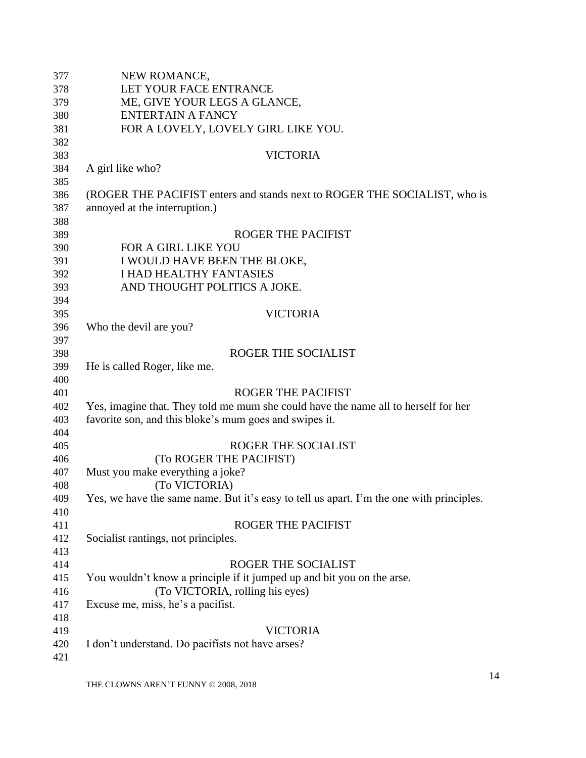| 377 | NEW ROMANCE,                                                                             |
|-----|------------------------------------------------------------------------------------------|
| 378 | LET YOUR FACE ENTRANCE                                                                   |
| 379 | ME, GIVE YOUR LEGS A GLANCE,                                                             |
| 380 | <b>ENTERTAIN A FANCY</b>                                                                 |
| 381 | FOR A LOVELY, LOVELY GIRL LIKE YOU.                                                      |
| 382 |                                                                                          |
| 383 | <b>VICTORIA</b>                                                                          |
| 384 | A girl like who?                                                                         |
| 385 |                                                                                          |
| 386 | (ROGER THE PACIFIST enters and stands next to ROGER THE SOCIALIST, who is                |
| 387 | annoyed at the interruption.)                                                            |
| 388 |                                                                                          |
| 389 | <b>ROGER THE PACIFIST</b>                                                                |
| 390 | <b>FOR A GIRL LIKE YOU</b>                                                               |
| 391 | I WOULD HAVE BEEN THE BLOKE,                                                             |
| 392 | <b>I HAD HEALTHY FANTASIES</b>                                                           |
| 393 | AND THOUGHT POLITICS A JOKE.                                                             |
| 394 |                                                                                          |
| 395 | <b>VICTORIA</b>                                                                          |
| 396 | Who the devil are you?                                                                   |
| 397 |                                                                                          |
| 398 | <b>ROGER THE SOCIALIST</b>                                                               |
| 399 | He is called Roger, like me.                                                             |
| 400 |                                                                                          |
| 401 | <b>ROGER THE PACIFIST</b>                                                                |
| 402 | Yes, imagine that. They told me mum she could have the name all to herself for her       |
| 403 | favorite son, and this bloke's mum goes and swipes it.                                   |
| 404 |                                                                                          |
| 405 | <b>ROGER THE SOCIALIST</b>                                                               |
| 406 | (To ROGER THE PACIFIST)                                                                  |
| 407 | Must you make everything a joke?                                                         |
| 408 | (To VICTORIA)                                                                            |
| 409 | Yes, we have the same name. But it's easy to tell us apart. I'm the one with principles. |
| 410 |                                                                                          |
| 411 | <b>ROGER THE PACIFIST</b>                                                                |
| 412 | Socialist rantings, not principles.                                                      |
| 413 |                                                                                          |
| 414 | ROGER THE SOCIALIST                                                                      |
| 415 | You wouldn't know a principle if it jumped up and bit you on the arse.                   |
| 416 | (To VICTORIA, rolling his eyes)                                                          |
| 417 | Excuse me, miss, he's a pacifist.                                                        |
| 418 |                                                                                          |
| 419 | <b>VICTORIA</b>                                                                          |
| 420 | I don't understand. Do pacifists not have arses?                                         |
| 421 |                                                                                          |
|     |                                                                                          |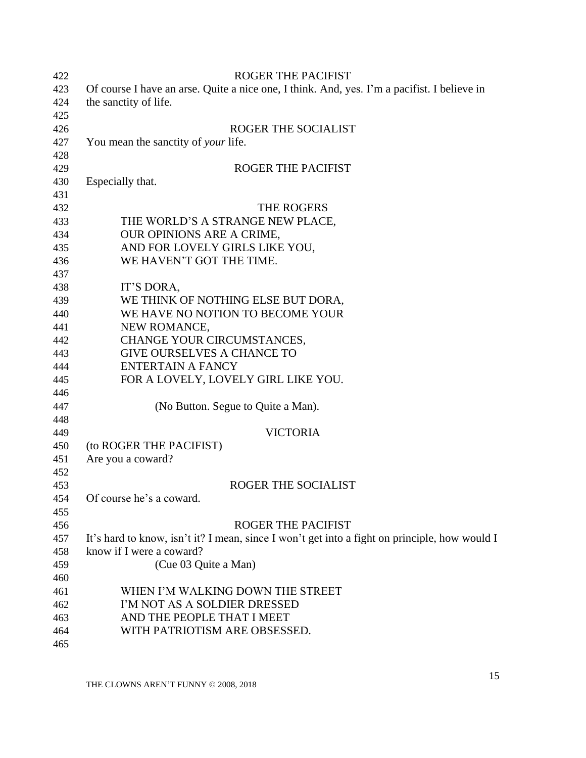<span id="page-14-0"></span>

| 422 | <b>ROGER THE PACIFIST</b>                                                                     |
|-----|-----------------------------------------------------------------------------------------------|
| 423 | Of course I have an arse. Quite a nice one, I think. And, yes. I'm a pacifist. I believe in   |
| 424 | the sanctity of life.                                                                         |
| 425 |                                                                                               |
| 426 | ROGER THE SOCIALIST                                                                           |
| 427 | You mean the sanctity of <i>your</i> life.                                                    |
| 428 |                                                                                               |
| 429 | <b>ROGER THE PACIFIST</b>                                                                     |
| 430 | Especially that.                                                                              |
| 431 |                                                                                               |
| 432 | THE ROGERS                                                                                    |
| 433 | THE WORLD'S A STRANGE NEW PLACE,                                                              |
| 434 | OUR OPINIONS ARE A CRIME,                                                                     |
| 435 | AND FOR LOVELY GIRLS LIKE YOU,                                                                |
| 436 | WE HAVEN'T GOT THE TIME.                                                                      |
| 437 |                                                                                               |
| 438 | IT'S DORA,                                                                                    |
| 439 | WE THINK OF NOTHING ELSE BUT DORA,                                                            |
| 440 | WE HAVE NO NOTION TO BECOME YOUR                                                              |
| 441 | NEW ROMANCE,                                                                                  |
| 442 | CHANGE YOUR CIRCUMSTANCES,                                                                    |
| 443 | <b>GIVE OURSELVES A CHANCE TO</b>                                                             |
| 444 | <b>ENTERTAIN A FANCY</b>                                                                      |
| 445 | FOR A LOVELY, LOVELY GIRL LIKE YOU.                                                           |
| 446 |                                                                                               |
| 447 | (No Button. Segue to Quite a Man).                                                            |
| 448 |                                                                                               |
| 449 | <b>VICTORIA</b>                                                                               |
| 450 | (to ROGER THE PACIFIST)                                                                       |
| 451 | Are you a coward?                                                                             |
| 452 |                                                                                               |
| 453 | ROGER THE SOCIALIST                                                                           |
| 454 | Of course he's a coward                                                                       |
| 455 |                                                                                               |
| 456 | <b>ROGER THE PACIFIST</b>                                                                     |
| 457 | It's hard to know, isn't it? I mean, since I won't get into a fight on principle, how would I |
| 458 | know if I were a coward?                                                                      |
| 459 | (Cue 03 Quite a Man)                                                                          |
| 460 |                                                                                               |
| 461 | WHEN I'M WALKING DOWN THE STREET                                                              |
| 462 | I'M NOT AS A SOLDIER DRESSED                                                                  |
| 463 | AND THE PEOPLE THAT I MEET                                                                    |
| 464 | WITH PATRIOTISM ARE OBSESSED.                                                                 |
| 465 |                                                                                               |
|     |                                                                                               |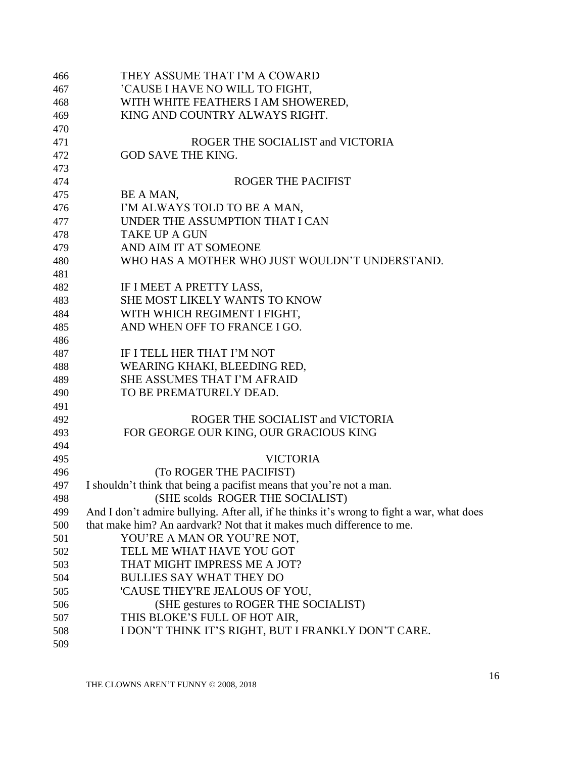| 466 | THEY ASSUME THAT I'M A COWARD                                                             |
|-----|-------------------------------------------------------------------------------------------|
| 467 | 'CAUSE I HAVE NO WILL TO FIGHT,                                                           |
| 468 | WITH WHITE FEATHERS I AM SHOWERED,                                                        |
| 469 | KING AND COUNTRY ALWAYS RIGHT.                                                            |
| 470 |                                                                                           |
| 471 | ROGER THE SOCIALIST and VICTORIA                                                          |
| 472 | <b>GOD SAVE THE KING.</b>                                                                 |
| 473 |                                                                                           |
| 474 | <b>ROGER THE PACIFIST</b>                                                                 |
| 475 | BE A MAN,                                                                                 |
| 476 | I'M ALWAYS TOLD TO BE A MAN,                                                              |
| 477 | UNDER THE ASSUMPTION THAT I CAN                                                           |
| 478 | <b>TAKE UP A GUN</b>                                                                      |
| 479 | AND AIM IT AT SOMEONE                                                                     |
| 480 | WHO HAS A MOTHER WHO JUST WOULDN'T UNDERSTAND.                                            |
| 481 |                                                                                           |
| 482 | IF I MEET A PRETTY LASS,                                                                  |
| 483 | SHE MOST LIKELY WANTS TO KNOW                                                             |
| 484 | WITH WHICH REGIMENT I FIGHT,                                                              |
| 485 | AND WHEN OFF TO FRANCE I GO.                                                              |
| 486 |                                                                                           |
| 487 | IF I TELL HER THAT I'M NOT                                                                |
| 488 | WEARING KHAKI, BLEEDING RED,                                                              |
| 489 | <b>SHE ASSUMES THAT I'M AFRAID</b>                                                        |
| 490 | TO BE PREMATURELY DEAD.                                                                   |
| 491 |                                                                                           |
| 492 | ROGER THE SOCIALIST and VICTORIA                                                          |
| 493 | FOR GEORGE OUR KING, OUR GRACIOUS KING                                                    |
| 494 |                                                                                           |
| 495 | <b>VICTORIA</b>                                                                           |
| 496 | (To ROGER THE PACIFIST)                                                                   |
| 497 | I shouldn't think that being a pacifist means that you're not a man.                      |
| 498 | (SHE scolds ROGER THE SOCIALIST)                                                          |
| 499 | And I don't admire bullying. After all, if he thinks it's wrong to fight a war, what does |
| 500 | that make him? An aardvark? Not that it makes much difference to me.                      |
| 501 | YOU'RE A MAN OR YOU'RE NOT,                                                               |
| 502 | TELL ME WHAT HAVE YOU GOT                                                                 |
| 503 | THAT MIGHT IMPRESS ME A JOT?                                                              |
| 504 | <b>BULLIES SAY WHAT THEY DO</b>                                                           |
| 505 | 'CAUSE THEY'RE JEALOUS OF YOU,                                                            |
| 506 | (SHE gestures to ROGER THE SOCIALIST)                                                     |
| 507 | THIS BLOKE'S FULL OF HOT AIR,                                                             |
| 508 | I DON'T THINK IT'S RIGHT, BUT I FRANKLY DON'T CARE.                                       |
| 509 |                                                                                           |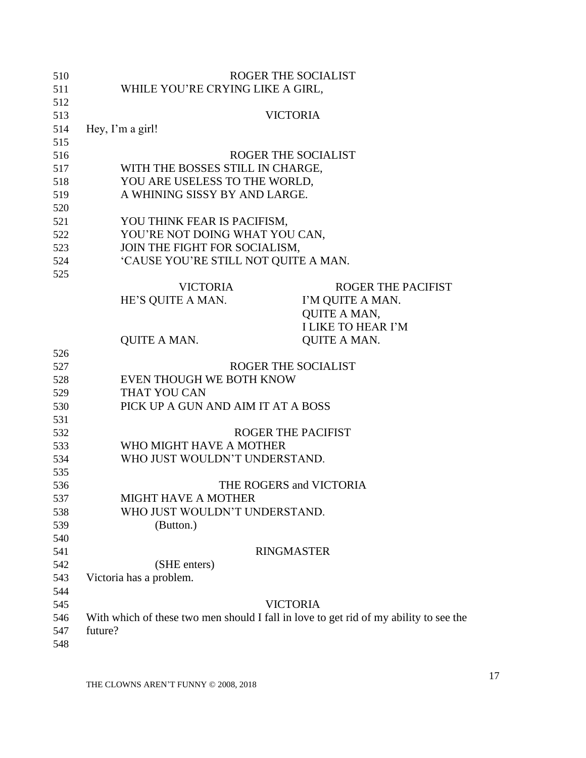| 510 | ROGER THE SOCIALIST                                                                   |
|-----|---------------------------------------------------------------------------------------|
| 511 | WHILE YOU'RE CRYING LIKE A GIRL,                                                      |
| 512 |                                                                                       |
| 513 | <b>VICTORIA</b>                                                                       |
| 514 | Hey, I'm a girl!                                                                      |
| 515 |                                                                                       |
| 516 | ROGER THE SOCIALIST                                                                   |
| 517 | WITH THE BOSSES STILL IN CHARGE,                                                      |
| 518 | YOU ARE USELESS TO THE WORLD,                                                         |
| 519 | A WHINING SISSY BY AND LARGE.                                                         |
| 520 |                                                                                       |
| 521 | YOU THINK FEAR IS PACIFISM,                                                           |
| 522 | YOU'RE NOT DOING WHAT YOU CAN,                                                        |
| 523 | JOIN THE FIGHT FOR SOCIALISM,                                                         |
| 524 | 'CAUSE YOU'RE STILL NOT QUITE A MAN.                                                  |
| 525 |                                                                                       |
|     | <b>VICTORIA</b><br><b>ROGER THE PACIFIST</b>                                          |
|     | HE'S QUITE A MAN.<br>I'M QUITE A MAN.                                                 |
|     | <b>QUITE A MAN,</b>                                                                   |
|     | <b>I LIKE TO HEAR I'M</b>                                                             |
|     |                                                                                       |
|     | QUITE A MAN.<br><b>QUITE A MAN.</b>                                                   |
| 526 |                                                                                       |
| 527 | ROGER THE SOCIALIST                                                                   |
| 528 | EVEN THOUGH WE BOTH KNOW                                                              |
| 529 | THAT YOU CAN                                                                          |
| 530 | PICK UP A GUN AND AIM IT AT A BOSS                                                    |
| 531 |                                                                                       |
| 532 | <b>ROGER THE PACIFIST</b>                                                             |
| 533 | WHO MIGHT HAVE A MOTHER                                                               |
| 534 | WHO JUST WOULDN'T UNDERSTAND.                                                         |
| 535 |                                                                                       |
| 536 | THE ROGERS and VICTORIA                                                               |
| 537 | <b>MIGHT HAVE A MOTHER</b>                                                            |
| 538 | WHO JUST WOULDN'T UNDERSTAND.                                                         |
| 539 | (Button.)                                                                             |
| 540 |                                                                                       |
| 541 | <b>RINGMASTER</b>                                                                     |
| 542 | (SHE enters)                                                                          |
| 543 | Victoria has a problem.                                                               |
| 544 |                                                                                       |
| 545 | <b>VICTORIA</b>                                                                       |
| 546 | With which of these two men should I fall in love to get rid of my ability to see the |
| 547 | future?                                                                               |
| 548 |                                                                                       |
|     |                                                                                       |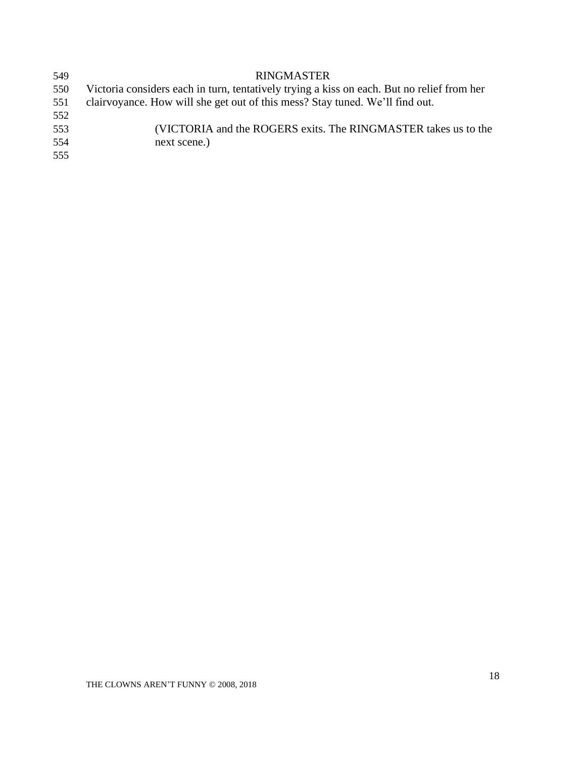| 549 | <b>RINGMASTER</b>                                                                          |
|-----|--------------------------------------------------------------------------------------------|
| 550 | Victoria considers each in turn, tentatively trying a kiss on each. But no relief from her |
| 551 | clairvoyance. How will she get out of this mess? Stay tuned. We'll find out.               |
| 552 |                                                                                            |
| 553 | (VICTORIA and the ROGERS exits. The RINGMASTER takes us to the                             |
| 554 | next scene.)                                                                               |
| 555 |                                                                                            |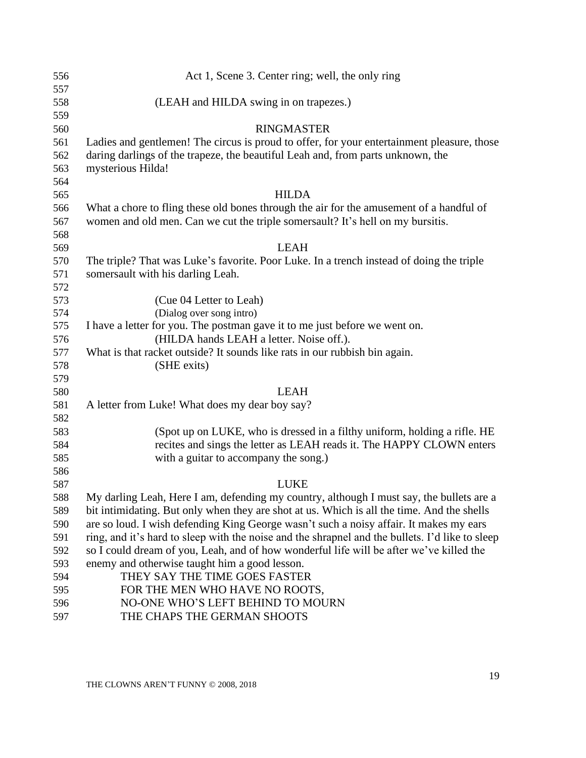<span id="page-18-0"></span>

| 556        | Act 1, Scene 3. Center ring; well, the only ring                                                |
|------------|-------------------------------------------------------------------------------------------------|
| 557        |                                                                                                 |
| 558        | (LEAH and HILDA swing in on trapezes.)                                                          |
| 559        |                                                                                                 |
| 560        | <b>RINGMASTER</b>                                                                               |
| 561        | Ladies and gentlemen! The circus is proud to offer, for your entertainment pleasure, those      |
| 562        | daring darlings of the trapeze, the beautiful Leah and, from parts unknown, the                 |
| 563        | mysterious Hilda!                                                                               |
| 564        |                                                                                                 |
| 565        | <b>HILDA</b>                                                                                    |
| 566        | What a chore to fling these old bones through the air for the amusement of a handful of         |
| 567        | women and old men. Can we cut the triple somersault? It's hell on my bursitis.                  |
| 568        |                                                                                                 |
| 569        | <b>LEAH</b>                                                                                     |
| 570        | The triple? That was Luke's favorite. Poor Luke. In a trench instead of doing the triple        |
| 571        | somersault with his darling Leah.                                                               |
| 572        |                                                                                                 |
| 573        | (Cue 04 Letter to Leah)                                                                         |
| 574        | (Dialog over song intro)                                                                        |
| 575        | I have a letter for you. The postman gave it to me just before we went on.                      |
| 576<br>577 | (HILDA hands LEAH a letter. Noise off.).                                                        |
| 578        | What is that racket outside? It sounds like rats in our rubbish bin again.<br>(SHE exits)       |
| 579        |                                                                                                 |
| 580        | <b>LEAH</b>                                                                                     |
| 581        | A letter from Luke! What does my dear boy say?                                                  |
| 582        |                                                                                                 |
| 583        | (Spot up on LUKE, who is dressed in a filthy uniform, holding a rifle. HE                       |
| 584        | recites and sings the letter as LEAH reads it. The HAPPY CLOWN enters                           |
| 585        | with a guitar to accompany the song.)                                                           |
| 586        |                                                                                                 |
| 587        | <b>LUKE</b>                                                                                     |
| 588        | My darling Leah, Here I am, defending my country, although I must say, the bullets are a        |
| 589        | bit intimidating. But only when they are shot at us. Which is all the time. And the shells      |
| 590        | are so loud. I wish defending King George wasn't such a noisy affair. It makes my ears          |
| 591        | ring, and it's hard to sleep with the noise and the shrapnel and the bullets. I'd like to sleep |
| 592        | so I could dream of you, Leah, and of how wonderful life will be after we've killed the         |
| 593        | enemy and otherwise taught him a good lesson.                                                   |
| 594        | THEY SAY THE TIME GOES FASTER                                                                   |
| 595        | FOR THE MEN WHO HAVE NO ROOTS,                                                                  |
| 596        | NO-ONE WHO'S LEFT BEHIND TO MOURN                                                               |
| 597        | THE CHAPS THE GERMAN SHOOTS                                                                     |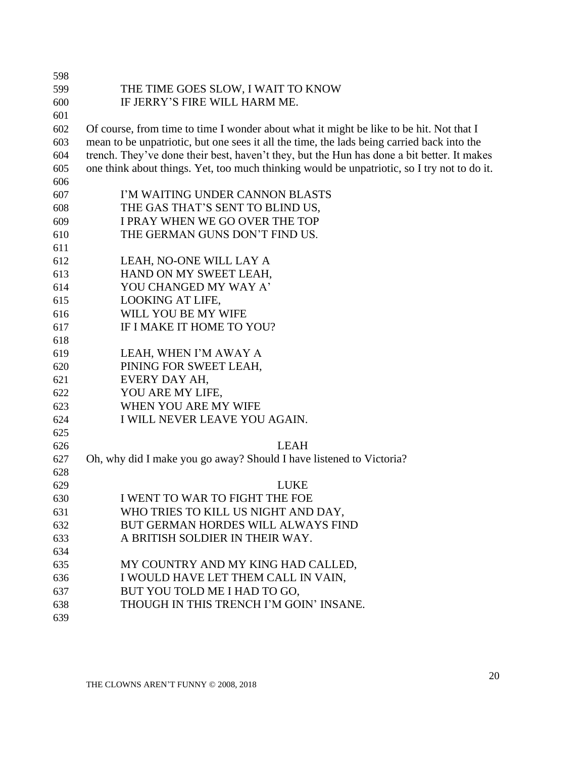| 598 |                                                                                             |
|-----|---------------------------------------------------------------------------------------------|
| 599 | THE TIME GOES SLOW, I WAIT TO KNOW                                                          |
| 600 | IF JERRY'S FIRE WILL HARM ME.                                                               |
| 601 |                                                                                             |
| 602 | Of course, from time to time I wonder about what it might be like to be hit. Not that I     |
| 603 | mean to be unpatriotic, but one sees it all the time, the lads being carried back into the  |
| 604 | trench. They've done their best, haven't they, but the Hun has done a bit better. It makes  |
| 605 | one think about things. Yet, too much thinking would be unpatriotic, so I try not to do it. |
| 606 |                                                                                             |
| 607 | I'M WAITING UNDER CANNON BLASTS                                                             |
| 608 | THE GAS THAT'S SENT TO BLIND US,                                                            |
| 609 | I PRAY WHEN WE GO OVER THE TOP                                                              |
| 610 | THE GERMAN GUNS DON'T FIND US.                                                              |
| 611 |                                                                                             |
| 612 | LEAH, NO-ONE WILL LAY A                                                                     |
| 613 | HAND ON MY SWEET LEAH,                                                                      |
| 614 | YOU CHANGED MY WAY A'                                                                       |
| 615 | <b>LOOKING AT LIFE,</b>                                                                     |
| 616 | WILL YOU BE MY WIFE                                                                         |
| 617 | IF I MAKE IT HOME TO YOU?                                                                   |
| 618 |                                                                                             |
| 619 | LEAH, WHEN I'M AWAY A                                                                       |
| 620 | PINING FOR SWEET LEAH,                                                                      |
| 621 | EVERY DAY AH,                                                                               |
| 622 | YOU ARE MY LIFE,                                                                            |
| 623 | WHEN YOU ARE MY WIFE                                                                        |
| 624 | I WILL NEVER LEAVE YOU AGAIN.                                                               |
| 625 |                                                                                             |
| 626 | <b>LEAH</b>                                                                                 |
| 627 | Oh, why did I make you go away? Should I have listened to Victoria?                         |
| 628 |                                                                                             |
| 629 | LUKE                                                                                        |
| 630 | I WENT TO WAR TO FIGHT THE FOE                                                              |
| 631 | WHO TRIES TO KILL US NIGHT AND DAY,                                                         |
| 632 | BUT GERMAN HORDES WILL ALWAYS FIND                                                          |
| 633 | A BRITISH SOLDIER IN THEIR WAY.                                                             |
| 634 |                                                                                             |
| 635 | MY COUNTRY AND MY KING HAD CALLED,                                                          |
| 636 | I WOULD HAVE LET THEM CALL IN VAIN,                                                         |
| 637 | BUT YOU TOLD ME I HAD TO GO,                                                                |
| 638 | THOUGH IN THIS TRENCH I'M GOIN' INSANE.                                                     |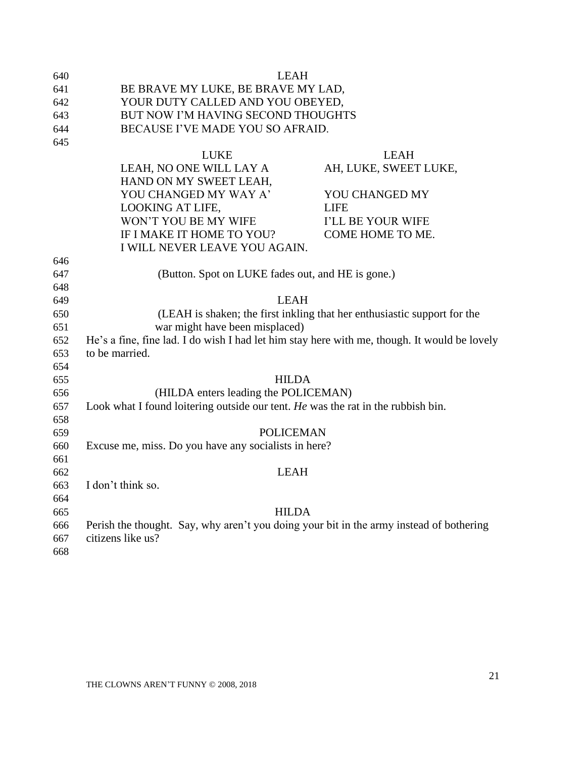| 640 | <b>LEAH</b>                                                                                  |                                                                          |
|-----|----------------------------------------------------------------------------------------------|--------------------------------------------------------------------------|
| 641 | BE BRAVE MY LUKE, BE BRAVE MY LAD,                                                           |                                                                          |
| 642 | YOUR DUTY CALLED AND YOU OBEYED,                                                             |                                                                          |
| 643 | BUT NOW I'M HAVING SECOND THOUGHTS                                                           |                                                                          |
| 644 | BECAUSE I'VE MADE YOU SO AFRAID.                                                             |                                                                          |
| 645 |                                                                                              |                                                                          |
|     | <b>LUKE</b>                                                                                  | <b>LEAH</b>                                                              |
|     | LEAH, NO ONE WILL LAY A                                                                      | AH, LUKE, SWEET LUKE,                                                    |
|     | HAND ON MY SWEET LEAH,                                                                       |                                                                          |
|     | YOU CHANGED MY WAY A'                                                                        | YOU CHANGED MY                                                           |
|     | <b>LOOKING AT LIFE,</b>                                                                      | <b>LIFE</b>                                                              |
|     | WON'T YOU BE MY WIFE                                                                         | I'LL BE YOUR WIFE                                                        |
|     | IF I MAKE IT HOME TO YOU?                                                                    | COME HOME TO ME.                                                         |
|     | I WILL NEVER LEAVE YOU AGAIN.                                                                |                                                                          |
| 646 |                                                                                              |                                                                          |
| 647 | (Button. Spot on LUKE fades out, and HE is gone.)                                            |                                                                          |
| 648 |                                                                                              |                                                                          |
| 649 | <b>LEAH</b>                                                                                  |                                                                          |
| 650 |                                                                                              | (LEAH is shaken; the first inkling that her enthusiastic support for the |
| 651 | war might have been misplaced)                                                               |                                                                          |
| 652 | He's a fine, fine lad. I do wish I had let him stay here with me, though. It would be lovely |                                                                          |
| 653 | to be married.                                                                               |                                                                          |
| 654 |                                                                                              |                                                                          |
| 655 | <b>HILDA</b>                                                                                 |                                                                          |
| 656 | (HILDA enters leading the POLICEMAN)                                                         |                                                                          |
| 657 | Look what I found loitering outside our tent. He was the rat in the rubbish bin.             |                                                                          |
| 658 |                                                                                              |                                                                          |
| 659 | <b>POLICEMAN</b>                                                                             |                                                                          |
| 660 | Excuse me, miss. Do you have any socialists in here?                                         |                                                                          |
| 661 |                                                                                              |                                                                          |
| 662 | <b>LEAH</b>                                                                                  |                                                                          |
| 663 | I don't think so.                                                                            |                                                                          |
| 664 |                                                                                              |                                                                          |
| 665 | <b>HILDA</b>                                                                                 |                                                                          |
| 666 | Perish the thought. Say, why aren't you doing your bit in the army instead of bothering      |                                                                          |
| 667 | citizens like us?                                                                            |                                                                          |
| 668 |                                                                                              |                                                                          |
|     |                                                                                              |                                                                          |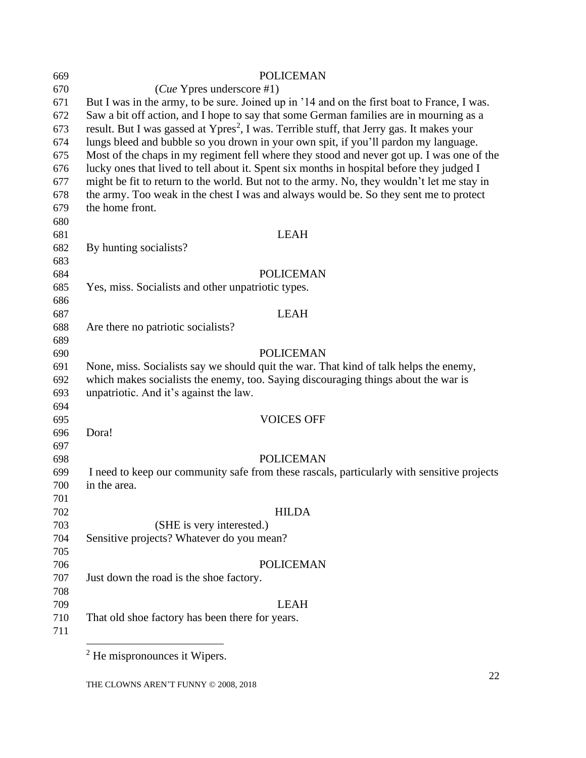<span id="page-21-0"></span>

| 669 | <b>POLICEMAN</b>                                                                                      |
|-----|-------------------------------------------------------------------------------------------------------|
| 670 | $(Cue$ Ypres underscore #1)                                                                           |
| 671 | But I was in the army, to be sure. Joined up in '14 and on the first boat to France, I was.           |
| 672 | Saw a bit off action, and I hope to say that some German families are in mourning as a                |
| 673 | result. But I was gassed at Ypres <sup>2</sup> , I was. Terrible stuff, that Jerry gas. It makes your |
| 674 | lungs bleed and bubble so you drown in your own spit, if you'll pardon my language.                   |
| 675 | Most of the chaps in my regiment fell where they stood and never got up. I was one of the             |
| 676 | lucky ones that lived to tell about it. Spent six months in hospital before they judged I             |
| 677 | might be fit to return to the world. But not to the army. No, they wouldn't let me stay in            |
| 678 | the army. Too weak in the chest I was and always would be. So they sent me to protect                 |
| 679 | the home front.                                                                                       |
| 680 |                                                                                                       |
| 681 | <b>LEAH</b>                                                                                           |
| 682 | By hunting socialists?                                                                                |
| 683 |                                                                                                       |
| 684 | <b>POLICEMAN</b>                                                                                      |
| 685 | Yes, miss. Socialists and other unpatriotic types.                                                    |
| 686 |                                                                                                       |
| 687 | <b>LEAH</b>                                                                                           |
| 688 | Are there no patriotic socialists?                                                                    |
| 689 |                                                                                                       |
| 690 | <b>POLICEMAN</b>                                                                                      |
| 691 | None, miss. Socialists say we should quit the war. That kind of talk helps the enemy,                 |
| 692 | which makes socialists the enemy, too. Saying discouraging things about the war is                    |
| 693 | unpatriotic. And it's against the law.                                                                |
| 694 |                                                                                                       |
| 695 | <b>VOICES OFF</b>                                                                                     |
| 696 | Dora!                                                                                                 |
| 697 |                                                                                                       |
| 698 | <b>POLICEMAN</b>                                                                                      |
| 699 | I need to keep our community safe from these rascals, particularly with sensitive projects            |
| 700 | in the area.                                                                                          |
| 701 |                                                                                                       |
| 702 | <b>HILDA</b>                                                                                          |
| 703 | (SHE is very interested.)                                                                             |
| 704 | Sensitive projects? Whatever do you mean?                                                             |
| 705 |                                                                                                       |
| 706 | <b>POLICEMAN</b>                                                                                      |
| 707 | Just down the road is the shoe factory.                                                               |
| 708 |                                                                                                       |
| 709 | <b>LEAH</b>                                                                                           |
| 710 | That old shoe factory has been there for years.                                                       |
| 711 |                                                                                                       |
|     |                                                                                                       |

<sup>2</sup> He mispronounces it Wipers.

THE CLOWNS AREN'T FUNNY © 2008, 2018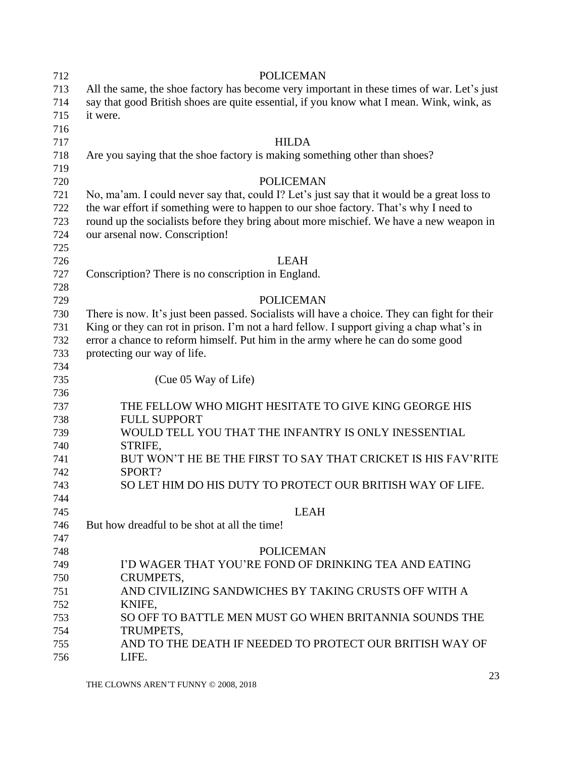<span id="page-22-0"></span>

| 712 | <b>POLICEMAN</b>                                                                             |
|-----|----------------------------------------------------------------------------------------------|
| 713 | All the same, the shoe factory has become very important in these times of war. Let's just   |
| 714 | say that good British shoes are quite essential, if you know what I mean. Wink, wink, as     |
| 715 | it were.                                                                                     |
| 716 |                                                                                              |
| 717 | <b>HILDA</b>                                                                                 |
| 718 | Are you saying that the shoe factory is making something other than shoes?                   |
| 719 |                                                                                              |
| 720 | <b>POLICEMAN</b>                                                                             |
| 721 | No, ma'am. I could never say that, could I? Let's just say that it would be a great loss to  |
| 722 | the war effort if something were to happen to our shoe factory. That's why I need to         |
| 723 | round up the socialists before they bring about more mischief. We have a new weapon in       |
| 724 | our arsenal now. Conscription!                                                               |
| 725 |                                                                                              |
| 726 | <b>LEAH</b>                                                                                  |
| 727 | Conscription? There is no conscription in England.                                           |
| 728 |                                                                                              |
| 729 | <b>POLICEMAN</b>                                                                             |
| 730 | There is now. It's just been passed. Socialists will have a choice. They can fight for their |
| 731 | King or they can rot in prison. I'm not a hard fellow. I support giving a chap what's in     |
| 732 | error a chance to reform himself. Put him in the army where he can do some good              |
| 733 | protecting our way of life.                                                                  |
| 734 |                                                                                              |
| 735 | (Cue 05 Way of Life)                                                                         |
| 736 |                                                                                              |
| 737 | THE FELLOW WHO MIGHT HESITATE TO GIVE KING GEORGE HIS                                        |
| 738 | <b>FULL SUPPORT</b>                                                                          |
| 739 | WOULD TELL YOU THAT THE INFANTRY IS ONLY INESSENTIAL                                         |
| 740 | STRIFE,                                                                                      |
| 741 | BUT WON'T HE BE THE FIRST TO SAY THAT CRICKET IS HIS FAV'RITE                                |
| 742 | SPORT?                                                                                       |
| 743 | SO LET HIM DO HIS DUTY TO PROTECT OUR BRITISH WAY OF LIFE.                                   |
| 744 |                                                                                              |
| 745 | <b>LEAH</b>                                                                                  |
| 746 | But how dreadful to be shot at all the time!                                                 |
| 747 |                                                                                              |
| 748 | <b>POLICEMAN</b>                                                                             |
| 749 | I'D WAGER THAT YOU'RE FOND OF DRINKING TEA AND EATING                                        |
| 750 | CRUMPETS,                                                                                    |
| 751 | AND CIVILIZING SANDWICHES BY TAKING CRUSTS OFF WITH A                                        |
| 752 | KNIFE,                                                                                       |
| 753 | SO OFF TO BATTLE MEN MUST GO WHEN BRITANNIA SOUNDS THE                                       |
| 754 | TRUMPETS,                                                                                    |
| 755 | AND TO THE DEATH IF NEEDED TO PROTECT OUR BRITISH WAY OF                                     |
| 756 | LIFE.                                                                                        |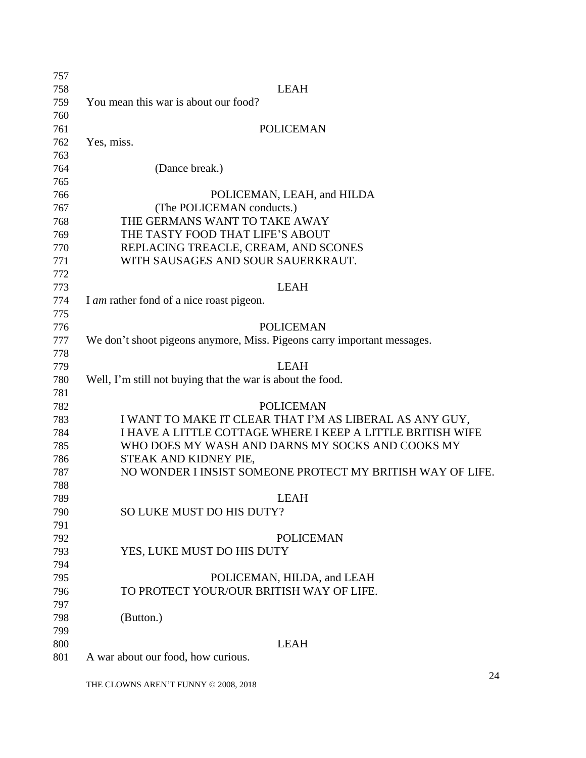| 757 |                                                                         |
|-----|-------------------------------------------------------------------------|
| 758 | <b>LEAH</b>                                                             |
| 759 | You mean this war is about our food?                                    |
| 760 |                                                                         |
| 761 | <b>POLICEMAN</b>                                                        |
| 762 | Yes, miss.                                                              |
| 763 |                                                                         |
| 764 | (Dance break.)                                                          |
| 765 |                                                                         |
| 766 | POLICEMAN, LEAH, and HILDA                                              |
| 767 | (The POLICEMAN conducts.)                                               |
| 768 | THE GERMANS WANT TO TAKE AWAY                                           |
| 769 | THE TASTY FOOD THAT LIFE'S ABOUT                                        |
| 770 | REPLACING TREACLE, CREAM, AND SCONES                                    |
| 771 | WITH SAUSAGES AND SOUR SAUERKRAUT.                                      |
| 772 |                                                                         |
| 773 | <b>LEAH</b>                                                             |
| 774 | I am rather fond of a nice roast pigeon.                                |
| 775 |                                                                         |
| 776 | <b>POLICEMAN</b>                                                        |
| 777 | We don't shoot pigeons anymore, Miss. Pigeons carry important messages. |
| 778 |                                                                         |
| 779 | <b>LEAH</b>                                                             |
| 780 | Well, I'm still not buying that the war is about the food.              |
| 781 |                                                                         |
| 782 | <b>POLICEMAN</b>                                                        |
| 783 | I WANT TO MAKE IT CLEAR THAT I'M AS LIBERAL AS ANY GUY,                 |
| 784 | I HAVE A LITTLE COTTAGE WHERE I KEEP A LITTLE BRITISH WIFE              |
| 785 | WHO DOES MY WASH AND DARNS MY SOCKS AND COOKS MY                        |
| 786 | STEAK AND KIDNEY PIE,                                                   |
| 787 | NO WONDER I INSIST SOMEONE PROTECT MY BRITISH WAY OF LIFE.              |
| 788 |                                                                         |
| 789 | <b>LEAH</b>                                                             |
| 790 | SO LUKE MUST DO HIS DUTY?                                               |
| 791 |                                                                         |
| 792 | <b>POLICEMAN</b>                                                        |
| 793 | YES, LUKE MUST DO HIS DUTY                                              |
| 794 |                                                                         |
| 795 | POLICEMAN, HILDA, and LEAH                                              |
| 796 | TO PROTECT YOUR/OUR BRITISH WAY OF LIFE.                                |
| 797 |                                                                         |
| 798 | (Button.)                                                               |
| 799 |                                                                         |
| 800 | <b>LEAH</b>                                                             |
| 801 | A war about our food, how curious.                                      |
|     |                                                                         |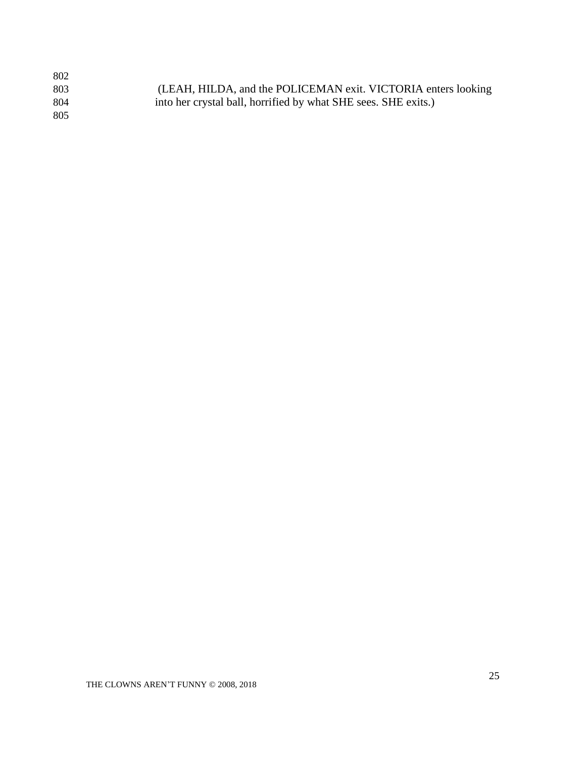| 802  |                                                                |
|------|----------------------------------------------------------------|
| 803  | (LEAH, HILDA, and the POLICEMAN exit. VICTORIA enters looking  |
| -804 | into her crystal ball, horrified by what SHE sees. SHE exits.) |
| 805  |                                                                |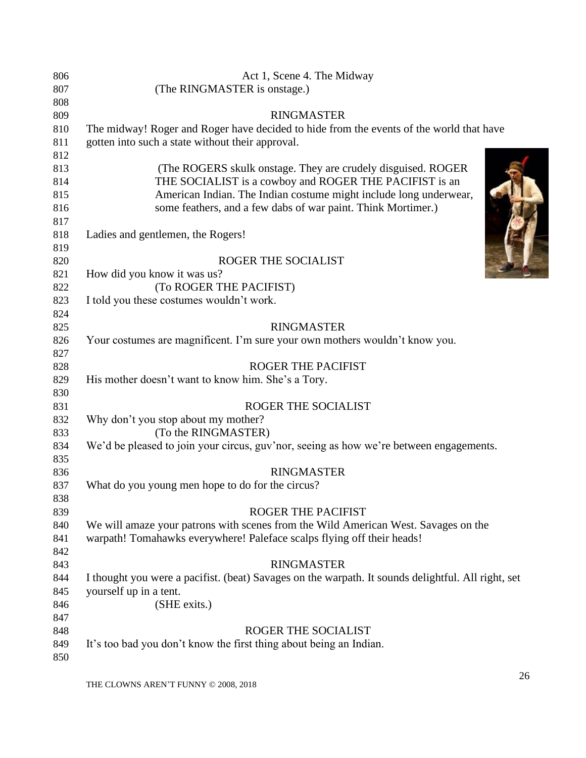| 806 | Act 1, Scene 4. The Midway                                                                         |
|-----|----------------------------------------------------------------------------------------------------|
| 807 | (The RINGMASTER is onstage.)                                                                       |
| 808 |                                                                                                    |
| 809 | <b>RINGMASTER</b>                                                                                  |
| 810 | The midway! Roger and Roger have decided to hide from the events of the world that have            |
| 811 | gotten into such a state without their approval.                                                   |
| 812 |                                                                                                    |
| 813 | (The ROGERS skulk onstage. They are crudely disguised. ROGER)                                      |
| 814 | THE SOCIALIST is a cowboy and ROGER THE PACIFIST is an                                             |
| 815 | American Indian. The Indian costume might include long underwear,                                  |
| 816 | some feathers, and a few dabs of war paint. Think Mortimer.)                                       |
| 817 |                                                                                                    |
| 818 | Ladies and gentlemen, the Rogers!                                                                  |
| 819 |                                                                                                    |
| 820 | ROGER THE SOCIALIST                                                                                |
| 821 | How did you know it was us?                                                                        |
| 822 | (To ROGER THE PACIFIST)                                                                            |
| 823 | I told you these costumes wouldn't work.                                                           |
| 824 |                                                                                                    |
| 825 | <b>RINGMASTER</b>                                                                                  |
| 826 | Your costumes are magnificent. I'm sure your own mothers wouldn't know you.                        |
| 827 |                                                                                                    |
| 828 | <b>ROGER THE PACIFIST</b>                                                                          |
| 829 | His mother doesn't want to know him. She's a Tory.                                                 |
| 830 |                                                                                                    |
| 831 | ROGER THE SOCIALIST                                                                                |
| 832 | Why don't you stop about my mother?                                                                |
| 833 | (To the RINGMASTER)                                                                                |
| 834 | We'd be pleased to join your circus, guv'nor, seeing as how we're between engagements.             |
| 835 |                                                                                                    |
| 836 | <b>RINGMASTER</b>                                                                                  |
| 837 | What do you young men hope to do for the circus?                                                   |
| 838 |                                                                                                    |
| 839 | <b>ROGER THE PACIFIST</b>                                                                          |
| 840 | We will amaze your patrons with scenes from the Wild American West. Savages on the                 |
| 841 | warpath! Tomahawks everywhere! Paleface scalps flying off their heads!                             |
| 842 |                                                                                                    |
| 843 | <b>RINGMASTER</b>                                                                                  |
| 844 | I thought you were a pacifist. (beat) Savages on the warpath. It sounds delightful. All right, set |
| 845 | yourself up in a tent.                                                                             |
| 846 | (SHE exits.)                                                                                       |
| 847 |                                                                                                    |
| 848 | ROGER THE SOCIALIST                                                                                |
| 849 | It's too bad you don't know the first thing about being an Indian.                                 |
| 850 |                                                                                                    |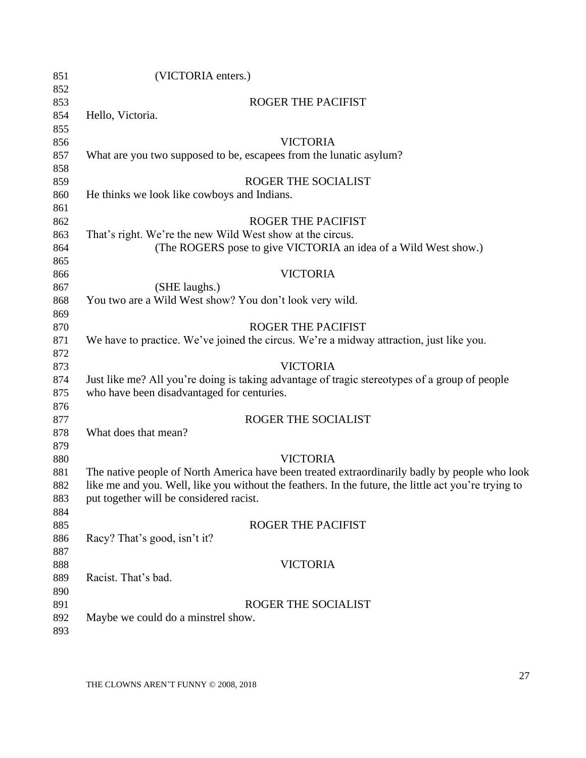| 851 | (VICTORIA enters.)                                                                                   |
|-----|------------------------------------------------------------------------------------------------------|
| 852 |                                                                                                      |
| 853 | <b>ROGER THE PACIFIST</b>                                                                            |
| 854 | Hello, Victoria.                                                                                     |
| 855 |                                                                                                      |
| 856 | <b>VICTORIA</b>                                                                                      |
| 857 | What are you two supposed to be, escapees from the lunatic asylum?                                   |
| 858 |                                                                                                      |
| 859 | <b>ROGER THE SOCIALIST</b>                                                                           |
| 860 | He thinks we look like cowboys and Indians.                                                          |
| 861 |                                                                                                      |
| 862 | <b>ROGER THE PACIFIST</b>                                                                            |
| 863 | That's right. We're the new Wild West show at the circus.                                            |
| 864 | (The ROGERS pose to give VICTORIA an idea of a Wild West show.)                                      |
| 865 |                                                                                                      |
| 866 | <b>VICTORIA</b>                                                                                      |
| 867 | (SHE laughs.)                                                                                        |
| 868 | You two are a Wild West show? You don't look very wild.                                              |
| 869 |                                                                                                      |
| 870 | <b>ROGER THE PACIFIST</b>                                                                            |
| 871 | We have to practice. We've joined the circus. We're a midway attraction, just like you.              |
| 872 |                                                                                                      |
| 873 | <b>VICTORIA</b>                                                                                      |
| 874 | Just like me? All you're doing is taking advantage of tragic stereotypes of a group of people        |
| 875 | who have been disadvantaged for centuries.                                                           |
| 876 |                                                                                                      |
| 877 | ROGER THE SOCIALIST                                                                                  |
| 878 | What does that mean?                                                                                 |
| 879 |                                                                                                      |
| 880 | <b>VICTORIA</b>                                                                                      |
| 881 | The native people of North America have been treated extraordinarily badly by people who look        |
| 882 | like me and you. Well, like you without the feathers. In the future, the little act you're trying to |
| 883 | put together will be considered racist.                                                              |
| 884 |                                                                                                      |
| 885 | <b>ROGER THE PACIFIST</b>                                                                            |
| 886 | Racy? That's good, isn't it?                                                                         |
| 887 |                                                                                                      |
| 888 | <b>VICTORIA</b>                                                                                      |
| 889 | Racist. That's bad.                                                                                  |
| 890 |                                                                                                      |
| 891 | <b>ROGER THE SOCIALIST</b>                                                                           |
| 892 | Maybe we could do a minstrel show.                                                                   |
| 893 |                                                                                                      |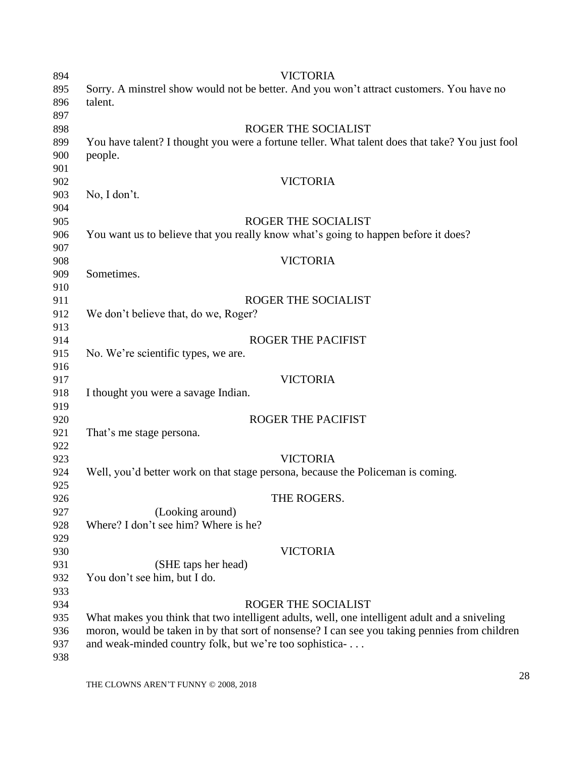| 894 | <b>VICTORIA</b>                                                                                 |
|-----|-------------------------------------------------------------------------------------------------|
| 895 | Sorry. A minstrel show would not be better. And you won't attract customers. You have no        |
| 896 | talent.                                                                                         |
| 897 |                                                                                                 |
| 898 | <b>ROGER THE SOCIALIST</b>                                                                      |
| 899 | You have talent? I thought you were a fortune teller. What talent does that take? You just fool |
| 900 | people.                                                                                         |
| 901 |                                                                                                 |
| 902 | <b>VICTORIA</b>                                                                                 |
| 903 | No, I don't.                                                                                    |
| 904 |                                                                                                 |
| 905 | ROGER THE SOCIALIST                                                                             |
| 906 | You want us to believe that you really know what's going to happen before it does?              |
| 907 |                                                                                                 |
| 908 | <b>VICTORIA</b>                                                                                 |
| 909 | Sometimes.                                                                                      |
| 910 |                                                                                                 |
| 911 | ROGER THE SOCIALIST                                                                             |
| 912 | We don't believe that, do we, Roger?                                                            |
| 913 |                                                                                                 |
| 914 | <b>ROGER THE PACIFIST</b>                                                                       |
| 915 | No. We're scientific types, we are.                                                             |
| 916 |                                                                                                 |
| 917 | <b>VICTORIA</b>                                                                                 |
| 918 | I thought you were a savage Indian.                                                             |
| 919 |                                                                                                 |
| 920 | ROGER THE PACIFIST                                                                              |
| 921 | That's me stage persona.                                                                        |
| 922 |                                                                                                 |
| 923 | <b>VICTORIA</b>                                                                                 |
| 924 | Well, you'd better work on that stage persona, because the Policeman is coming.                 |
| 925 |                                                                                                 |
| 926 | THE ROGERS.                                                                                     |
| 927 | (Looking around)                                                                                |
| 928 | Where? I don't see him? Where is he?                                                            |
| 929 |                                                                                                 |
| 930 | <b>VICTORIA</b>                                                                                 |
| 931 | (SHE taps her head)                                                                             |
| 932 | You don't see him, but I do.                                                                    |
| 933 |                                                                                                 |
| 934 | ROGER THE SOCIALIST                                                                             |
| 935 | What makes you think that two intelligent adults, well, one intelligent adult and a sniveling   |
| 936 | moron, would be taken in by that sort of nonsense? I can see you taking pennies from children   |
| 937 | and weak-minded country folk, but we're too sophistica-                                         |
| 938 |                                                                                                 |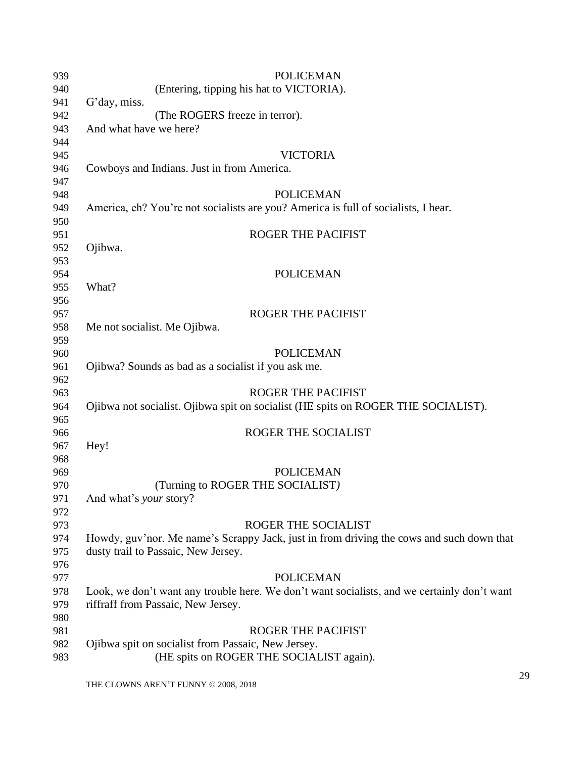| 939        | <b>POLICEMAN</b>                                                                            |
|------------|---------------------------------------------------------------------------------------------|
| 940        | (Entering, tipping his hat to VICTORIA).                                                    |
| 941        | G'day, miss.                                                                                |
| 942        | (The ROGERS freeze in terror).                                                              |
| 943        | And what have we here?                                                                      |
| 944        |                                                                                             |
| 945        | <b>VICTORIA</b>                                                                             |
| 946        | Cowboys and Indians. Just in from America.                                                  |
| 947        |                                                                                             |
| 948        | <b>POLICEMAN</b>                                                                            |
| 949        | America, eh? You're not socialists are you? America is full of socialists, I hear.          |
| 950        |                                                                                             |
| 951        | ROGER THE PACIFIST                                                                          |
| 952        | Ojibwa.                                                                                     |
| 953        |                                                                                             |
| 954        | <b>POLICEMAN</b>                                                                            |
|            | What?                                                                                       |
| 955        |                                                                                             |
| 956        |                                                                                             |
| 957        | <b>ROGER THE PACIFIST</b>                                                                   |
| 958        | Me not socialist. Me Ojibwa.                                                                |
| 959        |                                                                                             |
| 960        | <b>POLICEMAN</b>                                                                            |
| 961        | Ojibwa? Sounds as bad as a socialist if you ask me.                                         |
| 962        | <b>ROGER THE PACIFIST</b>                                                                   |
| 963        |                                                                                             |
| 964        | Ojibwa not socialist. Ojibwa spit on socialist (HE spits on ROGER THE SOCIALIST).           |
| 965        | ROGER THE SOCIALIST                                                                         |
| 966<br>967 | Hey!                                                                                        |
| 968        |                                                                                             |
| 969        | <b>POLICEMAN</b>                                                                            |
| 970        | (Turning to ROGER THE SOCIALIST)                                                            |
|            |                                                                                             |
| 971        | And what's <i>your</i> story?                                                               |
| 972        |                                                                                             |
| 973        | ROGER THE SOCIALIST                                                                         |
| 974        | Howdy, guv'nor. Me name's Scrappy Jack, just in from driving the cows and such down that    |
| 975        | dusty trail to Passaic, New Jersey.                                                         |
| 976        |                                                                                             |
| 977        | <b>POLICEMAN</b>                                                                            |
| 978        | Look, we don't want any trouble here. We don't want socialists, and we certainly don't want |
| 979        | riffraff from Passaic, New Jersey.                                                          |
| 980        |                                                                                             |
| 981        | <b>ROGER THE PACIFIST</b>                                                                   |
| 982        | Ojibwa spit on socialist from Passaic, New Jersey.                                          |
| 983        | (HE spits on ROGER THE SOCIALIST again).                                                    |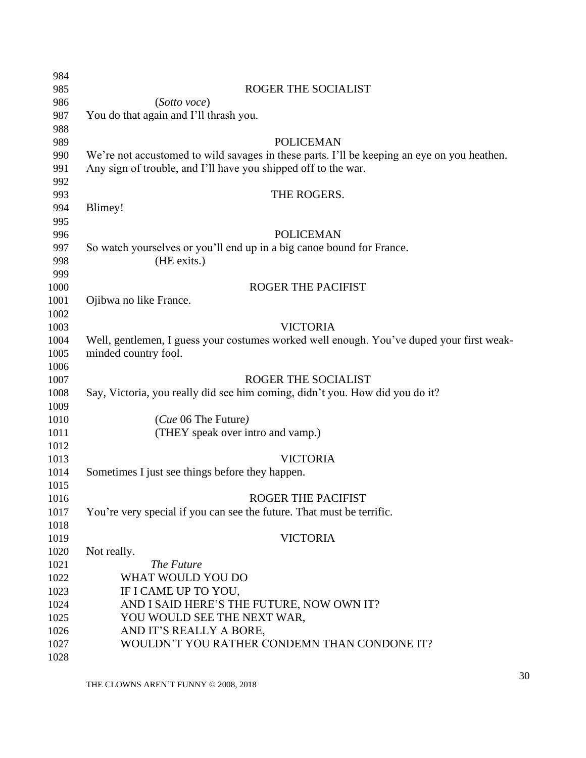<span id="page-29-0"></span>

| 984          |                                                                                             |
|--------------|---------------------------------------------------------------------------------------------|
| 985          | ROGER THE SOCIALIST                                                                         |
| 986          | (Sotto voce)                                                                                |
| 987          | You do that again and I'll thrash you.                                                      |
| 988          |                                                                                             |
| 989          | <b>POLICEMAN</b>                                                                            |
| 990          | We're not accustomed to wild savages in these parts. I'll be keeping an eye on you heathen. |
| 991          | Any sign of trouble, and I'll have you shipped off to the war.                              |
| 992          |                                                                                             |
| 993          | THE ROGERS.                                                                                 |
| 994          | Blimey!                                                                                     |
| 995          |                                                                                             |
| 996          | <b>POLICEMAN</b>                                                                            |
| 997          | So watch yourselves or you'll end up in a big canoe bound for France.                       |
| 998          | (HE exits.)                                                                                 |
| 999          |                                                                                             |
| 1000         | <b>ROGER THE PACIFIST</b>                                                                   |
| 1001         | Ojibwa no like France.                                                                      |
| 1002         |                                                                                             |
| 1003         | <b>VICTORIA</b>                                                                             |
| 1004         | Well, gentlemen, I guess your costumes worked well enough. You've duped your first weak-    |
| 1005         | minded country fool.                                                                        |
| 1006         |                                                                                             |
| 1007         | ROGER THE SOCIALIST                                                                         |
| 1008         | Say, Victoria, you really did see him coming, didn't you. How did you do it?                |
| 1009<br>1010 | ( <i>Cue</i> 06 The Future)                                                                 |
| 1011         | (THEY speak over intro and vamp.)                                                           |
| 1012         |                                                                                             |
| 1013         | <b>VICTORIA</b>                                                                             |
| 1014         | Sometimes I just see things before they happen.                                             |
| 1015         |                                                                                             |
| 1016         | <b>ROGER THE PACIFIST</b>                                                                   |
| 1017         | You're very special if you can see the future. That must be terrific.                       |
| 1018         |                                                                                             |
| 1019         | <b>VICTORIA</b>                                                                             |
| 1020         | Not really.                                                                                 |
| 1021         | The Future                                                                                  |
| 1022         | WHAT WOULD YOU DO                                                                           |
| 1023         | IF I CAME UP TO YOU,                                                                        |
| 1024         | AND I SAID HERE'S THE FUTURE, NOW OWN IT?                                                   |
| 1025         | YOU WOULD SEE THE NEXT WAR,                                                                 |
| 1026         | AND IT'S REALLY A BORE,                                                                     |
| 1027         | WOULDN'T YOU RATHER CONDEMN THAN CONDONE IT?                                                |
| 1028         |                                                                                             |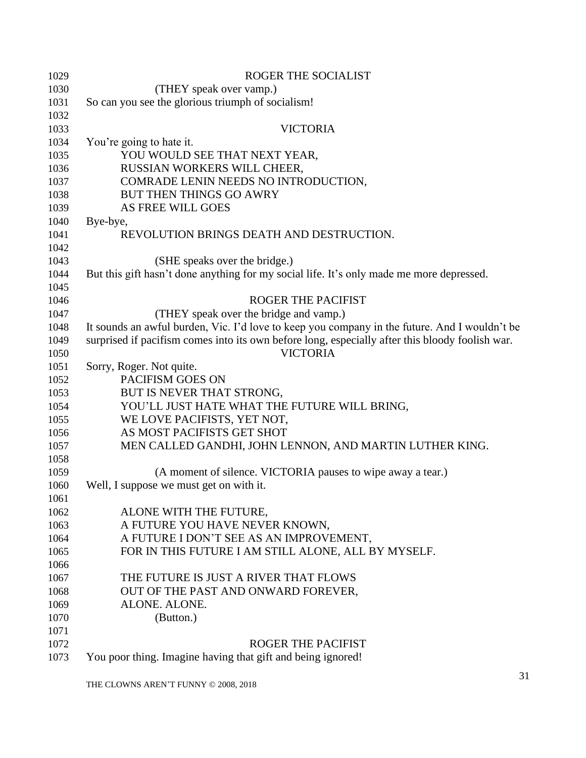| 1029 | <b>ROGER THE SOCIALIST</b>                                                                      |
|------|-------------------------------------------------------------------------------------------------|
| 1030 | (THEY speak over vamp.)                                                                         |
| 1031 | So can you see the glorious triumph of socialism!                                               |
| 1032 |                                                                                                 |
| 1033 | <b>VICTORIA</b>                                                                                 |
| 1034 | You're going to hate it.                                                                        |
| 1035 | YOU WOULD SEE THAT NEXT YEAR,                                                                   |
| 1036 | RUSSIAN WORKERS WILL CHEER,                                                                     |
| 1037 | COMRADE LENIN NEEDS NO INTRODUCTION,                                                            |
| 1038 | BUT THEN THINGS GO AWRY                                                                         |
| 1039 | AS FREE WILL GOES                                                                               |
| 1040 | Bye-bye,                                                                                        |
| 1041 | REVOLUTION BRINGS DEATH AND DESTRUCTION.                                                        |
| 1042 |                                                                                                 |
| 1043 | (SHE speaks over the bridge.)                                                                   |
| 1044 | But this gift hasn't done anything for my social life. It's only made me more depressed.        |
| 1045 |                                                                                                 |
| 1046 | <b>ROGER THE PACIFIST</b>                                                                       |
| 1047 | (THEY speak over the bridge and vamp.)                                                          |
| 1048 | It sounds an awful burden, Vic. I'd love to keep you company in the future. And I wouldn't be   |
| 1049 | surprised if pacifism comes into its own before long, especially after this bloody foolish war. |
| 1050 | <b>VICTORIA</b>                                                                                 |
| 1051 | Sorry, Roger. Not quite.                                                                        |
| 1052 | PACIFISM GOES ON                                                                                |
| 1053 | BUT IS NEVER THAT STRONG,                                                                       |
| 1054 | YOU'LL JUST HATE WHAT THE FUTURE WILL BRING,                                                    |
| 1055 | WE LOVE PACIFISTS, YET NOT,                                                                     |
| 1056 | AS MOST PACIFISTS GET SHOT                                                                      |
| 1057 | MEN CALLED GANDHI, JOHN LENNON, AND MARTIN LUTHER KING.                                         |
| 1058 |                                                                                                 |
| 1059 | (A moment of silence. VICTORIA pauses to wipe away a tear.)                                     |
| 1060 | Well, I suppose we must get on with it.                                                         |
| 1061 |                                                                                                 |
| 1062 | ALONE WITH THE FUTURE,                                                                          |
| 1063 | A FUTURE YOU HAVE NEVER KNOWN,                                                                  |
| 1064 | A FUTURE I DON'T SEE AS AN IMPROVEMENT,                                                         |
| 1065 | FOR IN THIS FUTURE I AM STILL ALONE, ALL BY MYSELF.                                             |
| 1066 |                                                                                                 |
| 1067 | THE FUTURE IS JUST A RIVER THAT FLOWS                                                           |
| 1068 | OUT OF THE PAST AND ONWARD FOREVER,                                                             |
| 1069 | ALONE. ALONE.                                                                                   |
| 1070 | (Button.)                                                                                       |
| 1071 |                                                                                                 |
| 1072 | <b>ROGER THE PACIFIST</b>                                                                       |
| 1073 | You poor thing. Imagine having that gift and being ignored!                                     |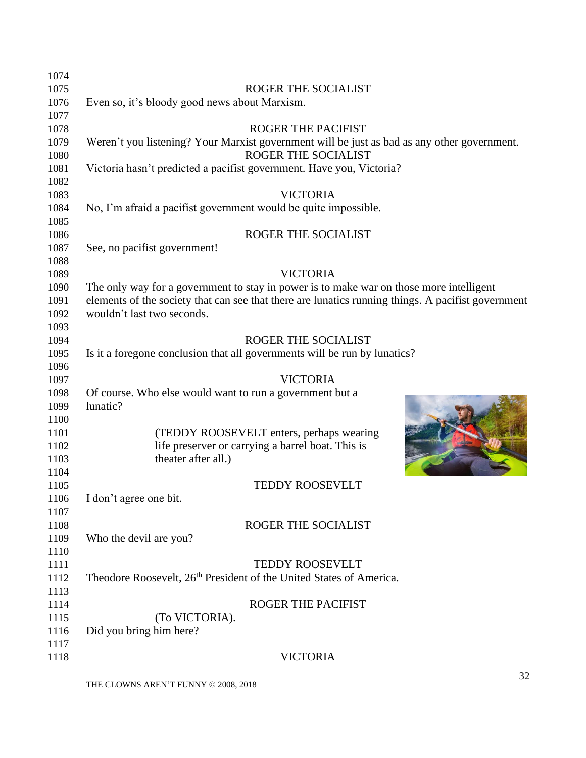| 1074 |                                                                                                    |                |
|------|----------------------------------------------------------------------------------------------------|----------------|
| 1075 | ROGER THE SOCIALIST                                                                                |                |
| 1076 | Even so, it's bloody good news about Marxism.                                                      |                |
| 1077 |                                                                                                    |                |
| 1078 | <b>ROGER THE PACIFIST</b>                                                                          |                |
| 1079 | Weren't you listening? Your Marxist government will be just as bad as any other government.        |                |
| 1080 | ROGER THE SOCIALIST                                                                                |                |
| 1081 | Victoria hasn't predicted a pacifist government. Have you, Victoria?                               |                |
| 1082 |                                                                                                    |                |
| 1083 | <b>VICTORIA</b>                                                                                    |                |
| 1084 | No, I'm afraid a pacifist government would be quite impossible.                                    |                |
| 1085 |                                                                                                    |                |
| 1086 | ROGER THE SOCIALIST                                                                                |                |
| 1087 | See, no pacifist government!                                                                       |                |
| 1088 |                                                                                                    |                |
| 1089 | <b>VICTORIA</b>                                                                                    |                |
| 1090 | The only way for a government to stay in power is to make war on those more intelligent            |                |
| 1091 | elements of the society that can see that there are lunatics running things. A pacifist government |                |
| 1092 | wouldn't last two seconds.                                                                         |                |
| 1093 |                                                                                                    |                |
| 1094 | ROGER THE SOCIALIST                                                                                |                |
| 1095 | Is it a foregone conclusion that all governments will be run by lunatics?                          |                |
| 1096 |                                                                                                    |                |
| 1097 | <b>VICTORIA</b>                                                                                    |                |
| 1098 | Of course. Who else would want to run a government but a                                           |                |
| 1099 | lunatic?                                                                                           |                |
| 1100 |                                                                                                    |                |
| 1101 | (TEDDY ROOSEVELT enters, perhaps wearing                                                           |                |
| 1102 | life preserver or carrying a barrel boat. This is                                                  |                |
| 1103 | theater after all.)                                                                                |                |
| 1104 |                                                                                                    |                |
| 1105 | <b>TEDDY ROOSEVELT</b>                                                                             |                |
| 1106 | I don't agree one bit.                                                                             |                |
| 1107 |                                                                                                    |                |
| 1108 | ROGER THE SOCIALIST                                                                                |                |
| 1109 | Who the devil are you?                                                                             |                |
| 1110 |                                                                                                    |                |
| 1111 | <b>TEDDY ROOSEVELT</b>                                                                             |                |
| 1112 | Theodore Roosevelt, 26 <sup>th</sup> President of the United States of America.                    |                |
| 1113 |                                                                                                    |                |
| 1114 | ROGER THE PACIFIST                                                                                 |                |
| 1115 | (To VICTORIA).                                                                                     |                |
| 1116 | Did you bring him here?                                                                            |                |
| 1117 |                                                                                                    |                |
| 1118 | <b>VICTORIA</b>                                                                                    |                |
|      |                                                                                                    | $\mathfrak{D}$ |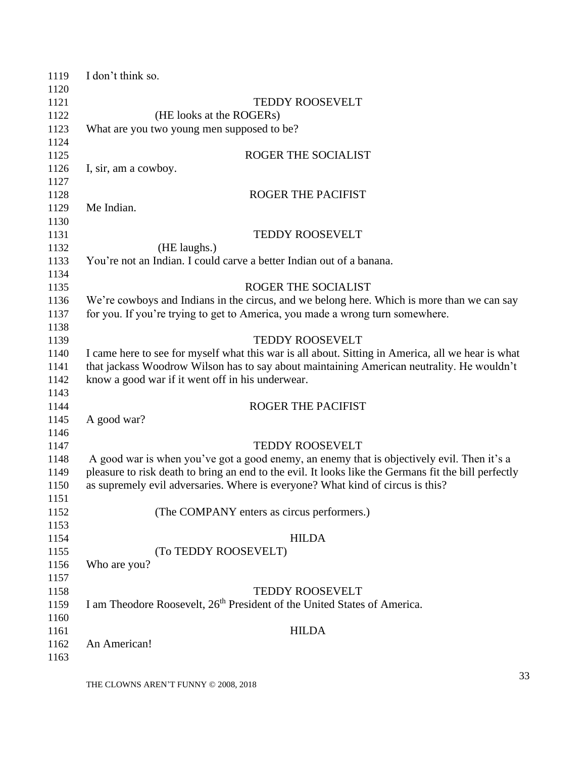| 1119 | I don't think so.                                                                                    |
|------|------------------------------------------------------------------------------------------------------|
| 1120 |                                                                                                      |
| 1121 | <b>TEDDY ROOSEVELT</b>                                                                               |
| 1122 | (HE looks at the ROGERs)                                                                             |
| 1123 | What are you two young men supposed to be?                                                           |
| 1124 |                                                                                                      |
| 1125 | ROGER THE SOCIALIST                                                                                  |
| 1126 | I, sir, am a cowboy.                                                                                 |
| 1127 |                                                                                                      |
| 1128 | <b>ROGER THE PACIFIST</b>                                                                            |
| 1129 | Me Indian.                                                                                           |
| 1130 |                                                                                                      |
| 1131 | <b>TEDDY ROOSEVELT</b>                                                                               |
| 1132 | (HE laughs.)                                                                                         |
| 1133 | You're not an Indian. I could carve a better Indian out of a banana.                                 |
| 1134 |                                                                                                      |
| 1135 | ROGER THE SOCIALIST                                                                                  |
| 1136 | We're cowboys and Indians in the circus, and we belong here. Which is more than we can say           |
| 1137 | for you. If you're trying to get to America, you made a wrong turn somewhere.                        |
| 1138 |                                                                                                      |
| 1139 | <b>TEDDY ROOSEVELT</b>                                                                               |
| 1140 | I came here to see for myself what this war is all about. Sitting in America, all we hear is what    |
| 1141 | that jackass Woodrow Wilson has to say about maintaining American neutrality. He wouldn't            |
| 1142 | know a good war if it went off in his underwear.                                                     |
| 1143 |                                                                                                      |
| 1144 | <b>ROGER THE PACIFIST</b>                                                                            |
| 1145 | A good war?                                                                                          |
| 1146 |                                                                                                      |
| 1147 | <b>TEDDY ROOSEVELT</b>                                                                               |
| 1148 | A good war is when you've got a good enemy, an enemy that is objectively evil. Then it's a           |
| 1149 | pleasure to risk death to bring an end to the evil. It looks like the Germans fit the bill perfectly |
| 1150 | as supremely evil adversaries. Where is everyone? What kind of circus is this?                       |
| 1151 |                                                                                                      |
| 1152 | (The COMPANY enters as circus performers.)                                                           |
| 1153 |                                                                                                      |
| 1154 | <b>HILDA</b>                                                                                         |
| 1155 | (To TEDDY ROOSEVELT)                                                                                 |
| 1156 | Who are you?                                                                                         |
| 1157 |                                                                                                      |
| 1158 | <b>TEDDY ROOSEVELT</b>                                                                               |
| 1159 | I am Theodore Roosevelt, 26 <sup>th</sup> President of the United States of America.                 |
| 1160 |                                                                                                      |
| 1161 | <b>HILDA</b>                                                                                         |
| 1162 | An American!                                                                                         |
| 1163 |                                                                                                      |
|      |                                                                                                      |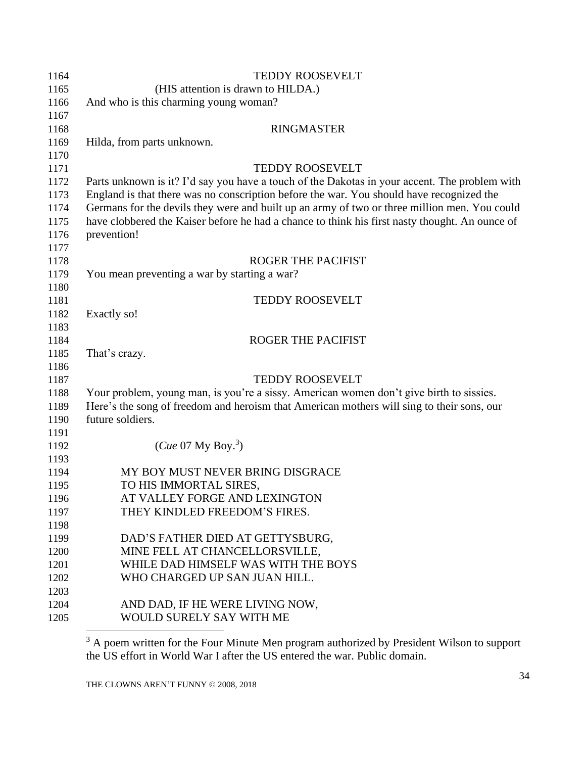| 1164 | <b>TEDDY ROOSEVELT</b>                                                                         |
|------|------------------------------------------------------------------------------------------------|
| 1165 | (HIS attention is drawn to HILDA.)                                                             |
| 1166 | And who is this charming young woman?                                                          |
| 1167 |                                                                                                |
| 1168 | <b>RINGMASTER</b>                                                                              |
| 1169 | Hilda, from parts unknown.                                                                     |
| 1170 |                                                                                                |
| 1171 | <b>TEDDY ROOSEVELT</b>                                                                         |
| 1172 | Parts unknown is it? I'd say you have a touch of the Dakotas in your accent. The problem with  |
| 1173 | England is that there was no conscription before the war. You should have recognized the       |
| 1174 | Germans for the devils they were and built up an army of two or three million men. You could   |
| 1175 | have clobbered the Kaiser before he had a chance to think his first nasty thought. An ounce of |
| 1176 | prevention!                                                                                    |
| 1177 |                                                                                                |
| 1178 | <b>ROGER THE PACIFIST</b>                                                                      |
| 1179 | You mean preventing a war by starting a war?                                                   |
| 1180 |                                                                                                |
| 1181 | TEDDY ROOSEVELT                                                                                |
| 1182 | Exactly so!                                                                                    |
| 1183 |                                                                                                |
| 1184 | <b>ROGER THE PACIFIST</b>                                                                      |
| 1185 | That's crazy.                                                                                  |
| 1186 |                                                                                                |
| 1187 | <b>TEDDY ROOSEVELT</b>                                                                         |
| 1188 | Your problem, young man, is you're a sissy. American women don't give birth to sissies.        |
| 1189 | Here's the song of freedom and heroism that American mothers will sing to their sons, our      |
| 1190 | future soldiers.                                                                               |
| 1191 |                                                                                                |
| 1192 | ( <i>Cue</i> 07 My Boy. <sup>3</sup> )                                                         |
| 1193 |                                                                                                |
| 1194 | MY BOY MUST NEVER BRING DISGRACE                                                               |
| 1195 | TO HIS IMMORTAL SIRES,                                                                         |
| 1196 | AT VALLEY FORGE AND LEXINGTON                                                                  |
| 1197 | THEY KINDLED FREEDOM'S FIRES.                                                                  |
| 1198 |                                                                                                |
| 1199 | DAD'S FATHER DIED AT GETTYSBURG,                                                               |
| 1200 | MINE FELL AT CHANCELLORSVILLE,                                                                 |
| 1201 | WHILE DAD HIMSELF WAS WITH THE BOYS                                                            |
| 1202 | WHO CHARGED UP SAN JUAN HILL.                                                                  |
| 1203 |                                                                                                |
| 1204 | AND DAD, IF HE WERE LIVING NOW,                                                                |
| 1205 | WOULD SURELY SAY WITH ME                                                                       |

<span id="page-33-0"></span> A poem written for the Four Minute Men program authorized by President Wilson to support the US effort in World War I after the US entered the war. Public domain.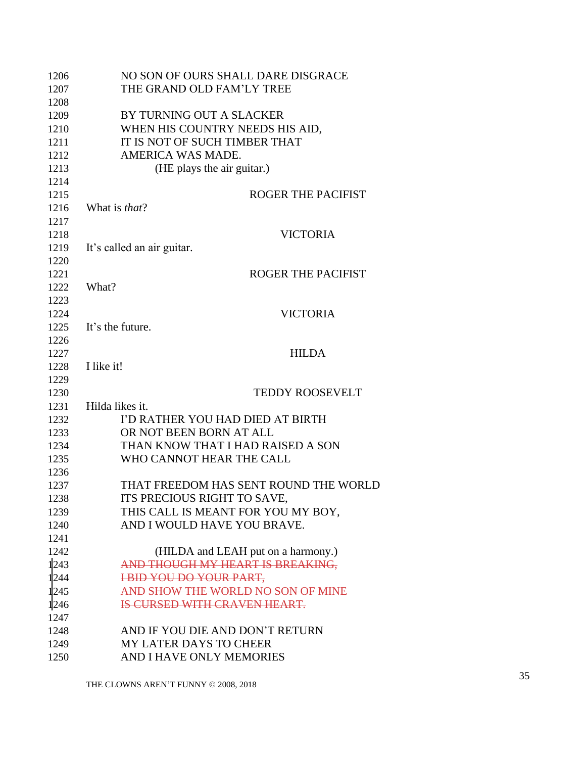| 1206 | NO SON OF OURS SHALL DARE DISGRACE    |
|------|---------------------------------------|
| 1207 | THE GRAND OLD FAM'LY TREE             |
| 1208 |                                       |
| 1209 | BY TURNING OUT A SLACKER              |
| 1210 | WHEN HIS COUNTRY NEEDS HIS AID,       |
| 1211 | IT IS NOT OF SUCH TIMBER THAT         |
| 1212 | AMERICA WAS MADE.                     |
| 1213 | (HE plays the air guitar.)            |
| 1214 |                                       |
| 1215 | <b>ROGER THE PACIFIST</b>             |
| 1216 | What is <i>that</i> ?                 |
| 1217 |                                       |
| 1218 | <b>VICTORIA</b>                       |
| 1219 | It's called an air guitar.            |
| 1220 |                                       |
| 1221 | <b>ROGER THE PACIFIST</b>             |
| 1222 | What?                                 |
| 1223 |                                       |
| 1224 | <b>VICTORIA</b>                       |
| 1225 | It's the future.                      |
| 1226 |                                       |
| 1227 | <b>HILDA</b>                          |
| 1228 | I like it!                            |
| 1229 |                                       |
| 1230 | <b>TEDDY ROOSEVELT</b>                |
| 1231 | Hilda likes it.                       |
| 1232 | I'D RATHER YOU HAD DIED AT BIRTH      |
| 1233 | OR NOT BEEN BORN AT ALL               |
| 1234 | THAN KNOW THAT I HAD RAISED A SON     |
| 1235 | WHO CANNOT HEAR THE CALL              |
| 1236 |                                       |
| 1237 | THAT FREEDOM HAS SENT ROUND THE WORLD |
| 1238 | ITS PRECIOUS RIGHT TO SAVE,           |
| 1239 | THIS CALL IS MEANT FOR YOU MY BOY,    |
| 1240 | AND I WOULD HAVE YOU BRAVE.           |
| 1241 |                                       |
| 1242 | (HILDA and LEAH put on a harmony.)    |
| 1243 | AND THOUGH MY HEART IS BREAKING,      |
| 1244 | <b>IBID YOU DO YOUR PART,</b>         |
| 1245 | AND SHOW THE WORLD NO SON OF MINE     |
| 1246 | IS CURSED WITH CRAVEN HEART.          |
| 1247 |                                       |
| 1248 | AND IF YOU DIE AND DON'T RETURN       |
| 1249 | <b>MY LATER DAYS TO CHEER</b>         |
| 1250 | AND I HAVE ONLY MEMORIES              |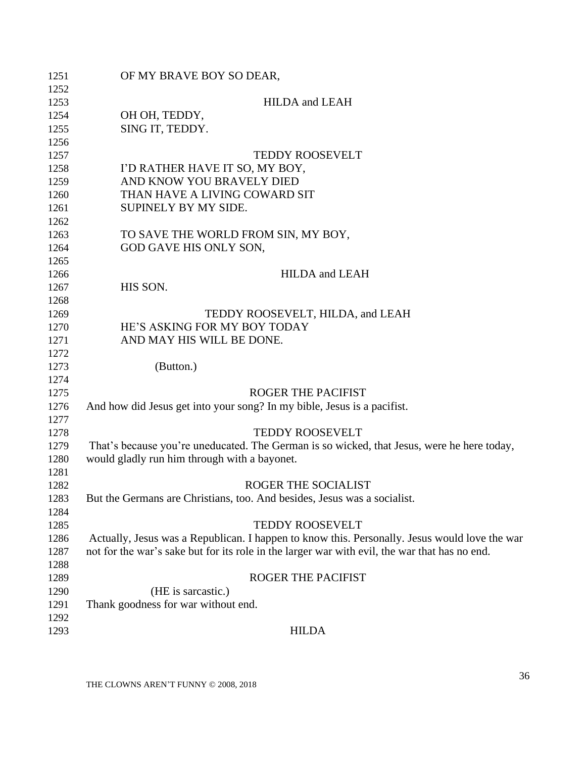| 1251 | OF MY BRAVE BOY SO DEAR,                                                                      |
|------|-----------------------------------------------------------------------------------------------|
| 1252 |                                                                                               |
| 1253 | <b>HILDA</b> and LEAH                                                                         |
| 1254 | OH OH, TEDDY,                                                                                 |
| 1255 | SING IT, TEDDY.                                                                               |
| 1256 |                                                                                               |
| 1257 | <b>TEDDY ROOSEVELT</b>                                                                        |
| 1258 | I'D RATHER HAVE IT SO, MY BOY,                                                                |
| 1259 | AND KNOW YOU BRAVELY DIED                                                                     |
| 1260 | THAN HAVE A LIVING COWARD SIT                                                                 |
| 1261 | SUPINELY BY MY SIDE.                                                                          |
| 1262 |                                                                                               |
| 1263 | TO SAVE THE WORLD FROM SIN, MY BOY,                                                           |
| 1264 | GOD GAVE HIS ONLY SON,                                                                        |
| 1265 |                                                                                               |
| 1266 | <b>HILDA</b> and LEAH                                                                         |
| 1267 | HIS SON.                                                                                      |
| 1268 |                                                                                               |
| 1269 | TEDDY ROOSEVELT, HILDA, and LEAH                                                              |
| 1270 | HE'S ASKING FOR MY BOY TODAY                                                                  |
| 1271 | AND MAY HIS WILL BE DONE.                                                                     |
| 1272 |                                                                                               |
| 1273 | (Button.)                                                                                     |
| 1274 |                                                                                               |
| 1275 | <b>ROGER THE PACIFIST</b>                                                                     |
| 1276 | And how did Jesus get into your song? In my bible, Jesus is a pacifist.                       |
| 1277 |                                                                                               |
| 1278 | <b>TEDDY ROOSEVELT</b>                                                                        |
| 1279 | That's because you're uneducated. The German is so wicked, that Jesus, were he here today,    |
| 1280 | would gladly run him through with a bayonet.                                                  |
| 1281 |                                                                                               |
| 1282 | ROGER THE SOCIALIST                                                                           |
| 1283 | But the Germans are Christians, too. And besides, Jesus was a socialist.                      |
| 1284 |                                                                                               |
| 1285 | <b>TEDDY ROOSEVELT</b>                                                                        |
| 1286 | Actually, Jesus was a Republican. I happen to know this. Personally. Jesus would love the war |
| 1287 | not for the war's sake but for its role in the larger war with evil, the war that has no end. |
| 1288 |                                                                                               |
|      |                                                                                               |
| 1289 | ROGER THE PACIFIST                                                                            |
| 1290 | (HE is sarcastic.)                                                                            |
| 1291 | Thank goodness for war without end.                                                           |
| 1292 |                                                                                               |
| 1293 | <b>HILDA</b>                                                                                  |
|      |                                                                                               |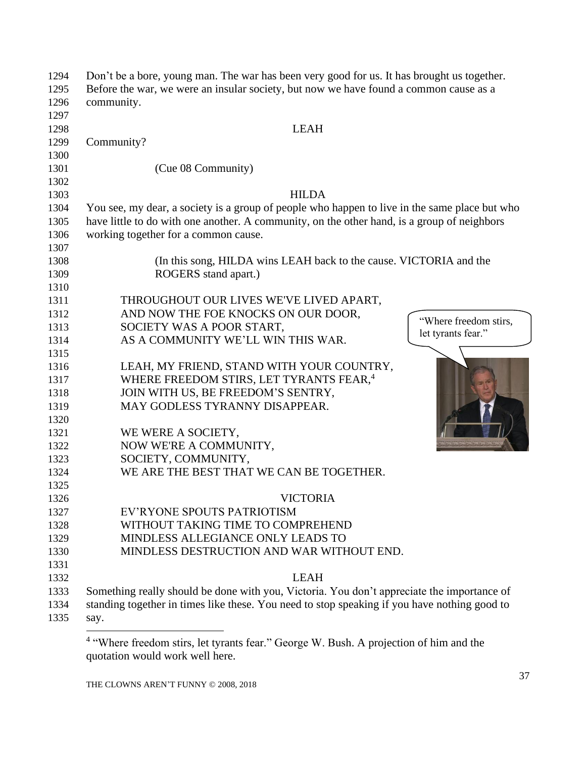| 1294 | Don't be a bore, young man. The war has been very good for us. It has brought us together.    |
|------|-----------------------------------------------------------------------------------------------|
| 1295 | Before the war, we were an insular society, but now we have found a common cause as a         |
| 1296 | community.                                                                                    |
| 1297 |                                                                                               |
| 1298 | <b>LEAH</b>                                                                                   |
| 1299 | Community?                                                                                    |
| 1300 |                                                                                               |
| 1301 | (Cue 08 Community)                                                                            |
| 1302 |                                                                                               |
| 1303 | <b>HILDA</b>                                                                                  |
| 1304 | You see, my dear, a society is a group of people who happen to live in the same place but who |
| 1305 | have little to do with one another. A community, on the other hand, is a group of neighbors   |
| 1306 | working together for a common cause.                                                          |
| 1307 |                                                                                               |
| 1308 | (In this song, HILDA wins LEAH back to the cause. VICTORIA and the                            |
| 1309 | ROGERS stand apart.)                                                                          |
| 1310 |                                                                                               |
| 1311 | THROUGHOUT OUR LIVES WE'VE LIVED APART,                                                       |
| 1312 | AND NOW THE FOE KNOCKS ON OUR DOOR,                                                           |
| 1313 | "Where freedom stirs,<br>SOCIETY WAS A POOR START,                                            |
| 1314 | let tyrants fear."<br>AS A COMMUNITY WE'LL WIN THIS WAR.                                      |
| 1315 |                                                                                               |
| 1316 | LEAH, MY FRIEND, STAND WITH YOUR COUNTRY,                                                     |
| 1317 | WHERE FREEDOM STIRS, LET TYRANTS FEAR, <sup>4</sup>                                           |
| 1318 | JOIN WITH US, BE FREEDOM'S SENTRY,                                                            |
| 1319 | MAY GODLESS TYRANNY DISAPPEAR.                                                                |
| 1320 |                                                                                               |
| 1321 | WE WERE A SOCIETY,                                                                            |
| 1322 | NOW WE'RE A COMMUNITY,                                                                        |
| 1323 | SOCIETY, COMMUNITY,                                                                           |
| 1324 | WE ARE THE BEST THAT WE CAN BE TOGETHER.                                                      |
| 1325 |                                                                                               |
| 1326 | <b>VICTORIA</b>                                                                               |
| 1327 | EV'RYONE SPOUTS PATRIOTISM                                                                    |
| 1328 | WITHOUT TAKING TIME TO COMPREHEND                                                             |
| 1329 | MINDLESS ALLEGIANCE ONLY LEADS TO                                                             |
| 1330 | MINDLESS DESTRUCTION AND WAR WITHOUT END.                                                     |
| 1331 |                                                                                               |
| 1332 | <b>LEAH</b>                                                                                   |
| 1333 | Something really should be done with you, Victoria. You don't appreciate the importance of    |
| 1334 | standing together in times like these. You need to stop speaking if you have nothing good to  |
| 1335 | say.                                                                                          |
|      |                                                                                               |

<sup>&</sup>lt;sup>4</sup> "Where freedom stirs, let tyrants fear." George W. Bush. A projection of him and the quotation would work well here.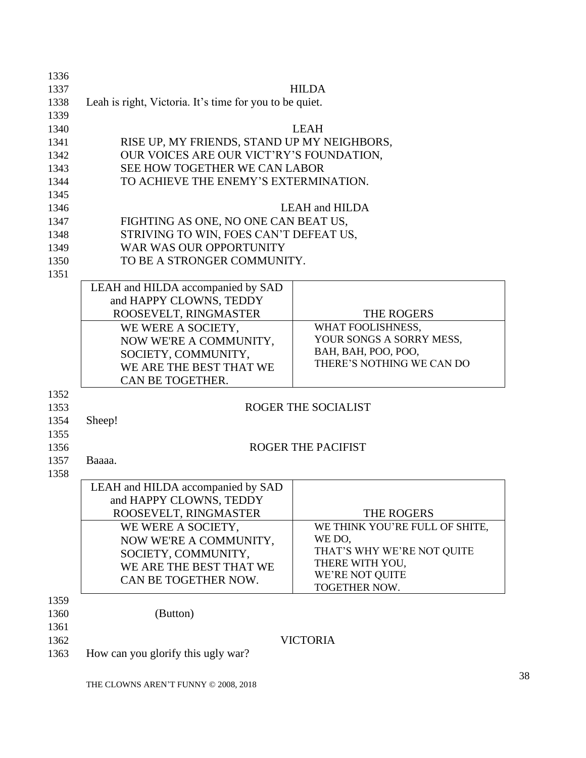| 1336 |                                                         |                                              |  |
|------|---------------------------------------------------------|----------------------------------------------|--|
| 1337 |                                                         | <b>HILDA</b>                                 |  |
| 1338 | Leah is right, Victoria. It's time for you to be quiet. |                                              |  |
| 1339 |                                                         |                                              |  |
| 1340 |                                                         | <b>LEAH</b>                                  |  |
| 1341 | RISE UP, MY FRIENDS, STAND UP MY NEIGHBORS,             |                                              |  |
| 1342 | OUR VOICES ARE OUR VICT'RY'S FOUNDATION,                |                                              |  |
| 1343 | SEE HOW TOGETHER WE CAN LABOR                           |                                              |  |
| 1344 | TO ACHIEVE THE ENEMY'S EXTERMINATION.                   |                                              |  |
| 1345 |                                                         |                                              |  |
| 1346 |                                                         | <b>LEAH and HILDA</b>                        |  |
| 1347 | FIGHTING AS ONE, NO ONE CAN BEAT US,                    |                                              |  |
| 1348 | STRIVING TO WIN, FOES CAN'T DEFEAT US,                  |                                              |  |
| 1349 | WAR WAS OUR OPPORTUNITY                                 |                                              |  |
| 1350 | TO BE A STRONGER COMMUNITY.                             |                                              |  |
| 1351 |                                                         |                                              |  |
|      | LEAH and HILDA accompanied by SAD                       |                                              |  |
|      | and HAPPY CLOWNS, TEDDY                                 |                                              |  |
|      | ROOSEVELT, RINGMASTER                                   | THE ROGERS                                   |  |
|      | WE WERE A SOCIETY,                                      | WHAT FOOLISHNESS,                            |  |
|      | NOW WE'RE A COMMUNITY,                                  | YOUR SONGS A SORRY MESS,                     |  |
|      | SOCIETY, COMMUNITY,                                     | BAH, BAH, POO, POO,                          |  |
|      | WE ARE THE BEST THAT WE                                 | THERE'S NOTHING WE CAN DO                    |  |
|      | CAN BE TOGETHER.                                        |                                              |  |
| 1352 |                                                         |                                              |  |
| 1353 |                                                         | ROGER THE SOCIALIST                          |  |
| 1354 | Sheep!                                                  |                                              |  |
| 1355 |                                                         |                                              |  |
| 1356 |                                                         | <b>ROGER THE PACIFIST</b>                    |  |
| 1357 | Baaaa.                                                  |                                              |  |
| 1358 |                                                         |                                              |  |
|      | LEAH and HILDA accompanied by SAD                       |                                              |  |
|      | and HAPPY CLOWNS, TEDDY                                 |                                              |  |
|      |                                                         |                                              |  |
|      | ROOSEVELT, RINGMASTER                                   | THE ROGERS<br>WE THINK YOU'RE FULL OF SHITE, |  |
|      | WE WERE A SOCIETY,                                      | WE DO,                                       |  |
|      | NOW WE'RE A COMMUNITY,                                  | THAT'S WHY WE'RE NOT QUITE                   |  |
|      | SOCIETY, COMMUNITY,                                     | THERE WITH YOU,                              |  |
|      | WE ARE THE BEST THAT WE                                 | WE'RE NOT QUITE                              |  |
|      | CAN BE TOGETHER NOW.                                    | TOGETHER NOW.                                |  |
| 1359 |                                                         |                                              |  |
| 1360 | (Button)                                                |                                              |  |
| 1361 |                                                         |                                              |  |
| 1362 |                                                         | <b>VICTORIA</b>                              |  |
| 1363 | How can you glorify this ugly war?                      |                                              |  |
|      |                                                         |                                              |  |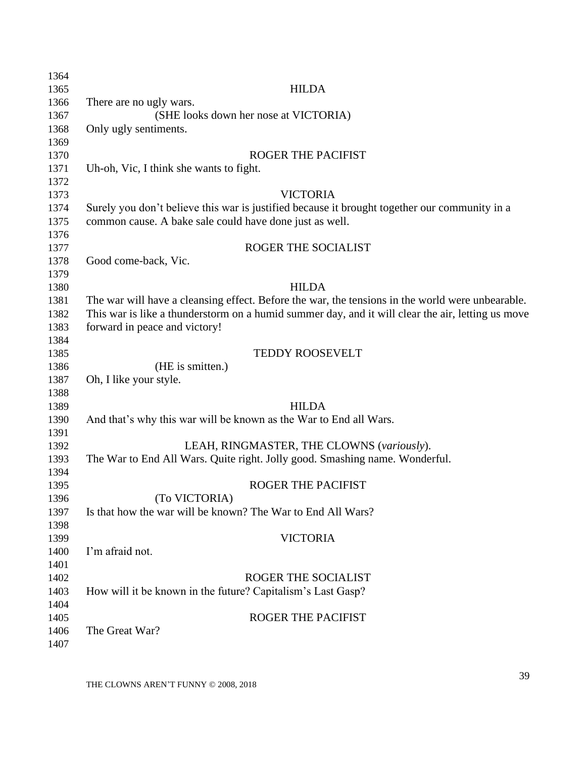| 1364 |                                                                                                   |
|------|---------------------------------------------------------------------------------------------------|
| 1365 | <b>HILDA</b>                                                                                      |
| 1366 | There are no ugly wars.                                                                           |
| 1367 | (SHE looks down her nose at VICTORIA)                                                             |
| 1368 | Only ugly sentiments.                                                                             |
| 1369 |                                                                                                   |
| 1370 | ROGER THE PACIFIST                                                                                |
| 1371 | Uh-oh, Vic, I think she wants to fight.                                                           |
| 1372 |                                                                                                   |
| 1373 | <b>VICTORIA</b>                                                                                   |
| 1374 | Surely you don't believe this war is justified because it brought together our community in a     |
| 1375 | common cause. A bake sale could have done just as well.                                           |
| 1376 |                                                                                                   |
| 1377 | ROGER THE SOCIALIST                                                                               |
| 1378 | Good come-back, Vic.                                                                              |
| 1379 |                                                                                                   |
| 1380 | <b>HILDA</b>                                                                                      |
| 1381 | The war will have a cleansing effect. Before the war, the tensions in the world were unbearable.  |
| 1382 | This war is like a thunderstorm on a humid summer day, and it will clear the air, letting us move |
| 1383 | forward in peace and victory!                                                                     |
| 1384 |                                                                                                   |
| 1385 | <b>TEDDY ROOSEVELT</b>                                                                            |
| 1386 | (HE is smitten.)                                                                                  |
| 1387 | Oh, I like your style.                                                                            |
| 1388 |                                                                                                   |
| 1389 | <b>HILDA</b>                                                                                      |
| 1390 | And that's why this war will be known as the War to End all Wars.                                 |
| 1391 |                                                                                                   |
|      | LEAH, RINGMASTER, THE CLOWNS (variously).                                                         |
| 1392 | The War to End All Wars. Quite right. Jolly good. Smashing name. Wonderful.                       |
| 1393 |                                                                                                   |
| 1394 | <b>ROGER THE PACIFIST</b>                                                                         |
| 1395 | (To VICTORIA)                                                                                     |
| 1396 | Is that how the war will be known? The War to End All Wars?                                       |
| 1397 |                                                                                                   |
| 1398 |                                                                                                   |
| 1399 | <b>VICTORIA</b>                                                                                   |
| 1400 | I'm afraid not.                                                                                   |
| 1401 |                                                                                                   |
| 1402 | ROGER THE SOCIALIST                                                                               |
| 1403 | How will it be known in the future? Capitalism's Last Gasp?                                       |
| 1404 |                                                                                                   |
| 1405 | <b>ROGER THE PACIFIST</b>                                                                         |
| 1406 | The Great War?                                                                                    |
| 1407 |                                                                                                   |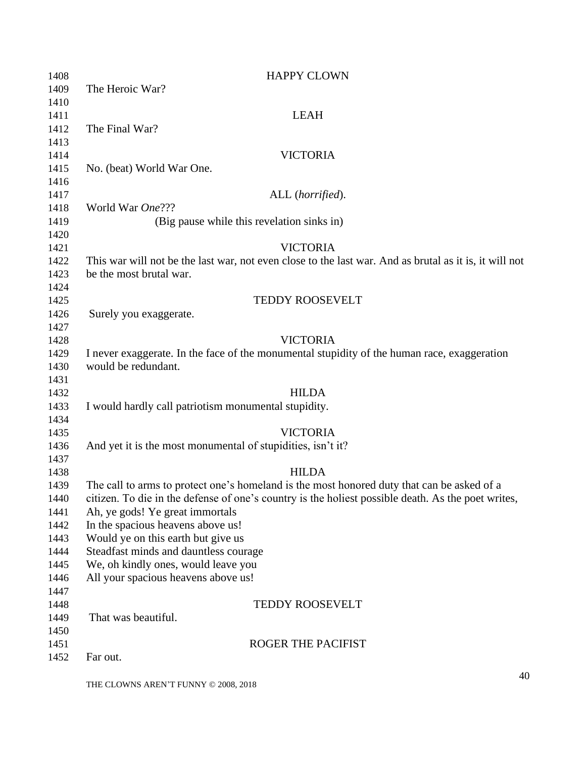| 1408 | <b>HAPPY CLOWN</b>                                                                                     |
|------|--------------------------------------------------------------------------------------------------------|
| 1409 | The Heroic War?                                                                                        |
| 1410 |                                                                                                        |
| 1411 | <b>LEAH</b>                                                                                            |
| 1412 | The Final War?                                                                                         |
| 1413 |                                                                                                        |
| 1414 | <b>VICTORIA</b>                                                                                        |
| 1415 | No. (beat) World War One.                                                                              |
| 1416 |                                                                                                        |
| 1417 | ALL (horrified).                                                                                       |
| 1418 | World War One???                                                                                       |
| 1419 | (Big pause while this revelation sinks in)                                                             |
| 1420 |                                                                                                        |
| 1421 | <b>VICTORIA</b>                                                                                        |
| 1422 | This war will not be the last war, not even close to the last war. And as brutal as it is, it will not |
| 1423 | be the most brutal war.                                                                                |
| 1424 |                                                                                                        |
| 1425 | <b>TEDDY ROOSEVELT</b>                                                                                 |
| 1426 | Surely you exaggerate.                                                                                 |
| 1427 |                                                                                                        |
| 1428 | <b>VICTORIA</b>                                                                                        |
| 1429 | I never exaggerate. In the face of the monumental stupidity of the human race, exaggeration            |
| 1430 | would be redundant.                                                                                    |
| 1431 |                                                                                                        |
| 1432 | <b>HILDA</b>                                                                                           |
| 1433 | I would hardly call patriotism monumental stupidity.                                                   |
| 1434 |                                                                                                        |
| 1435 | <b>VICTORIA</b>                                                                                        |
| 1436 | And yet it is the most monumental of stupidities, isn't it?                                            |
| 1437 |                                                                                                        |
| 1438 | <b>HILDA</b>                                                                                           |
| 1439 | The call to arms to protect one's homeland is the most honored duty that can be asked of a             |
| 1440 | citizen. To die in the defense of one's country is the holiest possible death. As the poet writes,     |
| 1441 | Ah, ye gods! Ye great immortals                                                                        |
| 1442 | In the spacious heavens above us!                                                                      |
| 1443 | Would ye on this earth but give us                                                                     |
| 1444 | Steadfast minds and dauntless courage                                                                  |
| 1445 | We, oh kindly ones, would leave you                                                                    |
| 1446 | All your spacious heavens above us!                                                                    |
| 1447 |                                                                                                        |
| 1448 | <b>TEDDY ROOSEVELT</b>                                                                                 |
| 1449 | That was beautiful.                                                                                    |
| 1450 |                                                                                                        |
| 1451 | ROGER THE PACIFIST                                                                                     |
| 1452 | Far out.                                                                                               |
|      |                                                                                                        |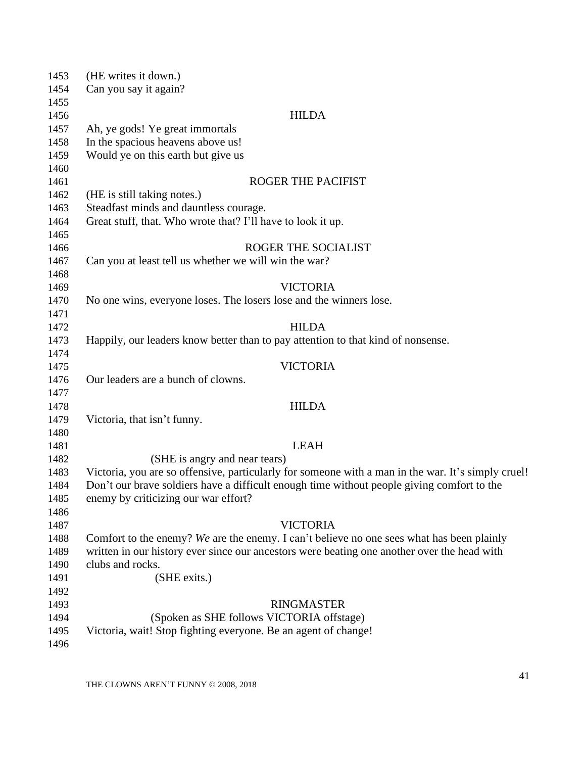| 1453 | (HE writes it down.)                                                                               |
|------|----------------------------------------------------------------------------------------------------|
| 1454 | Can you say it again?                                                                              |
| 1455 |                                                                                                    |
| 1456 | <b>HILDA</b>                                                                                       |
| 1457 | Ah, ye gods! Ye great immortals                                                                    |
| 1458 | In the spacious heavens above us!                                                                  |
| 1459 | Would ye on this earth but give us                                                                 |
| 1460 |                                                                                                    |
| 1461 | <b>ROGER THE PACIFIST</b>                                                                          |
| 1462 | (HE is still taking notes.)                                                                        |
| 1463 | Steadfast minds and dauntless courage.                                                             |
| 1464 | Great stuff, that. Who wrote that? I'll have to look it up.                                        |
| 1465 |                                                                                                    |
| 1466 | ROGER THE SOCIALIST                                                                                |
| 1467 | Can you at least tell us whether we will win the war?                                              |
| 1468 |                                                                                                    |
| 1469 | <b>VICTORIA</b>                                                                                    |
| 1470 | No one wins, everyone loses. The losers lose and the winners lose.                                 |
| 1471 |                                                                                                    |
| 1472 | <b>HILDA</b>                                                                                       |
| 1473 | Happily, our leaders know better than to pay attention to that kind of nonsense.                   |
| 1474 |                                                                                                    |
| 1475 | <b>VICTORIA</b>                                                                                    |
| 1476 | Our leaders are a bunch of clowns.                                                                 |
| 1477 |                                                                                                    |
| 1478 | <b>HILDA</b>                                                                                       |
| 1479 | Victoria, that isn't funny.                                                                        |
| 1480 |                                                                                                    |
| 1481 | <b>LEAH</b>                                                                                        |
| 1482 | (SHE is angry and near tears)                                                                      |
| 1483 | Victoria, you are so offensive, particularly for someone with a man in the war. It's simply cruel! |
| 1484 | Don't our brave soldiers have a difficult enough time without people giving comfort to the         |
| 1485 | enemy by criticizing our war effort?                                                               |
| 1486 |                                                                                                    |
| 1487 | <b>VICTORIA</b>                                                                                    |
| 1488 | Comfort to the enemy? We are the enemy. I can't believe no one sees what has been plainly          |
| 1489 | written in our history ever since our ancestors were beating one another over the head with        |
| 1490 | clubs and rocks.                                                                                   |
| 1491 | (SHE exits.)                                                                                       |
| 1492 |                                                                                                    |
| 1493 | <b>RINGMASTER</b>                                                                                  |
| 1494 | (Spoken as SHE follows VICTORIA offstage)                                                          |
| 1495 | Victoria, wait! Stop fighting everyone. Be an agent of change!                                     |
| 1496 |                                                                                                    |
|      |                                                                                                    |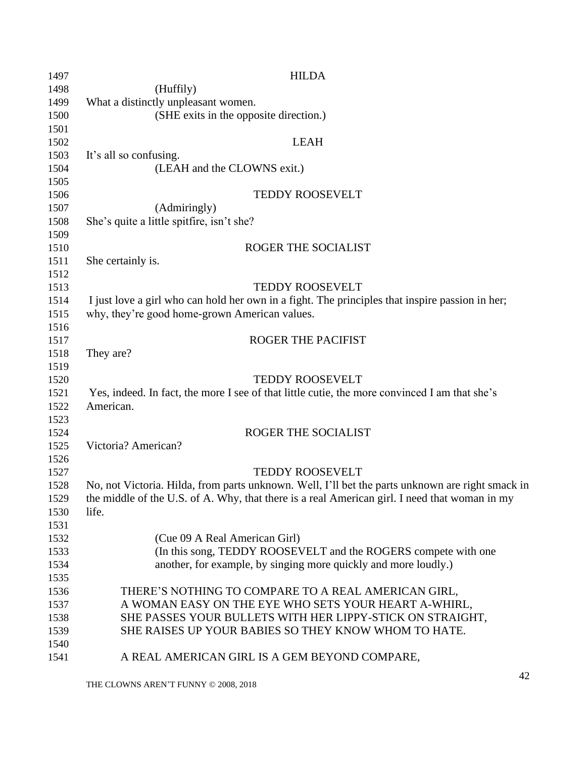| 1497 | <b>HILDA</b>                                                                                     |
|------|--------------------------------------------------------------------------------------------------|
| 1498 | (Huffily)                                                                                        |
| 1499 | What a distinctly unpleasant women.                                                              |
| 1500 | (SHE exits in the opposite direction.)                                                           |
| 1501 |                                                                                                  |
| 1502 | <b>LEAH</b>                                                                                      |
| 1503 | It's all so confusing.                                                                           |
| 1504 | (LEAH and the CLOWNS exit.)                                                                      |
| 1505 |                                                                                                  |
| 1506 | <b>TEDDY ROOSEVELT</b>                                                                           |
| 1507 | (Admiringly)                                                                                     |
| 1508 | She's quite a little spitfire, isn't she?                                                        |
| 1509 |                                                                                                  |
| 1510 | ROGER THE SOCIALIST                                                                              |
| 1511 | She certainly is.                                                                                |
| 1512 |                                                                                                  |
| 1513 | <b>TEDDY ROOSEVELT</b>                                                                           |
| 1514 | I just love a girl who can hold her own in a fight. The principles that inspire passion in her;  |
| 1515 | why, they're good home-grown American values.                                                    |
| 1516 |                                                                                                  |
| 1517 | <b>ROGER THE PACIFIST</b>                                                                        |
| 1518 | They are?                                                                                        |
| 1519 |                                                                                                  |
| 1520 | <b>TEDDY ROOSEVELT</b>                                                                           |
| 1521 | Yes, indeed. In fact, the more I see of that little cutie, the more convinced I am that she's    |
| 1522 | American.                                                                                        |
| 1523 |                                                                                                  |
| 1524 | ROGER THE SOCIALIST                                                                              |
| 1525 | Victoria? American?                                                                              |
| 1526 |                                                                                                  |
| 1527 | <b>TEDDY ROOSEVELT</b>                                                                           |
| 1528 | No, not Victoria. Hilda, from parts unknown. Well, I'll bet the parts unknown are right smack in |
| 1529 | the middle of the U.S. of A. Why, that there is a real American girl. I need that woman in my    |
| 1530 | life.                                                                                            |
| 1531 |                                                                                                  |
| 1532 | (Cue 09 A Real American Girl)                                                                    |
| 1533 | (In this song, TEDDY ROOSEVELT and the ROGERS compete with one                                   |
| 1534 | another, for example, by singing more quickly and more loudly.)                                  |
| 1535 |                                                                                                  |
| 1536 | THERE'S NOTHING TO COMPARE TO A REAL AMERICAN GIRL,                                              |
| 1537 | A WOMAN EASY ON THE EYE WHO SETS YOUR HEART A-WHIRL,                                             |
| 1538 | SHE PASSES YOUR BULLETS WITH HER LIPPY-STICK ON STRAIGHT,                                        |
| 1539 | SHE RAISES UP YOUR BABIES SO THEY KNOW WHOM TO HATE.                                             |
| 1540 |                                                                                                  |
| 1541 | A REAL AMERICAN GIRL IS A GEM BEYOND COMPARE,                                                    |
|      |                                                                                                  |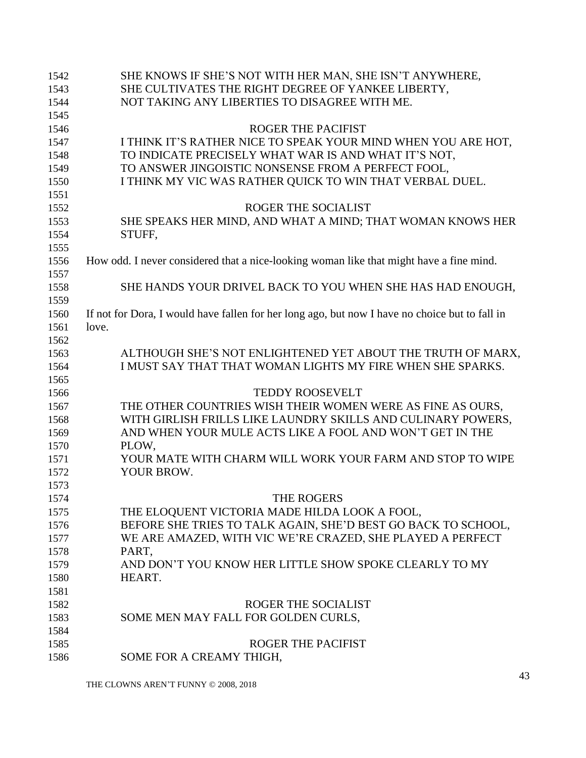| 1542 | SHE KNOWS IF SHE'S NOT WITH HER MAN, SHE ISN'T ANYWHERE,                                       |
|------|------------------------------------------------------------------------------------------------|
| 1543 | SHE CULTIVATES THE RIGHT DEGREE OF YANKEE LIBERTY,                                             |
| 1544 | NOT TAKING ANY LIBERTIES TO DISAGREE WITH ME.                                                  |
| 1545 |                                                                                                |
| 1546 | <b>ROGER THE PACIFIST</b>                                                                      |
| 1547 | I THINK IT'S RATHER NICE TO SPEAK YOUR MIND WHEN YOU ARE HOT,                                  |
| 1548 | TO INDICATE PRECISELY WHAT WAR IS AND WHAT IT'S NOT,                                           |
| 1549 | TO ANSWER JINGOISTIC NONSENSE FROM A PERFECT FOOL,                                             |
| 1550 | I THINK MY VIC WAS RATHER QUICK TO WIN THAT VERBAL DUEL.                                       |
| 1551 |                                                                                                |
| 1552 | ROGER THE SOCIALIST                                                                            |
| 1553 | SHE SPEAKS HER MIND, AND WHAT A MIND; THAT WOMAN KNOWS HER                                     |
| 1554 | STUFF,                                                                                         |
| 1555 |                                                                                                |
| 1556 | How odd. I never considered that a nice-looking woman like that might have a fine mind.        |
| 1557 |                                                                                                |
| 1558 | SHE HANDS YOUR DRIVEL BACK TO YOU WHEN SHE HAS HAD ENOUGH,                                     |
| 1559 |                                                                                                |
| 1560 | If not for Dora, I would have fallen for her long ago, but now I have no choice but to fall in |
| 1561 | love.                                                                                          |
| 1562 |                                                                                                |
| 1563 | ALTHOUGH SHE'S NOT ENLIGHTENED YET ABOUT THE TRUTH OF MARX,                                    |
| 1564 | I MUST SAY THAT THAT WOMAN LIGHTS MY FIRE WHEN SHE SPARKS.                                     |
| 1565 |                                                                                                |
| 1566 | TEDDY ROOSEVELT                                                                                |
| 1567 | THE OTHER COUNTRIES WISH THEIR WOMEN WERE AS FINE AS OURS,                                     |
| 1568 | WITH GIRLISH FRILLS LIKE LAUNDRY SKILLS AND CULINARY POWERS,                                   |
| 1569 | AND WHEN YOUR MULE ACTS LIKE A FOOL AND WON'T GET IN THE                                       |
| 1570 | PLOW,                                                                                          |
| 1571 | YOUR MATE WITH CHARM WILL WORK YOUR FARM AND STOP TO WIPE                                      |
| 1572 | YOUR BROW.                                                                                     |
| 1573 |                                                                                                |
| 1574 | THE ROGERS                                                                                     |
| 1575 | THE ELOQUENT VICTORIA MADE HILDA LOOK A FOOL,                                                  |
| 1576 | BEFORE SHE TRIES TO TALK AGAIN, SHE'D BEST GO BACK TO SCHOOL,                                  |
| 1577 | WE ARE AMAZED, WITH VIC WE'RE CRAZED, SHE PLAYED A PERFECT                                     |
| 1578 | PART,                                                                                          |
| 1579 | AND DON'T YOU KNOW HER LITTLE SHOW SPOKE CLEARLY TO MY                                         |
| 1580 | HEART.                                                                                         |
| 1581 |                                                                                                |
| 1582 | ROGER THE SOCIALIST                                                                            |
| 1583 | SOME MEN MAY FALL FOR GOLDEN CURLS,                                                            |
| 1584 |                                                                                                |
| 1585 | <b>ROGER THE PACIFIST</b>                                                                      |
| 1586 | SOME FOR A CREAMY THIGH,                                                                       |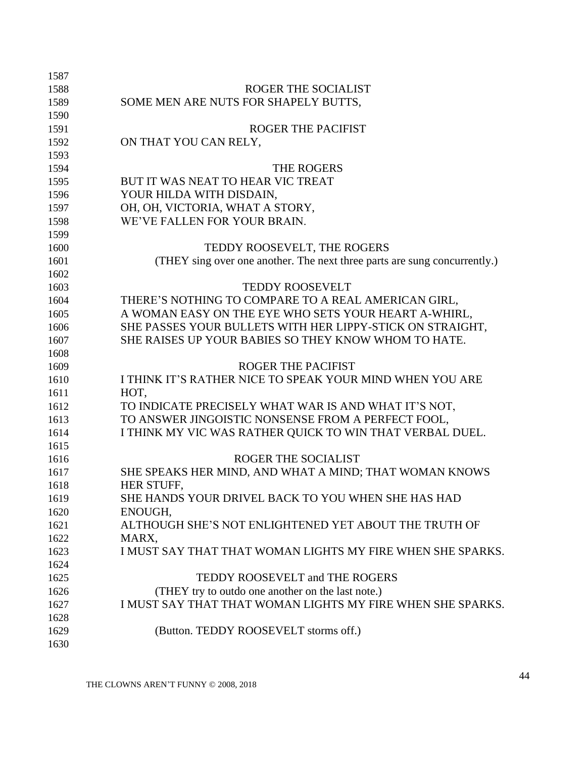| 1587 |                                                                           |
|------|---------------------------------------------------------------------------|
| 1588 | ROGER THE SOCIALIST                                                       |
| 1589 | SOME MEN ARE NUTS FOR SHAPELY BUTTS,                                      |
| 1590 |                                                                           |
| 1591 | <b>ROGER THE PACIFIST</b>                                                 |
| 1592 | ON THAT YOU CAN RELY,                                                     |
| 1593 |                                                                           |
| 1594 | THE ROGERS                                                                |
| 1595 | BUT IT WAS NEAT TO HEAR VIC TREAT                                         |
| 1596 | YOUR HILDA WITH DISDAIN,                                                  |
| 1597 | OH, OH, VICTORIA, WHAT A STORY,                                           |
| 1598 | WE'VE FALLEN FOR YOUR BRAIN.                                              |
| 1599 |                                                                           |
| 1600 | TEDDY ROOSEVELT, THE ROGERS                                               |
| 1601 | (THEY sing over one another. The next three parts are sung concurrently.) |
| 1602 |                                                                           |
| 1603 | <b>TEDDY ROOSEVELT</b>                                                    |
| 1604 | THERE'S NOTHING TO COMPARE TO A REAL AMERICAN GIRL,                       |
| 1605 | A WOMAN EASY ON THE EYE WHO SETS YOUR HEART A-WHIRL,                      |
| 1606 | SHE PASSES YOUR BULLETS WITH HER LIPPY-STICK ON STRAIGHT,                 |
| 1607 | SHE RAISES UP YOUR BABIES SO THEY KNOW WHOM TO HATE.                      |
| 1608 |                                                                           |
| 1609 | <b>ROGER THE PACIFIST</b>                                                 |
| 1610 | I THINK IT'S RATHER NICE TO SPEAK YOUR MIND WHEN YOU ARE                  |
| 1611 | HOT,                                                                      |
| 1612 | TO INDICATE PRECISELY WHAT WAR IS AND WHAT IT'S NOT,                      |
| 1613 | TO ANSWER JINGOISTIC NONSENSE FROM A PERFECT FOOL,                        |
| 1614 | I THINK MY VIC WAS RATHER QUICK TO WIN THAT VERBAL DUEL.                  |
| 1615 |                                                                           |
| 1616 | ROGER THE SOCIALIST                                                       |
| 1617 | SHE SPEAKS HER MIND, AND WHAT A MIND; THAT WOMAN KNOWS                    |
| 1618 | HER STUFF,                                                                |
| 1619 | SHE HANDS YOUR DRIVEL BACK TO YOU WHEN SHE HAS HAD                        |
| 1620 | ENOUGH,                                                                   |
| 1621 | ALTHOUGH SHE'S NOT ENLIGHTENED YET ABOUT THE TRUTH OF                     |
| 1622 | MARX.                                                                     |
| 1623 | I MUST SAY THAT THAT WOMAN LIGHTS MY FIRE WHEN SHE SPARKS.                |
| 1624 |                                                                           |
| 1625 | TEDDY ROOSEVELT and THE ROGERS                                            |
| 1626 | (THEY try to outdo one another on the last note.)                         |
| 1627 | I MUST SAY THAT THAT WOMAN LIGHTS MY FIRE WHEN SHE SPARKS.                |
| 1628 |                                                                           |
| 1629 | (Button. TEDDY ROOSEVELT storms off.)                                     |
| 1630 |                                                                           |
|      |                                                                           |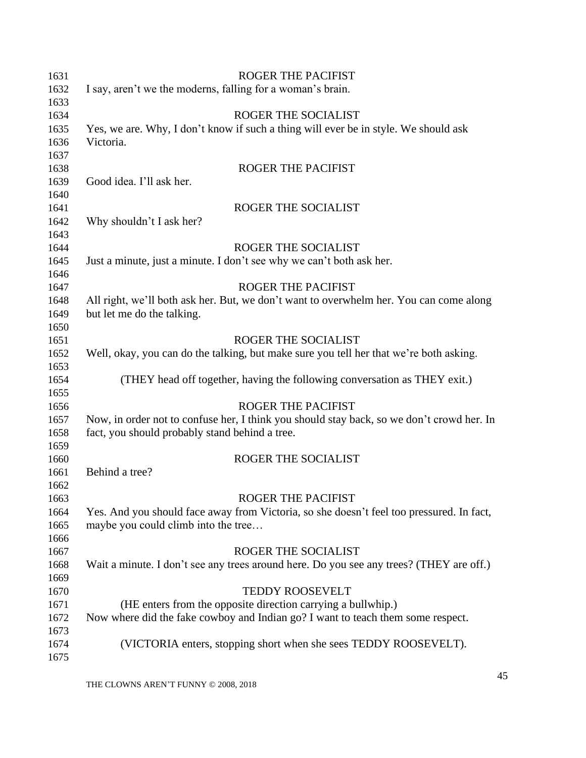| 1631 | <b>ROGER THE PACIFIST</b>                                                                 |
|------|-------------------------------------------------------------------------------------------|
| 1632 | I say, aren't we the moderns, falling for a woman's brain.                                |
| 1633 |                                                                                           |
| 1634 | ROGER THE SOCIALIST                                                                       |
| 1635 | Yes, we are. Why, I don't know if such a thing will ever be in style. We should ask       |
| 1636 | Victoria.                                                                                 |
| 1637 |                                                                                           |
| 1638 | <b>ROGER THE PACIFIST</b>                                                                 |
| 1639 | Good idea. I'll ask her.                                                                  |
| 1640 |                                                                                           |
| 1641 | ROGER THE SOCIALIST                                                                       |
| 1642 | Why shouldn't I ask her?                                                                  |
| 1643 |                                                                                           |
| 1644 | ROGER THE SOCIALIST                                                                       |
| 1645 | Just a minute, just a minute. I don't see why we can't both ask her.                      |
| 1646 |                                                                                           |
| 1647 | <b>ROGER THE PACIFIST</b>                                                                 |
| 1648 | All right, we'll both ask her. But, we don't want to overwhelm her. You can come along    |
| 1649 | but let me do the talking.                                                                |
| 1650 |                                                                                           |
| 1651 | <b>ROGER THE SOCIALIST</b>                                                                |
| 1652 | Well, okay, you can do the talking, but make sure you tell her that we're both asking.    |
| 1653 |                                                                                           |
| 1654 | (THEY head off together, having the following conversation as THEY exit.)                 |
| 1655 |                                                                                           |
| 1656 | <b>ROGER THE PACIFIST</b>                                                                 |
| 1657 | Now, in order not to confuse her, I think you should stay back, so we don't crowd her. In |
| 1658 | fact, you should probably stand behind a tree.                                            |
| 1659 |                                                                                           |
| 1660 | <b>ROGER THE SOCIALIST</b>                                                                |
| 1661 | Behind a tree?                                                                            |
| 1662 |                                                                                           |
| 1663 | <b>ROGER THE PACIFIST</b>                                                                 |
| 1664 | Yes. And you should face away from Victoria, so she doesn't feel too pressured. In fact,  |
| 1665 | maybe you could climb into the tree                                                       |
| 1666 |                                                                                           |
| 1667 | ROGER THE SOCIALIST                                                                       |
| 1668 | Wait a minute. I don't see any trees around here. Do you see any trees? (THEY are off.)   |
| 1669 |                                                                                           |
| 1670 | <b>TEDDY ROOSEVELT</b>                                                                    |
| 1671 | (HE enters from the opposite direction carrying a bullwhip.)                              |
| 1672 | Now where did the fake cowboy and Indian go? I want to teach them some respect.           |
| 1673 |                                                                                           |
| 1674 | (VICTORIA enters, stopping short when she sees TEDDY ROOSEVELT).                          |
| 1675 |                                                                                           |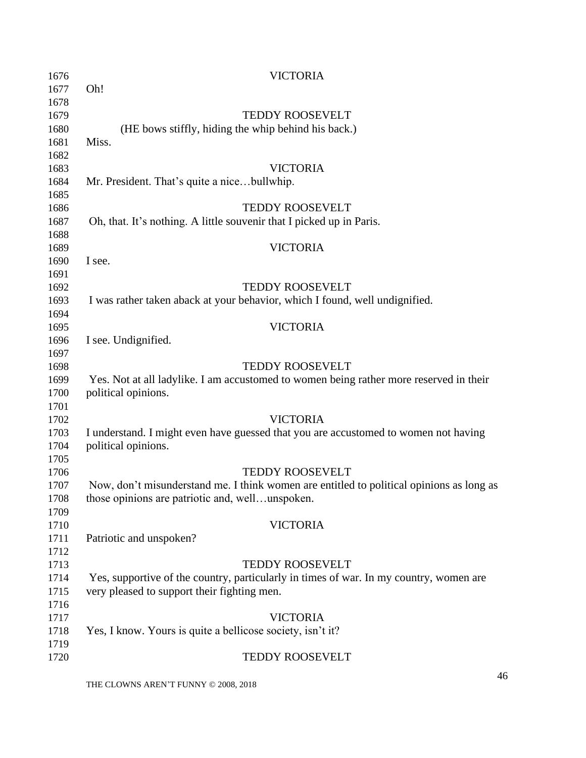| 1676         | <b>VICTORIA</b>                                                                          |
|--------------|------------------------------------------------------------------------------------------|
| 1677         | Oh!                                                                                      |
| 1678         |                                                                                          |
| 1679         | TEDDY ROOSEVELT                                                                          |
| 1680         | (HE bows stiffly, hiding the whip behind his back.)                                      |
| 1681         | Miss.                                                                                    |
| 1682         |                                                                                          |
| 1683         | <b>VICTORIA</b>                                                                          |
| 1684         | Mr. President. That's quite a nicebullwhip.                                              |
| 1685         |                                                                                          |
| 1686         | <b>TEDDY ROOSEVELT</b>                                                                   |
| 1687         | Oh, that. It's nothing. A little souvenir that I picked up in Paris.                     |
| 1688         |                                                                                          |
| 1689         | <b>VICTORIA</b>                                                                          |
| 1690         | I see.                                                                                   |
| 1691         |                                                                                          |
| 1692         | <b>TEDDY ROOSEVELT</b>                                                                   |
| 1693         | I was rather taken aback at your behavior, which I found, well undignified.              |
| 1694         |                                                                                          |
| 1695         | <b>VICTORIA</b>                                                                          |
| 1696         | I see. Undignified.                                                                      |
| 1697         |                                                                                          |
| 1698         | <b>TEDDY ROOSEVELT</b>                                                                   |
| 1699         | Yes. Not at all ladylike. I am accustomed to women being rather more reserved in their   |
| 1700         | political opinions.                                                                      |
| 1701         |                                                                                          |
| 1702         | <b>VICTORIA</b>                                                                          |
| 1703         | I understand. I might even have guessed that you are accustomed to women not having      |
| 1704         | political opinions.                                                                      |
| 1705         |                                                                                          |
| 1706         | <b>TEDDY ROOSEVELT</b>                                                                   |
| 1707         | Now, don't misunderstand me. I think women are entitled to political opinions as long as |
| 1708<br>1709 | those opinions are patriotic and, wellunspoken.                                          |
| 1710         | <b>VICTORIA</b>                                                                          |
| 1711         | Patriotic and unspoken?                                                                  |
| 1712         |                                                                                          |
| 1713         | <b>TEDDY ROOSEVELT</b>                                                                   |
| 1714         | Yes, supportive of the country, particularly in times of war. In my country, women are   |
| 1715         | very pleased to support their fighting men.                                              |
| 1716         |                                                                                          |
| 1717         | <b>VICTORIA</b>                                                                          |
| 1718         | Yes, I know. Yours is quite a bellicose society, isn't it?                               |
| 1719         |                                                                                          |
| 1720         | <b>TEDDY ROOSEVELT</b>                                                                   |
|              |                                                                                          |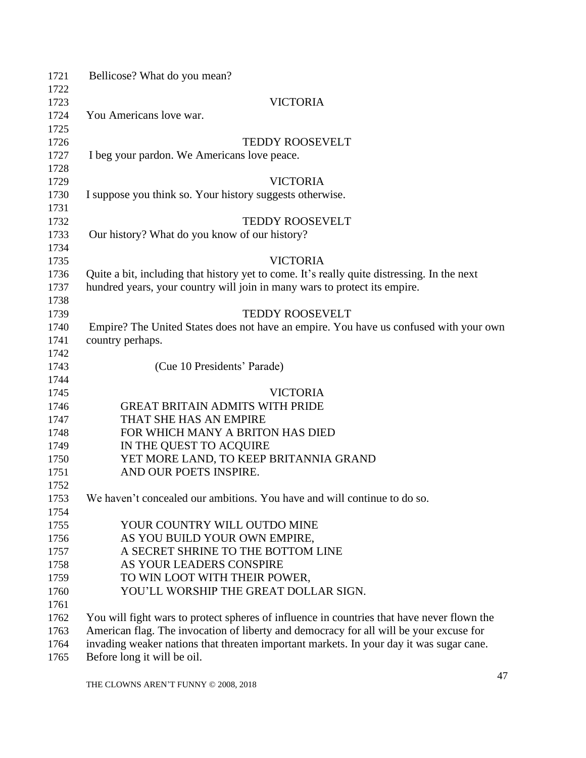| 1721 | Bellicose? What do you mean?                                                                |
|------|---------------------------------------------------------------------------------------------|
| 1722 |                                                                                             |
| 1723 | <b>VICTORIA</b>                                                                             |
| 1724 | You Americans love war.                                                                     |
| 1725 |                                                                                             |
| 1726 | <b>TEDDY ROOSEVELT</b>                                                                      |
| 1727 | I beg your pardon. We Americans love peace.                                                 |
| 1728 |                                                                                             |
| 1729 | <b>VICTORIA</b>                                                                             |
| 1730 | I suppose you think so. Your history suggests otherwise.                                    |
| 1731 |                                                                                             |
| 1732 | <b>TEDDY ROOSEVELT</b>                                                                      |
| 1733 | Our history? What do you know of our history?                                               |
| 1734 |                                                                                             |
| 1735 | <b>VICTORIA</b>                                                                             |
| 1736 | Quite a bit, including that history yet to come. It's really quite distressing. In the next |
| 1737 | hundred years, your country will join in many wars to protect its empire.                   |
| 1738 |                                                                                             |
| 1739 | <b>TEDDY ROOSEVELT</b>                                                                      |
| 1740 | Empire? The United States does not have an empire. You have us confused with your own       |
| 1741 | country perhaps.                                                                            |
| 1742 |                                                                                             |
| 1743 | (Cue 10 Presidents' Parade)                                                                 |
| 1744 |                                                                                             |
| 1745 | <b>VICTORIA</b>                                                                             |
| 1746 | <b>GREAT BRITAIN ADMITS WITH PRIDE</b>                                                      |
| 1747 | THAT SHE HAS AN EMPIRE                                                                      |
| 1748 | FOR WHICH MANY A BRITON HAS DIED                                                            |
| 1749 | IN THE QUEST TO ACQUIRE                                                                     |
| 1750 | YET MORE LAND, TO KEEP BRITANNIA GRAND                                                      |
| 1751 | AND OUR POETS INSPIRE.                                                                      |
| 1752 |                                                                                             |
| 1753 | We haven't concealed our ambitions. You have and will continue to do so.                    |
| 1754 |                                                                                             |
| 1755 | YOUR COUNTRY WILL OUTDO MINE                                                                |
| 1756 | AS YOU BUILD YOUR OWN EMPIRE,                                                               |
| 1757 | A SECRET SHRINE TO THE BOTTOM LINE                                                          |
| 1758 | AS YOUR LEADERS CONSPIRE                                                                    |
| 1759 | TO WIN LOOT WITH THEIR POWER,                                                               |
| 1760 | YOU'LL WORSHIP THE GREAT DOLLAR SIGN.                                                       |
| 1761 |                                                                                             |
| 1762 | You will fight wars to protect spheres of influence in countries that have never flown the  |
| 1763 | American flag. The invocation of liberty and democracy for all will be your excuse for      |
| 1764 | invading weaker nations that threaten important markets. In your day it was sugar cane.     |
| 1765 | Before long it will be oil.                                                                 |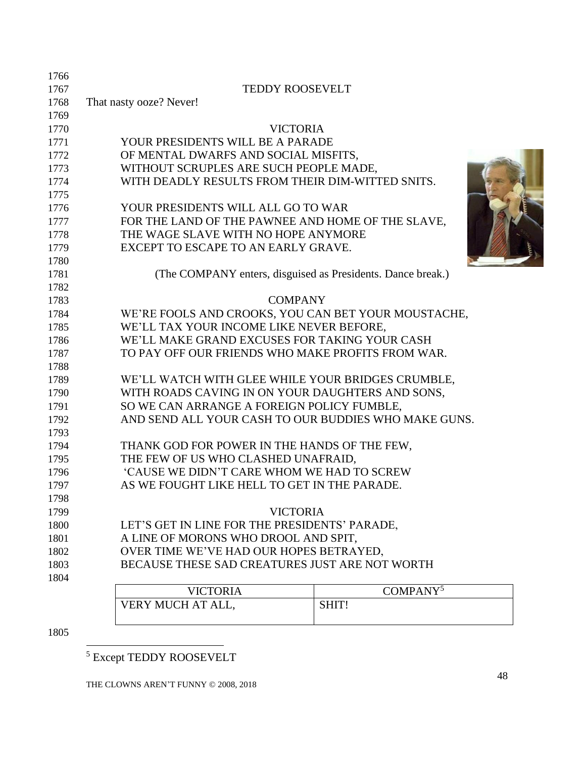| 1766 |                                                             |
|------|-------------------------------------------------------------|
| 1767 | <b>TEDDY ROOSEVELT</b>                                      |
| 1768 | That nasty ooze? Never!                                     |
| 1769 |                                                             |
| 1770 | <b>VICTORIA</b>                                             |
| 1771 | YOUR PRESIDENTS WILL BE A PARADE                            |
| 1772 | OF MENTAL DWARFS AND SOCIAL MISFITS,                        |
| 1773 | WITHOUT SCRUPLES ARE SUCH PEOPLE MADE,                      |
| 1774 | WITH DEADLY RESULTS FROM THEIR DIM-WITTED SNITS.            |
| 1775 |                                                             |
| 1776 | YOUR PRESIDENTS WILL ALL GO TO WAR                          |
| 1777 | FOR THE LAND OF THE PAWNEE AND HOME OF THE SLAVE,           |
| 1778 | THE WAGE SLAVE WITH NO HOPE ANYMORE                         |
| 1779 | EXCEPT TO ESCAPE TO AN EARLY GRAVE.                         |
| 1780 |                                                             |
| 1781 | (The COMPANY enters, disguised as Presidents. Dance break.) |
| 1782 |                                                             |
| 1783 | <b>COMPANY</b>                                              |
| 1784 | WE'RE FOOLS AND CROOKS, YOU CAN BET YOUR MOUSTACHE,         |
| 1785 | WE'LL TAX YOUR INCOME LIKE NEVER BEFORE,                    |
| 1786 | WE'LL MAKE GRAND EXCUSES FOR TAKING YOUR CASH               |
| 1787 | TO PAY OFF OUR FRIENDS WHO MAKE PROFITS FROM WAR.           |
| 1788 |                                                             |
| 1789 | WE'LL WATCH WITH GLEE WHILE YOUR BRIDGES CRUMBLE,           |
| 1790 | WITH ROADS CAVING IN ON YOUR DAUGHTERS AND SONS,            |
| 1791 | SO WE CAN ARRANGE A FOREIGN POLICY FUMBLE,                  |
| 1792 | AND SEND ALL YOUR CASH TO OUR BUDDIES WHO MAKE GUNS.        |
| 1793 |                                                             |
| 1794 | THANK GOD FOR POWER IN THE HANDS OF THE FEW,                |
| 1795 | THE FEW OF US WHO CLASHED UNAFRAID,                         |
| 1796 | 'CAUSE WE DIDN'T CARE WHOM WE HAD TO SCREW                  |
| 1797 | AS WE FOUGHT LIKE HELL TO GET IN THE PARADE.                |
| 1798 |                                                             |
| 1799 | <b>VICTORIA</b>                                             |
| 1800 | LET'S GET IN LINE FOR THE PRESIDENTS' PARADE,               |
| 1801 | A LINE OF MORONS WHO DROOL AND SPIT,                        |
| 1802 | OVER TIME WE'VE HAD OUR HOPES BETRAYED,                     |
| 1803 | BECAUSE THESE SAD CREATURES JUST ARE NOT WORTH              |
| 1804 |                                                             |
|      | $C_{\Omega}$ and a NIV $5$<br><b>VILOTODIA</b>              |

| <b>VICTORIA</b>   | COMPANY <sup>5</sup> |
|-------------------|----------------------|
| VERY MUCH AT ALL, | <b>SHIT</b>          |
|                   |                      |

Except TEDDY ROOSEVELT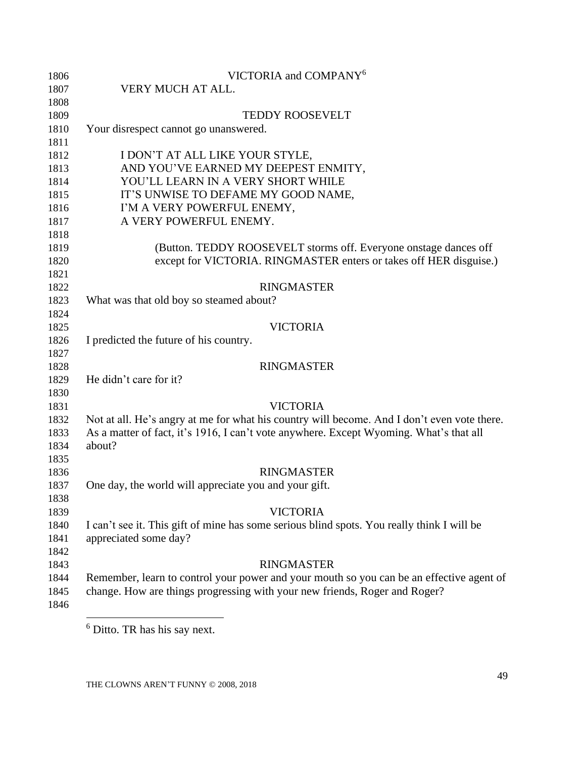| 1806 | VICTORIA and COMPANY <sup>6</sup>                                                           |
|------|---------------------------------------------------------------------------------------------|
| 1807 | VERY MUCH AT ALL.                                                                           |
| 1808 |                                                                                             |
| 1809 | <b>TEDDY ROOSEVELT</b>                                                                      |
| 1810 | Your disrespect cannot go unanswered.                                                       |
| 1811 |                                                                                             |
| 1812 | I DON'T AT ALL LIKE YOUR STYLE,                                                             |
| 1813 | AND YOU'VE EARNED MY DEEPEST ENMITY,                                                        |
| 1814 | YOU'LL LEARN IN A VERY SHORT WHILE                                                          |
| 1815 | IT'S UNWISE TO DEFAME MY GOOD NAME,                                                         |
| 1816 | I'M A VERY POWERFUL ENEMY,                                                                  |
| 1817 | A VERY POWERFUL ENEMY.                                                                      |
| 1818 |                                                                                             |
| 1819 | (Button. TEDDY ROOSEVELT storms off. Everyone onstage dances off                            |
| 1820 | except for VICTORIA. RINGMASTER enters or takes off HER disguise.)                          |
| 1821 |                                                                                             |
| 1822 | <b>RINGMASTER</b>                                                                           |
| 1823 | What was that old boy so steamed about?                                                     |
| 1824 |                                                                                             |
| 1825 | <b>VICTORIA</b>                                                                             |
| 1826 | I predicted the future of his country.                                                      |
| 1827 |                                                                                             |
| 1828 | <b>RINGMASTER</b>                                                                           |
| 1829 | He didn't care for it?                                                                      |
| 1830 |                                                                                             |
| 1831 | <b>VICTORIA</b>                                                                             |
| 1832 | Not at all. He's angry at me for what his country will become. And I don't even vote there. |
| 1833 | As a matter of fact, it's 1916, I can't vote anywhere. Except Wyoming. What's that all      |
| 1834 | about?                                                                                      |
| 1835 |                                                                                             |
| 1836 | <b>RINGMASTER</b>                                                                           |
| 1837 | One day, the world will appreciate you and your gift.                                       |
| 1838 |                                                                                             |
| 1839 | <b>VICTORIA</b>                                                                             |
| 1840 | I can't see it. This gift of mine has some serious blind spots. You really think I will be  |
| 1841 | appreciated some day?                                                                       |
| 1842 |                                                                                             |
| 1843 | <b>RINGMASTER</b>                                                                           |
| 1844 | Remember, learn to control your power and your mouth so you can be an effective agent of    |
| 1845 | change. How are things progressing with your new friends, Roger and Roger?                  |
| 1846 |                                                                                             |

Ditto. TR has his say next.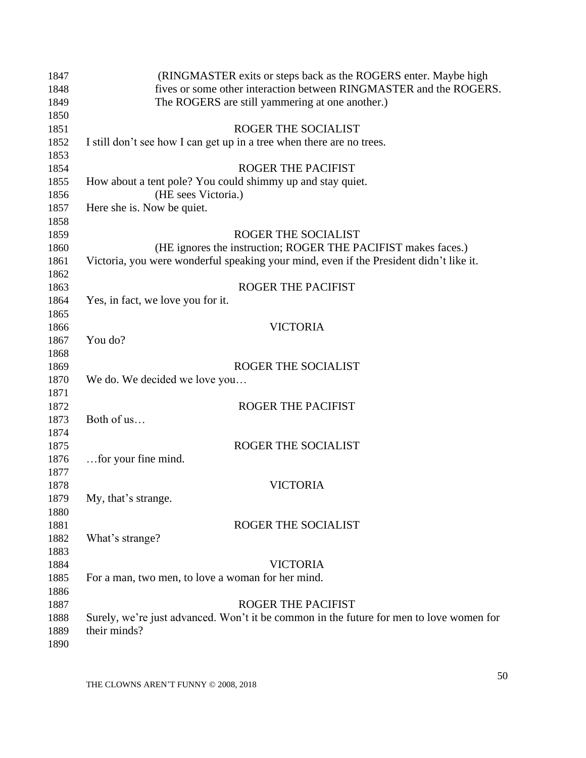| 1847 | (RINGMASTER exits or steps back as the ROGERS enter. Maybe high                         |
|------|-----------------------------------------------------------------------------------------|
| 1848 | fives or some other interaction between RINGMASTER and the ROGERS.                      |
| 1849 | The ROGERS are still yammering at one another.)                                         |
| 1850 |                                                                                         |
| 1851 | ROGER THE SOCIALIST                                                                     |
| 1852 | I still don't see how I can get up in a tree when there are no trees.                   |
| 1853 |                                                                                         |
| 1854 | <b>ROGER THE PACIFIST</b>                                                               |
| 1855 | How about a tent pole? You could shimmy up and stay quiet.                              |
| 1856 | (HE sees Victoria.)                                                                     |
| 1857 | Here she is. Now be quiet.                                                              |
| 1858 |                                                                                         |
| 1859 | ROGER THE SOCIALIST                                                                     |
| 1860 | (HE ignores the instruction; ROGER THE PACIFIST makes faces.)                           |
| 1861 | Victoria, you were wonderful speaking your mind, even if the President didn't like it.  |
| 1862 |                                                                                         |
| 1863 | ROGER THE PACIFIST                                                                      |
| 1864 | Yes, in fact, we love you for it.                                                       |
| 1865 |                                                                                         |
| 1866 | <b>VICTORIA</b>                                                                         |
| 1867 | You do?                                                                                 |
| 1868 |                                                                                         |
| 1869 | ROGER THE SOCIALIST                                                                     |
| 1870 | We do. We decided we love you                                                           |
| 1871 |                                                                                         |
| 1872 | <b>ROGER THE PACIFIST</b>                                                               |
| 1873 | Both of us                                                                              |
| 1874 |                                                                                         |
| 1875 | ROGER THE SOCIALIST                                                                     |
| 1876 | for your fine mind.                                                                     |
| 1877 |                                                                                         |
| 1878 | <b>VICTORIA</b>                                                                         |
| 1879 | My, that's strange.                                                                     |
| 1880 |                                                                                         |
| 1881 | ROGER THE SOCIALIST                                                                     |
| 1882 | What's strange?                                                                         |
| 1883 |                                                                                         |
| 1884 | <b>VICTORIA</b>                                                                         |
| 1885 | For a man, two men, to love a woman for her mind.                                       |
| 1886 |                                                                                         |
| 1887 | <b>ROGER THE PACIFIST</b>                                                               |
| 1888 | Surely, we're just advanced. Won't it be common in the future for men to love women for |
| 1889 | their minds?                                                                            |
| 1890 |                                                                                         |
|      |                                                                                         |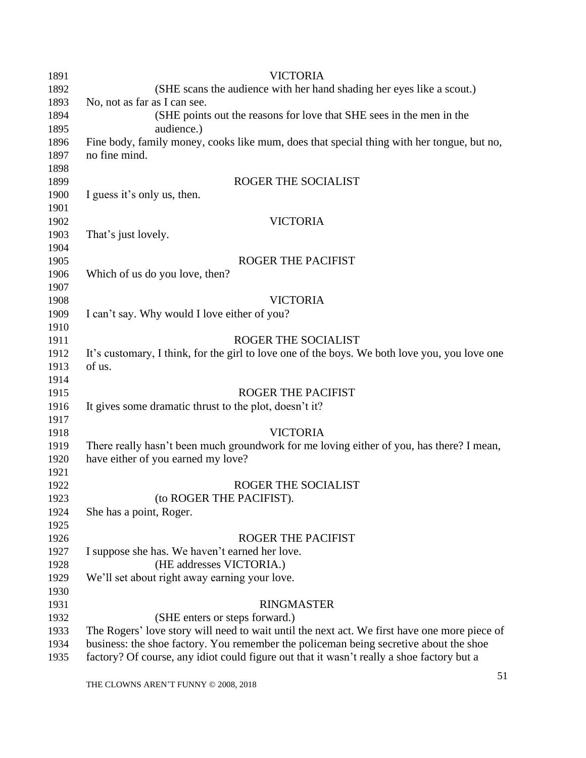| 1891 | <b>VICTORIA</b>                                                                               |
|------|-----------------------------------------------------------------------------------------------|
| 1892 | (SHE scans the audience with her hand shading her eyes like a scout.)                         |
| 1893 | No, not as far as I can see.                                                                  |
| 1894 | (SHE points out the reasons for love that SHE sees in the men in the                          |
| 1895 | audience.)                                                                                    |
| 1896 | Fine body, family money, cooks like mum, does that special thing with her tongue, but no,     |
| 1897 | no fine mind.                                                                                 |
| 1898 |                                                                                               |
| 1899 | ROGER THE SOCIALIST                                                                           |
| 1900 | I guess it's only us, then.                                                                   |
| 1901 |                                                                                               |
| 1902 | <b>VICTORIA</b>                                                                               |
| 1903 | That's just lovely.                                                                           |
| 1904 |                                                                                               |
| 1905 | <b>ROGER THE PACIFIST</b>                                                                     |
| 1906 | Which of us do you love, then?                                                                |
| 1907 |                                                                                               |
| 1908 | <b>VICTORIA</b>                                                                               |
| 1909 | I can't say. Why would I love either of you?                                                  |
| 1910 |                                                                                               |
| 1911 | ROGER THE SOCIALIST                                                                           |
| 1912 | It's customary, I think, for the girl to love one of the boys. We both love you, you love one |
| 1913 | of us.                                                                                        |
| 1914 |                                                                                               |
| 1915 | <b>ROGER THE PACIFIST</b>                                                                     |
| 1916 | It gives some dramatic thrust to the plot, doesn't it?                                        |
| 1917 |                                                                                               |
| 1918 | <b>VICTORIA</b>                                                                               |
| 1919 | There really hasn't been much groundwork for me loving either of you, has there? I mean,      |
| 1920 | have either of you earned my love?                                                            |
| 1921 |                                                                                               |
| 1922 | ROGER THE SOCIALIST                                                                           |
| 1923 | (to ROGER THE PACIFIST).                                                                      |
| 1924 | She has a point, Roger.                                                                       |
| 1925 |                                                                                               |
| 1926 | <b>ROGER THE PACIFIST</b>                                                                     |
| 1927 | I suppose she has. We haven't earned her love.                                                |
| 1928 | (HE addresses VICTORIA.)                                                                      |
| 1929 | We'll set about right away earning your love.                                                 |
| 1930 |                                                                                               |
| 1931 | <b>RINGMASTER</b>                                                                             |
| 1932 | (SHE enters or steps forward.)                                                                |
| 1933 | The Rogers' love story will need to wait until the next act. We first have one more piece of  |
| 1934 | business: the shoe factory. You remember the policeman being secretive about the shoe         |
| 1935 | factory? Of course, any idiot could figure out that it wasn't really a shoe factory but a     |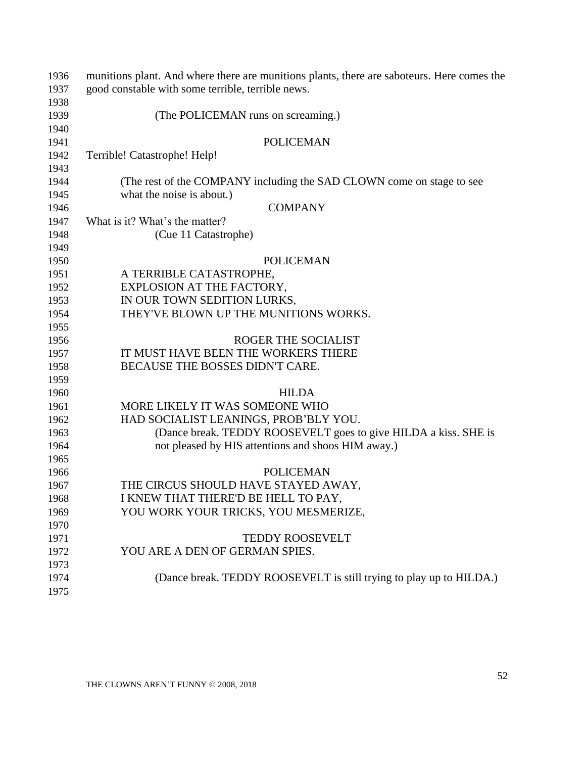| 1936 | munitions plant. And where there are munitions plants, there are saboteurs. Here comes the |
|------|--------------------------------------------------------------------------------------------|
| 1937 | good constable with some terrible, terrible news.                                          |
| 1938 |                                                                                            |
| 1939 | (The POLICEMAN runs on screaming.)                                                         |
| 1940 |                                                                                            |
| 1941 | <b>POLICEMAN</b>                                                                           |
| 1942 | Terrible! Catastrophe! Help!                                                               |
| 1943 |                                                                                            |
| 1944 | (The rest of the COMPANY including the SAD CLOWN come on stage to see                      |
| 1945 | what the noise is about.)                                                                  |
| 1946 | <b>COMPANY</b>                                                                             |
| 1947 | What is it? What's the matter?                                                             |
| 1948 | (Cue 11 Catastrophe)                                                                       |
| 1949 |                                                                                            |
| 1950 | <b>POLICEMAN</b>                                                                           |
| 1951 | A TERRIBLE CATASTROPHE,                                                                    |
| 1952 | EXPLOSION AT THE FACTORY,                                                                  |
| 1953 | IN OUR TOWN SEDITION LURKS,                                                                |
| 1954 | THEY'VE BLOWN UP THE MUNITIONS WORKS.                                                      |
| 1955 |                                                                                            |
| 1956 | ROGER THE SOCIALIST                                                                        |
| 1957 | IT MUST HAVE BEEN THE WORKERS THERE                                                        |
| 1958 | BECAUSE THE BOSSES DIDN'T CARE.                                                            |
| 1959 |                                                                                            |
| 1960 | <b>HILDA</b>                                                                               |
| 1961 | MORE LIKELY IT WAS SOMEONE WHO                                                             |
| 1962 | HAD SOCIALIST LEANINGS, PROB'BLY YOU.                                                      |
| 1963 | (Dance break. TEDDY ROOSEVELT goes to give HILDA a kiss. SHE is                            |
| 1964 | not pleased by HIS attentions and shoos HIM away.)                                         |
| 1965 |                                                                                            |
| 1966 | <b>POLICEMAN</b>                                                                           |
| 1967 | THE CIRCUS SHOULD HAVE STAYED AWAY,                                                        |
| 1968 | I KNEW THAT THERE'D BE HELL TO PAY,                                                        |
| 1969 | YOU WORK YOUR TRICKS, YOU MESMERIZE,                                                       |
| 1970 |                                                                                            |
| 1971 | <b>TEDDY ROOSEVELT</b>                                                                     |
| 1972 | YOU ARE A DEN OF GERMAN SPIES.                                                             |
| 1973 |                                                                                            |
| 1974 | (Dance break. TEDDY ROOSEVELT is still trying to play up to HILDA.)                        |
| 1975 |                                                                                            |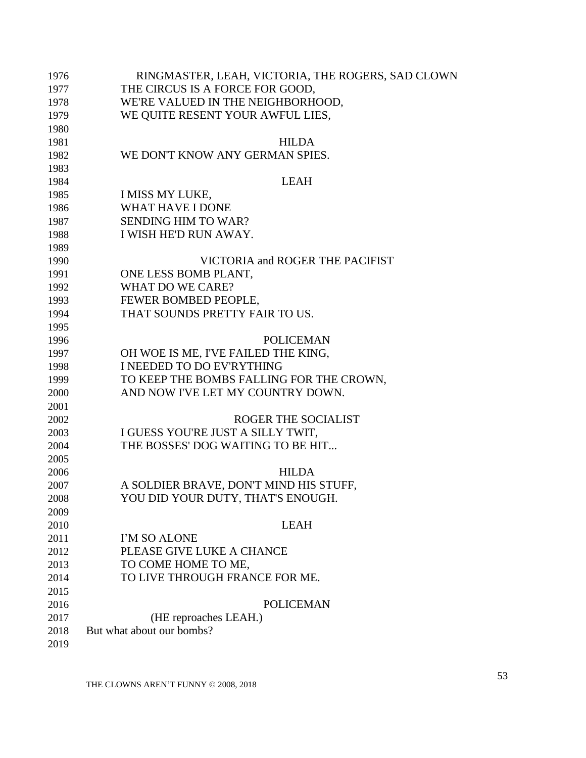| 1976 | RINGMASTER, LEAH, VICTORIA, THE ROGERS, SAD CLOWN |
|------|---------------------------------------------------|
| 1977 | THE CIRCUS IS A FORCE FOR GOOD,                   |
| 1978 | WE'RE VALUED IN THE NEIGHBORHOOD,                 |
| 1979 | WE QUITE RESENT YOUR AWFUL LIES,                  |
| 1980 |                                                   |
| 1981 | <b>HILDA</b>                                      |
| 1982 | WE DON'T KNOW ANY GERMAN SPIES.                   |
| 1983 |                                                   |
| 1984 | <b>LEAH</b>                                       |
| 1985 | I MISS MY LUKE,                                   |
| 1986 | <b>WHAT HAVE I DONE</b>                           |
| 1987 | <b>SENDING HIM TO WAR?</b>                        |
| 1988 | I WISH HE'D RUN AWAY.                             |
| 1989 |                                                   |
| 1990 | VICTORIA and ROGER THE PACIFIST                   |
| 1991 | ONE LESS BOMB PLANT,                              |
| 1992 | WHAT DO WE CARE?                                  |
| 1993 | FEWER BOMBED PEOPLE,                              |
| 1994 | THAT SOUNDS PRETTY FAIR TO US.                    |
| 1995 |                                                   |
| 1996 | <b>POLICEMAN</b>                                  |
| 1997 | OH WOE IS ME, I'VE FAILED THE KING,               |
| 1998 | I NEEDED TO DO EV'RYTHING                         |
| 1999 | TO KEEP THE BOMBS FALLING FOR THE CROWN,          |
| 2000 | AND NOW I'VE LET MY COUNTRY DOWN.                 |
| 2001 |                                                   |
| 2002 | ROGER THE SOCIALIST                               |
| 2003 | I GUESS YOU'RE JUST A SILLY TWIT,                 |
| 2004 | THE BOSSES' DOG WAITING TO BE HIT                 |
| 2005 |                                                   |
| 2006 | <b>HILDA</b>                                      |
| 2007 | A SOLDIER BRAVE, DON'T MIND HIS STUFF,            |
| 2008 | YOU DID YOUR DUTY, THAT'S ENOUGH.                 |
| 2009 |                                                   |
| 2010 | <b>LEAH</b>                                       |
| 2011 | I'M SO ALONE                                      |
| 2012 | PLEASE GIVE LUKE A CHANCE                         |
| 2013 | TO COME HOME TO ME,                               |
| 2014 | TO LIVE THROUGH FRANCE FOR ME.                    |
| 2015 |                                                   |
| 2016 | <b>POLICEMAN</b>                                  |
| 2017 | (HE reproaches LEAH.)                             |
| 2018 | But what about our bombs?                         |
| 2019 |                                                   |
|      |                                                   |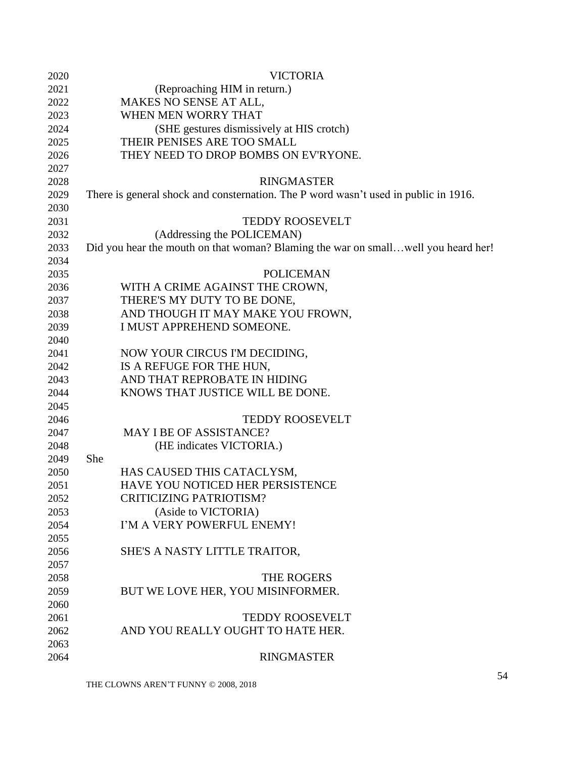| 2020 | <b>VICTORIA</b>                                                                     |
|------|-------------------------------------------------------------------------------------|
| 2021 | (Reproaching HIM in return.)                                                        |
| 2022 | MAKES NO SENSE AT ALL,                                                              |
| 2023 | WHEN MEN WORRY THAT                                                                 |
| 2024 | (SHE gestures dismissively at HIS crotch)                                           |
| 2025 | THEIR PENISES ARE TOO SMALL                                                         |
| 2026 | THEY NEED TO DROP BOMBS ON EV'RYONE.                                                |
| 2027 |                                                                                     |
| 2028 | <b>RINGMASTER</b>                                                                   |
| 2029 | There is general shock and consternation. The P word wasn't used in public in 1916. |
| 2030 |                                                                                     |
| 2031 | <b>TEDDY ROOSEVELT</b>                                                              |
| 2032 | (Addressing the POLICEMAN)                                                          |
| 2033 | Did you hear the mouth on that woman? Blaming the war on smallwell you heard her!   |
| 2034 |                                                                                     |
| 2035 | <b>POLICEMAN</b>                                                                    |
| 2036 | WITH A CRIME AGAINST THE CROWN,                                                     |
| 2037 | THERE'S MY DUTY TO BE DONE,                                                         |
| 2038 | AND THOUGH IT MAY MAKE YOU FROWN,                                                   |
| 2039 | I MUST APPREHEND SOMEONE.                                                           |
| 2040 |                                                                                     |
| 2041 | NOW YOUR CIRCUS I'M DECIDING,                                                       |
| 2042 | IS A REFUGE FOR THE HUN,                                                            |
| 2043 | AND THAT REPROBATE IN HIDING                                                        |
| 2044 | KNOWS THAT JUSTICE WILL BE DONE.                                                    |
| 2045 |                                                                                     |
| 2046 | <b>TEDDY ROOSEVELT</b>                                                              |
| 2047 | MAY I BE OF ASSISTANCE?                                                             |
| 2048 | (HE indicates VICTORIA.)                                                            |
| 2049 | She                                                                                 |
| 2050 | HAS CAUSED THIS CATACLYSM,                                                          |
| 2051 | HAVE YOU NOTICED HER PERSISTENCE                                                    |
| 2052 | <b>CRITICIZING PATRIOTISM?</b>                                                      |
| 2053 | (Aside to VICTORIA)                                                                 |
| 2054 | I'M A VERY POWERFUL ENEMY!                                                          |
| 2055 |                                                                                     |
| 2056 | SHE'S A NASTY LITTLE TRAITOR,                                                       |
| 2057 |                                                                                     |
| 2058 | THE ROGERS                                                                          |
| 2059 | BUT WE LOVE HER, YOU MISINFORMER.                                                   |
| 2060 |                                                                                     |
| 2061 | <b>TEDDY ROOSEVELT</b>                                                              |
| 2062 | AND YOU REALLY OUGHT TO HATE HER.                                                   |
| 2063 |                                                                                     |
| 2064 | <b>RINGMASTER</b>                                                                   |
|      |                                                                                     |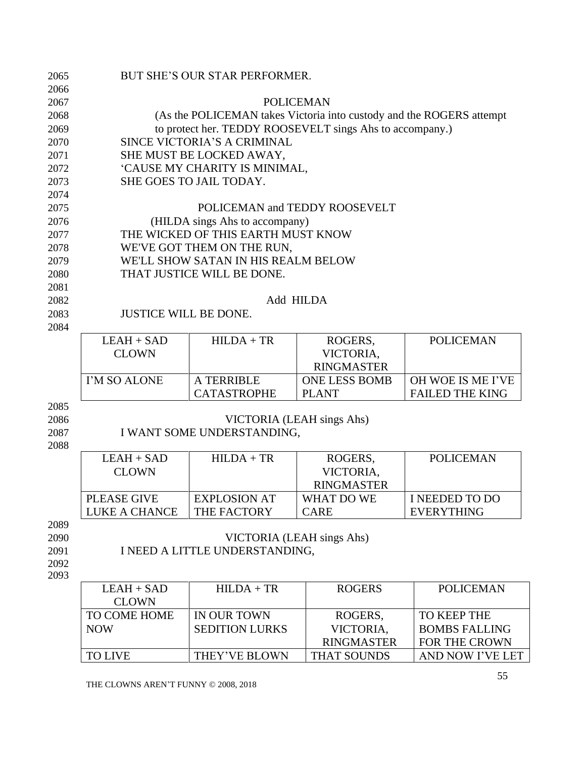| 2065 | BUT SHE'S OUR STAR PERFORMER.                                        |                                    |                               |                        |  |
|------|----------------------------------------------------------------------|------------------------------------|-------------------------------|------------------------|--|
| 2066 |                                                                      |                                    |                               |                        |  |
| 2067 | <b>POLICEMAN</b>                                                     |                                    |                               |                        |  |
| 2068 | (As the POLICEMAN takes Victoria into custody and the ROGERS attempt |                                    |                               |                        |  |
| 2069 | to protect her. TEDDY ROOSEVELT sings Ahs to accompany.)             |                                    |                               |                        |  |
| 2070 | SINCE VICTORIA'S A CRIMINAL                                          |                                    |                               |                        |  |
| 2071 | SHE MUST BE LOCKED AWAY,                                             |                                    |                               |                        |  |
| 2072 | 'CAUSE MY CHARITY IS MINIMAL,                                        |                                    |                               |                        |  |
| 2073 |                                                                      | SHE GOES TO JAIL TODAY.            |                               |                        |  |
| 2074 |                                                                      |                                    |                               |                        |  |
| 2075 |                                                                      |                                    | POLICEMAN and TEDDY ROOSEVELT |                        |  |
| 2076 |                                                                      | (HILDA sings Ahs to accompany)     |                               |                        |  |
| 2077 |                                                                      | THE WICKED OF THIS EARTH MUST KNOW |                               |                        |  |
| 2078 |                                                                      | WE'VE GOT THEM ON THE RUN,         |                               |                        |  |
| 2079 | WE'LL SHOW SATAN IN HIS REALM BELOW                                  |                                    |                               |                        |  |
| 2080 | THAT JUSTICE WILL BE DONE.                                           |                                    |                               |                        |  |
| 2081 |                                                                      |                                    |                               |                        |  |
| 2082 | Add HILDA                                                            |                                    |                               |                        |  |
| 2083 | <b>JUSTICE WILL BE DONE.</b>                                         |                                    |                               |                        |  |
| 2084 |                                                                      |                                    |                               |                        |  |
|      | $LEAH + SAD$                                                         | $HILDA + TR$                       | ROGERS,                       | <b>POLICEMAN</b>       |  |
|      | <b>CLOWN</b>                                                         |                                    | VICTORIA,                     |                        |  |
|      |                                                                      |                                    | <b>RINGMASTER</b>             |                        |  |
|      | I'M SO ALONE                                                         | A TERRIBLE                         | <b>ONE LESS BOMB</b>          | OH WOE IS ME I'VE      |  |
|      |                                                                      | <b>CATASTROPHE</b>                 | <b>PLANT</b>                  | <b>FAILED THE KING</b> |  |
| 2085 |                                                                      |                                    |                               |                        |  |
| 2086 | VICTORIA (LEAH sings Ahs)                                            |                                    |                               |                        |  |
| 2087 | I WANT SOME UNDERSTANDING,                                           |                                    |                               |                        |  |
| 2088 |                                                                      |                                    |                               |                        |  |
|      | $LEAH + SAD$                                                         | $HILDA + TR$                       | ROGERS,                       | <b>POLICEMAN</b>       |  |
|      | <b>CLOWN</b>                                                         |                                    | VICTORIA,                     |                        |  |
|      |                                                                      |                                    | <b>RINGMASTER</b>             |                        |  |
|      | <b>PLEASE GIVE</b>                                                   | <b>EXPLOSION AT</b>                | WHAT DO WE                    | I NEEDED TO DO         |  |

2090 VICTORIA (LEAH sings Ahs) 2091 I NEED A LITTLE UNDERSTANDING,

2092 2093

| $LEAH + SAD$ | $HILDA + TR$          | <b>ROGERS</b>      | <b>POLICEMAN</b>     |
|--------------|-----------------------|--------------------|----------------------|
| <b>CLOWN</b> |                       |                    |                      |
| TO COME HOME | IN OUR TOWN           | ROGERS.            | TO KEEP THE          |
| <b>NOW</b>   | <b>SEDITION LURKS</b> | VICTORIA.          | <b>BOMBS FALLING</b> |
|              |                       | <b>RINGMASTER</b>  | <b>FOR THE CROWN</b> |
| TO LIVE      | THEY'VE BLOWN         | <b>THAT SOUNDS</b> | AND NOW I'VE LET     |

CARE

THE FACTORY

LUKE A CHANCE

EVERYTHING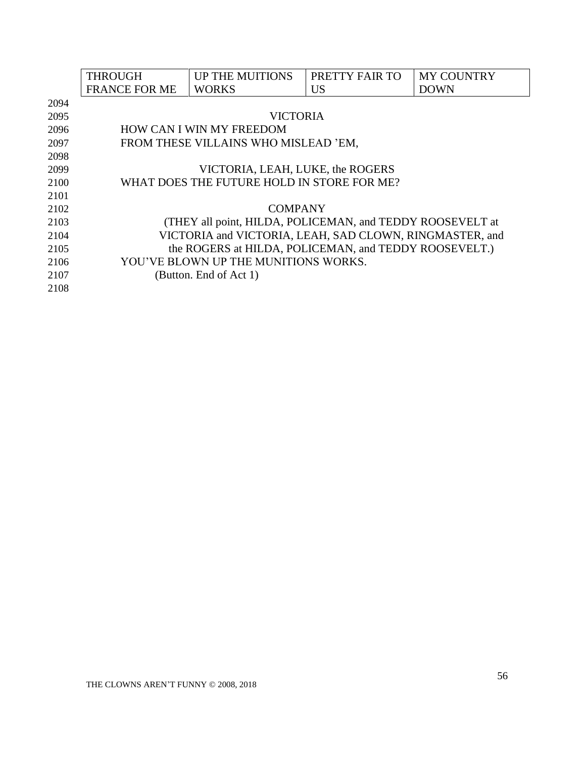|      | <b>THROUGH</b>                             | <b>UP THE MUITIONS</b>                                    | PRETTY FAIR TO | <b>MY COUNTRY</b> |
|------|--------------------------------------------|-----------------------------------------------------------|----------------|-------------------|
|      | <b>FRANCE FOR ME</b>                       | <b>WORKS</b>                                              | <b>US</b>      | <b>DOWN</b>       |
| 2094 |                                            |                                                           |                |                   |
| 2095 |                                            | <b>VICTORIA</b>                                           |                |                   |
| 2096 |                                            | <b>HOW CAN I WIN MY FREEDOM</b>                           |                |                   |
| 2097 |                                            | FROM THESE VILLAINS WHO MISLEAD 'EM,                      |                |                   |
| 2098 |                                            |                                                           |                |                   |
| 2099 |                                            | VICTORIA, LEAH, LUKE, the ROGERS                          |                |                   |
| 2100 | WHAT DOES THE FUTURE HOLD IN STORE FOR ME? |                                                           |                |                   |
| 2101 |                                            |                                                           |                |                   |
| 2102 |                                            | <b>COMPANY</b>                                            |                |                   |
| 2103 |                                            | (THEY all point, HILDA, POLICEMAN, and TEDDY ROOSEVELT at |                |                   |
| 2104 |                                            | VICTORIA and VICTORIA, LEAH, SAD CLOWN, RINGMASTER, and   |                |                   |
| 2105 |                                            | the ROGERS at HILDA, POLICEMAN, and TEDDY ROOSEVELT.)     |                |                   |
| 2106 |                                            | YOU'VE BLOWN UP THE MUNITIONS WORKS.                      |                |                   |
| 2107 |                                            | (Button. End of Act 1)                                    |                |                   |
| 2108 |                                            |                                                           |                |                   |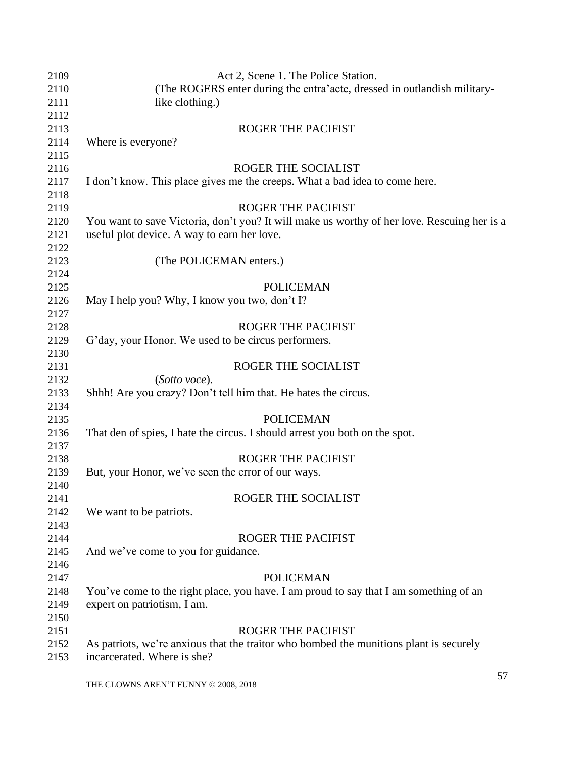| 2109         | Act 2, Scene 1. The Police Station.                                                         |
|--------------|---------------------------------------------------------------------------------------------|
| 2110         | (The ROGERS enter during the entra'acte, dressed in outlandish military-                    |
| 2111         | like clothing.)                                                                             |
| 2112         |                                                                                             |
| 2113         | <b>ROGER THE PACIFIST</b>                                                                   |
| 2114         | Where is everyone?                                                                          |
| 2115         |                                                                                             |
| 2116         | ROGER THE SOCIALIST                                                                         |
| 2117         | I don't know. This place gives me the creeps. What a bad idea to come here.                 |
| 2118         |                                                                                             |
| 2119         | <b>ROGER THE PACIFIST</b>                                                                   |
| 2120         | You want to save Victoria, don't you? It will make us worthy of her love. Rescuing her is a |
| 2121         | useful plot device. A way to earn her love.                                                 |
| 2122         |                                                                                             |
| 2123         | (The POLICEMAN enters.)                                                                     |
| 2124         |                                                                                             |
| 2125         | <b>POLICEMAN</b>                                                                            |
| 2126         | May I help you? Why, I know you two, don't I?                                               |
| 2127         |                                                                                             |
|              | <b>ROGER THE PACIFIST</b>                                                                   |
| 2128         |                                                                                             |
| 2129         | G'day, your Honor. We used to be circus performers.                                         |
| 2130         |                                                                                             |
| 2131         | ROGER THE SOCIALIST                                                                         |
| 2132         | (Sotto voce).                                                                               |
| 2133         | Shhh! Are you crazy? Don't tell him that. He hates the circus.                              |
| 2134<br>2135 | <b>POLICEMAN</b>                                                                            |
| 2136         | That den of spies, I hate the circus. I should arrest you both on the spot.                 |
| 2137         |                                                                                             |
| 2138         | <b>ROGER THE PACIFIST</b>                                                                   |
| 2139         | But, your Honor, we've seen the error of our ways.                                          |
| 2140         |                                                                                             |
| 2141         | ROGER THE SOCIALIST                                                                         |
| 2142         | We want to be patriots.                                                                     |
| 2143         |                                                                                             |
| 2144         | <b>ROGER THE PACIFIST</b>                                                                   |
| 2145         | And we've come to you for guidance.                                                         |
| 2146         |                                                                                             |
| 2147         | <b>POLICEMAN</b>                                                                            |
| 2148         | You've come to the right place, you have. I am proud to say that I am something of an       |
| 2149         | expert on patriotism, I am.                                                                 |
| 2150         |                                                                                             |
| 2151         | ROGER THE PACIFIST                                                                          |
| 2152         | As patriots, we're anxious that the traitor who bombed the munitions plant is securely      |
| 2153         | incarcerated. Where is she?                                                                 |
|              |                                                                                             |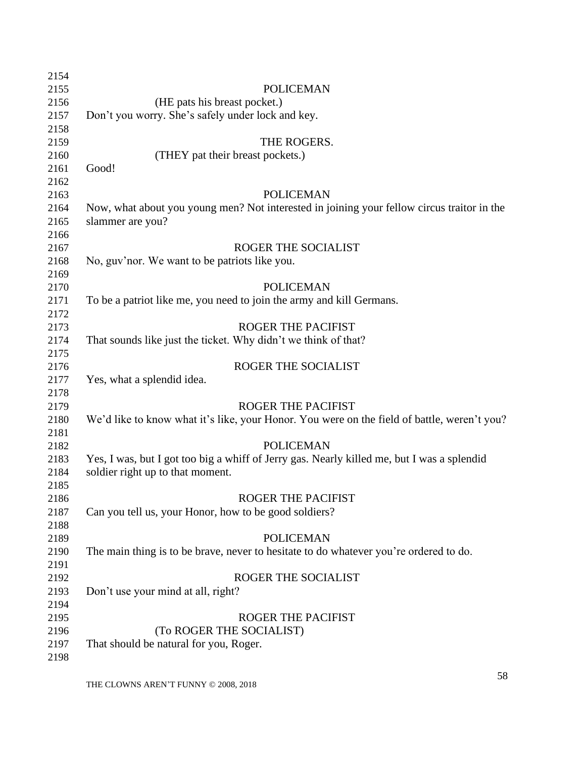| 2154 |                                                                                             |
|------|---------------------------------------------------------------------------------------------|
| 2155 | POLICEMAN                                                                                   |
| 2156 | (HE pats his breast pocket.)                                                                |
| 2157 | Don't you worry. She's safely under lock and key.                                           |
| 2158 |                                                                                             |
| 2159 | THE ROGERS.                                                                                 |
| 2160 | (THEY pat their breast pockets.)                                                            |
| 2161 | Good!                                                                                       |
| 2162 |                                                                                             |
| 2163 | <b>POLICEMAN</b>                                                                            |
| 2164 | Now, what about you young men? Not interested in joining your fellow circus traitor in the  |
| 2165 | slammer are you?                                                                            |
| 2166 |                                                                                             |
| 2167 | ROGER THE SOCIALIST                                                                         |
| 2168 | No, guv'nor. We want to be patriots like you.                                               |
| 2169 |                                                                                             |
| 2170 | <b>POLICEMAN</b>                                                                            |
| 2171 | To be a patriot like me, you need to join the army and kill Germans.                        |
| 2172 |                                                                                             |
| 2173 | <b>ROGER THE PACIFIST</b>                                                                   |
| 2174 | That sounds like just the ticket. Why didn't we think of that?                              |
| 2175 |                                                                                             |
| 2176 | ROGER THE SOCIALIST                                                                         |
| 2177 | Yes, what a splendid idea.                                                                  |
| 2178 |                                                                                             |
| 2179 | <b>ROGER THE PACIFIST</b>                                                                   |
| 2180 | We'd like to know what it's like, your Honor. You were on the field of battle, weren't you? |
| 2181 |                                                                                             |
| 2182 | <b>POLICEMAN</b>                                                                            |
| 2183 | Yes, I was, but I got too big a whiff of Jerry gas. Nearly killed me, but I was a splendid  |
| 2184 | soldier right up to that moment.                                                            |
| 2185 |                                                                                             |
| 2186 | <b>ROGER THE PACIFIST</b>                                                                   |
| 2187 | Can you tell us, your Honor, how to be good soldiers?                                       |
| 2188 |                                                                                             |
| 2189 | <b>POLICEMAN</b>                                                                            |
| 2190 | The main thing is to be brave, never to hesitate to do whatever you're ordered to do.       |
| 2191 |                                                                                             |
| 2192 | ROGER THE SOCIALIST                                                                         |
| 2193 | Don't use your mind at all, right?                                                          |
| 2194 |                                                                                             |
| 2195 | <b>ROGER THE PACIFIST</b>                                                                   |
| 2196 | (To ROGER THE SOCIALIST)                                                                    |
| 2197 | That should be natural for you, Roger.                                                      |
| 2198 |                                                                                             |
|      |                                                                                             |

THE CLOWNS AREN'T FUNNY © 2008, 2018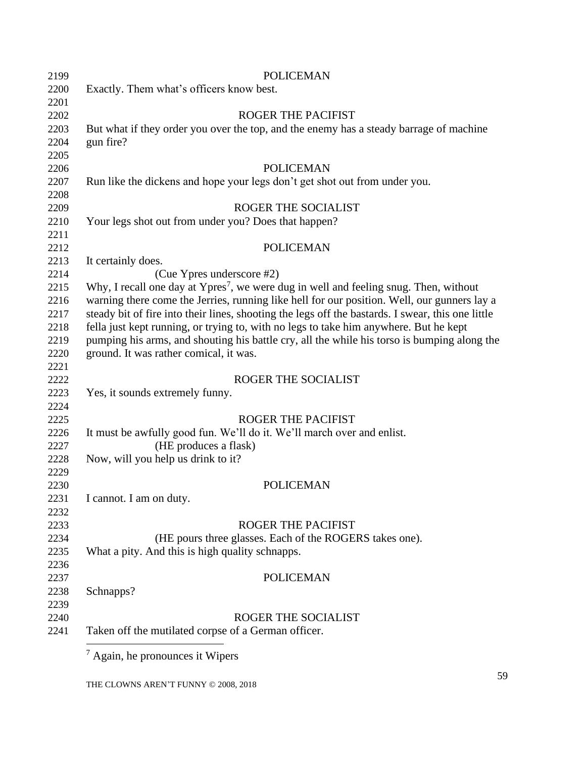| Exactly. Them what's officers know best.                                                          |
|---------------------------------------------------------------------------------------------------|
|                                                                                                   |
| ROGER THE PACIFIST                                                                                |
| But what if they order you over the top, and the enemy has a steady barrage of machine            |
| gun fire?                                                                                         |
|                                                                                                   |
| <b>POLICEMAN</b>                                                                                  |
| Run like the dickens and hope your legs don't get shot out from under you.                        |
|                                                                                                   |
| ROGER THE SOCIALIST                                                                               |
| Your legs shot out from under you? Does that happen?                                              |
|                                                                                                   |
| <b>POLICEMAN</b>                                                                                  |
| It certainly does.                                                                                |
| (Cue Ypres underscore #2)                                                                         |
| Why, I recall one day at Ypres <sup>7</sup> , we were dug in well and feeling snug. Then, without |
| warning there come the Jerries, running like hell for our position. Well, our gunners lay a       |
| steady bit of fire into their lines, shooting the legs off the bastards. I swear, this one little |
| fella just kept running, or trying to, with no legs to take him anywhere. But he kept             |
| pumping his arms, and shouting his battle cry, all the while his torso is bumping along the       |
| ground. It was rather comical, it was.                                                            |
|                                                                                                   |
| ROGER THE SOCIALIST                                                                               |
| Yes, it sounds extremely funny.                                                                   |
|                                                                                                   |
| <b>ROGER THE PACIFIST</b>                                                                         |
| It must be awfully good fun. We'll do it. We'll march over and enlist.                            |
| (HE produces a flask)                                                                             |
| Now, will you help us drink to it?                                                                |
|                                                                                                   |
| <b>POLICEMAN</b>                                                                                  |
| I cannot. I am on duty.                                                                           |
|                                                                                                   |
| <b>ROGER THE PACIFIST</b>                                                                         |
| (HE pours three glasses. Each of the ROGERS takes one).                                           |
| What a pity. And this is high quality schnapps.                                                   |
|                                                                                                   |
| <b>POLICEMAN</b>                                                                                  |
| Schnapps?                                                                                         |
|                                                                                                   |
| ROGER THE SOCIALIST                                                                               |
| Taken off the mutilated corpse of a German officer.                                               |
|                                                                                                   |

THE CLOWNS AREN'T FUNNY © 2008, 2018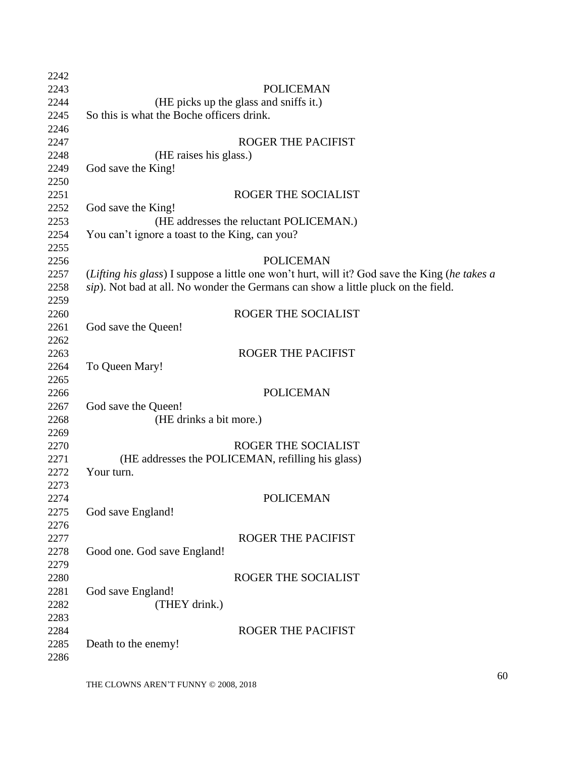| 2242 |                                                                                               |
|------|-----------------------------------------------------------------------------------------------|
| 2243 | <b>POLICEMAN</b>                                                                              |
| 2244 | (HE picks up the glass and sniffs it.)                                                        |
| 2245 | So this is what the Boche officers drink.                                                     |
| 2246 |                                                                                               |
| 2247 | <b>ROGER THE PACIFIST</b>                                                                     |
| 2248 | (HE raises his glass.)                                                                        |
| 2249 | God save the King!                                                                            |
| 2250 |                                                                                               |
| 2251 | ROGER THE SOCIALIST                                                                           |
| 2252 | God save the King!                                                                            |
| 2253 | (HE addresses the reluctant POLICEMAN.)                                                       |
| 2254 | You can't ignore a toast to the King, can you?                                                |
| 2255 |                                                                                               |
| 2256 | <b>POLICEMAN</b>                                                                              |
| 2257 | (Lifting his glass) I suppose a little one won't hurt, will it? God save the King (he takes a |
| 2258 | sip). Not bad at all. No wonder the Germans can show a little pluck on the field.             |
| 2259 |                                                                                               |
| 2260 | ROGER THE SOCIALIST                                                                           |
| 2261 | God save the Queen!                                                                           |
| 2262 |                                                                                               |
| 2263 | <b>ROGER THE PACIFIST</b>                                                                     |
| 2264 | To Queen Mary!                                                                                |
| 2265 |                                                                                               |
| 2266 | <b>POLICEMAN</b>                                                                              |
| 2267 | God save the Queen!                                                                           |
| 2268 | (HE drinks a bit more.)                                                                       |
| 2269 |                                                                                               |
| 2270 | ROGER THE SOCIALIST                                                                           |
| 2271 | (HE addresses the POLICEMAN, refilling his glass)                                             |
| 2272 | Your turn.                                                                                    |
| 2273 |                                                                                               |
| 2274 | POLICEMAN                                                                                     |
| 2275 | God save England!                                                                             |
| 2276 |                                                                                               |
| 2277 | <b>ROGER THE PACIFIST</b>                                                                     |
| 2278 | Good one. God save England!                                                                   |
| 2279 |                                                                                               |
| 2280 | <b>ROGER THE SOCIALIST</b>                                                                    |
| 2281 | God save England!                                                                             |
| 2282 | (THEY drink.)                                                                                 |
| 2283 |                                                                                               |
| 2284 | <b>ROGER THE PACIFIST</b>                                                                     |
| 2285 | Death to the enemy!                                                                           |
| 2286 |                                                                                               |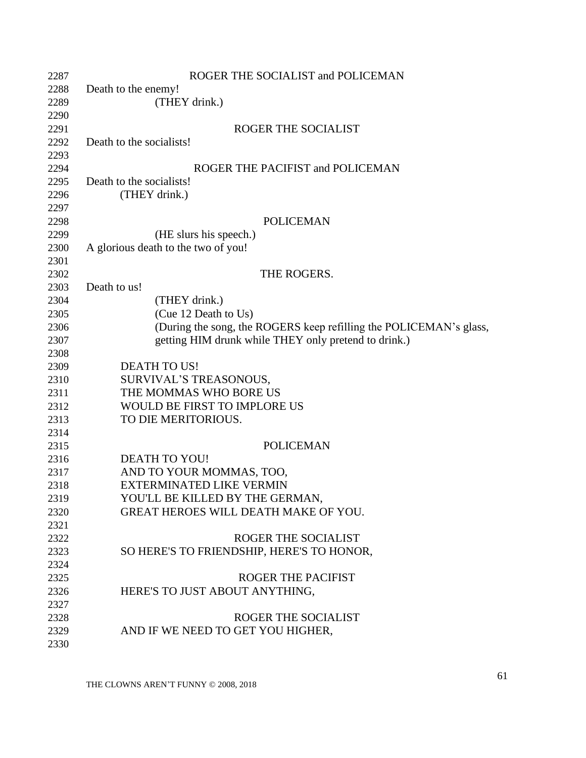| 2287 | ROGER THE SOCIALIST and POLICEMAN                                  |
|------|--------------------------------------------------------------------|
| 2288 | Death to the enemy!                                                |
| 2289 | (THEY drink.)                                                      |
| 2290 |                                                                    |
| 2291 | ROGER THE SOCIALIST                                                |
| 2292 | Death to the socialists!                                           |
| 2293 |                                                                    |
| 2294 | ROGER THE PACIFIST and POLICEMAN                                   |
| 2295 | Death to the socialists!                                           |
| 2296 | (THEY drink.)                                                      |
| 2297 |                                                                    |
| 2298 | <b>POLICEMAN</b>                                                   |
| 2299 | (HE slurs his speech.)                                             |
| 2300 | A glorious death to the two of you!                                |
| 2301 |                                                                    |
| 2302 | THE ROGERS.                                                        |
| 2303 | Death to us!                                                       |
| 2304 | (THEY drink.)                                                      |
| 2305 | (Cue 12 Death to Us)                                               |
| 2306 | (During the song, the ROGERS keep refilling the POLICEMAN's glass, |
| 2307 | getting HIM drunk while THEY only pretend to drink.)               |
| 2308 |                                                                    |
| 2309 | <b>DEATH TO US!</b>                                                |
| 2310 | SURVIVAL'S TREASONOUS,                                             |
| 2311 | THE MOMMAS WHO BORE US                                             |
| 2312 | WOULD BE FIRST TO IMPLORE US                                       |
| 2313 | TO DIE MERITORIOUS.                                                |
| 2314 |                                                                    |
| 2315 | <b>POLICEMAN</b>                                                   |
| 2316 | <b>DEATH TO YOU!</b>                                               |
| 2317 | AND TO YOUR MOMMAS, TOO,                                           |
| 2318 | <b>EXTERMINATED LIKE VERMIN</b>                                    |
| 2319 | YOU'LL BE KILLED BY THE GERMAN,                                    |
| 2320 | <b>GREAT HEROES WILL DEATH MAKE OF YOU.</b>                        |
| 2321 |                                                                    |
| 2322 | <b>ROGER THE SOCIALIST</b>                                         |
| 2323 | SO HERE'S TO FRIENDSHIP, HERE'S TO HONOR,                          |
| 2324 |                                                                    |
| 2325 | <b>ROGER THE PACIFIST</b>                                          |
| 2326 | HERE'S TO JUST ABOUT ANYTHING,                                     |
| 2327 |                                                                    |
| 2328 | ROGER THE SOCIALIST                                                |
| 2329 | AND IF WE NEED TO GET YOU HIGHER,                                  |
| 2330 |                                                                    |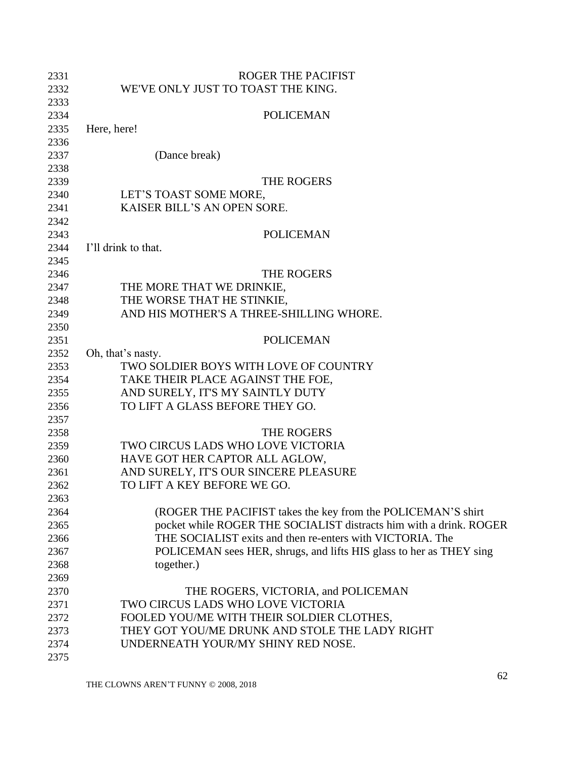| 2331 | <b>ROGER THE PACIFIST</b>                                           |
|------|---------------------------------------------------------------------|
| 2332 | WE'VE ONLY JUST TO TOAST THE KING.                                  |
| 2333 |                                                                     |
| 2334 | <b>POLICEMAN</b>                                                    |
| 2335 | Here, here!                                                         |
| 2336 |                                                                     |
| 2337 | (Dance break)                                                       |
| 2338 |                                                                     |
| 2339 | THE ROGERS                                                          |
| 2340 | LET'S TOAST SOME MORE,                                              |
| 2341 | KAISER BILL'S AN OPEN SORE.                                         |
| 2342 |                                                                     |
| 2343 | <b>POLICEMAN</b>                                                    |
| 2344 | I'll drink to that.                                                 |
| 2345 |                                                                     |
| 2346 | THE ROGERS                                                          |
| 2347 | THE MORE THAT WE DRINKIE,                                           |
| 2348 | THE WORSE THAT HE STINKIE,                                          |
| 2349 | AND HIS MOTHER'S A THREE-SHILLING WHORE.                            |
| 2350 |                                                                     |
| 2351 | <b>POLICEMAN</b>                                                    |
| 2352 | Oh, that's nasty.                                                   |
| 2353 | TWO SOLDIER BOYS WITH LOVE OF COUNTRY                               |
| 2354 | TAKE THEIR PLACE AGAINST THE FOE,                                   |
| 2355 | AND SURELY, IT'S MY SAINTLY DUTY                                    |
| 2356 | TO LIFT A GLASS BEFORE THEY GO.                                     |
| 2357 |                                                                     |
| 2358 | THE ROGERS                                                          |
| 2359 | TWO CIRCUS LADS WHO LOVE VICTORIA                                   |
| 2360 | HAVE GOT HER CAPTOR ALL AGLOW,                                      |
| 2361 | AND SURELY, IT'S OUR SINCERE PLEASURE                               |
| 2362 | TO LIFT A KEY BEFORE WE GO.                                         |
| 2363 |                                                                     |
| 2364 | (ROGER THE PACIFIST takes the key from the POLICEMAN'S shirt        |
| 2365 | pocket while ROGER THE SOCIALIST distracts him with a drink. ROGER  |
| 2366 | THE SOCIALIST exits and then re-enters with VICTORIA. The           |
| 2367 | POLICEMAN sees HER, shrugs, and lifts HIS glass to her as THEY sing |
| 2368 | together.)                                                          |
| 2369 |                                                                     |
| 2370 | THE ROGERS, VICTORIA, and POLICEMAN                                 |
| 2371 | TWO CIRCUS LADS WHO LOVE VICTORIA                                   |
| 2372 | FOOLED YOU/ME WITH THEIR SOLDIER CLOTHES,                           |
| 2373 | THEY GOT YOU/ME DRUNK AND STOLE THE LADY RIGHT                      |
| 2374 | UNDERNEATH YOUR/MY SHINY RED NOSE.                                  |
| 2375 |                                                                     |
|      |                                                                     |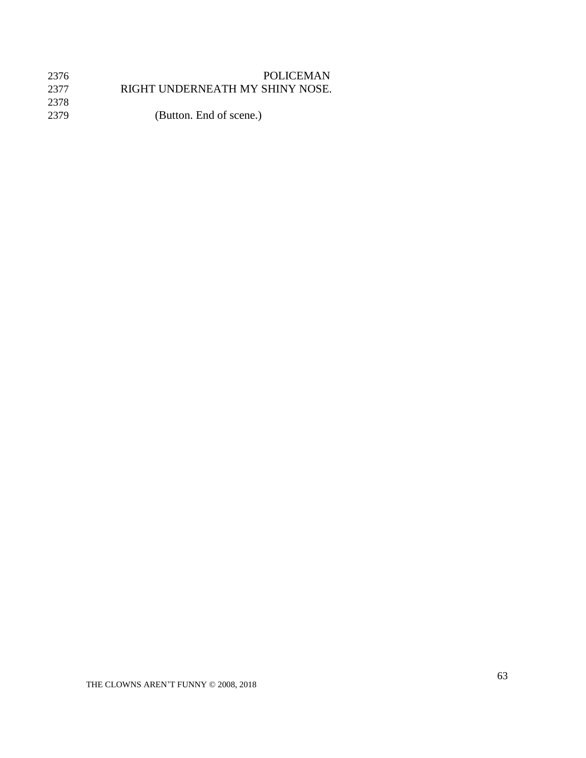| 2376 | <b>POLICEMAN</b>                |
|------|---------------------------------|
| 2377 | RIGHT UNDERNEATH MY SHINY NOSE. |
| 2378 |                                 |
| 2379 | (Button. End of scene.)         |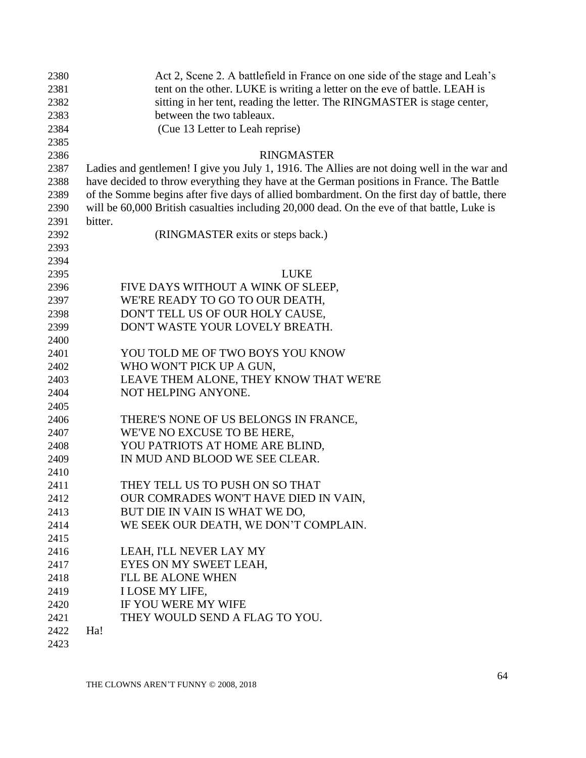| 2380 | Act 2, Scene 2. A battlefield in France on one side of the stage and Leah's                  |
|------|----------------------------------------------------------------------------------------------|
| 2381 | tent on the other. LUKE is writing a letter on the eve of battle. LEAH is                    |
| 2382 | sitting in her tent, reading the letter. The RINGMASTER is stage center,                     |
| 2383 | between the two tableaux.                                                                    |
| 2384 | (Cue 13 Letter to Leah reprise)                                                              |
| 2385 |                                                                                              |
| 2386 | <b>RINGMASTER</b>                                                                            |
| 2387 | Ladies and gentlemen! I give you July 1, 1916. The Allies are not doing well in the war and  |
| 2388 | have decided to throw everything they have at the German positions in France. The Battle     |
| 2389 | of the Somme begins after five days of allied bombardment. On the first day of battle, there |
| 2390 | will be 60,000 British casualties including 20,000 dead. On the eve of that battle, Luke is  |
| 2391 | bitter.                                                                                      |
| 2392 | (RINGMASTER exits or steps back.)                                                            |
| 2393 |                                                                                              |
| 2394 |                                                                                              |
| 2395 | <b>LUKE</b>                                                                                  |
| 2396 | FIVE DAYS WITHOUT A WINK OF SLEEP,                                                           |
| 2397 | WE'RE READY TO GO TO OUR DEATH,                                                              |
| 2398 | DON'T TELL US OF OUR HOLY CAUSE,                                                             |
| 2399 | DON'T WASTE YOUR LOVELY BREATH.                                                              |
| 2400 |                                                                                              |
| 2401 | YOU TOLD ME OF TWO BOYS YOU KNOW                                                             |
| 2402 | WHO WON'T PICK UP A GUN,                                                                     |
| 2403 | LEAVE THEM ALONE, THEY KNOW THAT WE'RE                                                       |
| 2404 | NOT HELPING ANYONE.                                                                          |
| 2405 |                                                                                              |
| 2406 | THERE'S NONE OF US BELONGS IN FRANCE,                                                        |
| 2407 | WE'VE NO EXCUSE TO BE HERE,                                                                  |
| 2408 | YOU PATRIOTS AT HOME ARE BLIND,                                                              |
| 2409 | IN MUD AND BLOOD WE SEE CLEAR.                                                               |
| 2410 |                                                                                              |
| 2411 | THEY TELL US TO PUSH ON SO THAT                                                              |
| 2412 | OUR COMRADES WON'T HAVE DIED IN VAIN,                                                        |
| 2413 | BUT DIE IN VAIN IS WHAT WE DO,                                                               |
| 2414 | WE SEEK OUR DEATH, WE DON'T COMPLAIN.                                                        |
| 2415 |                                                                                              |
| 2416 | LEAH, I'LL NEVER LAY MY                                                                      |
| 2417 | EYES ON MY SWEET LEAH,                                                                       |
| 2418 | <b>I'LL BE ALONE WHEN</b>                                                                    |
| 2419 | <b>I LOSE MY LIFE,</b>                                                                       |
| 2420 | IF YOU WERE MY WIFE                                                                          |
| 2421 | THEY WOULD SEND A FLAG TO YOU.                                                               |
| 2422 | Ha!                                                                                          |
| 2423 |                                                                                              |
|      |                                                                                              |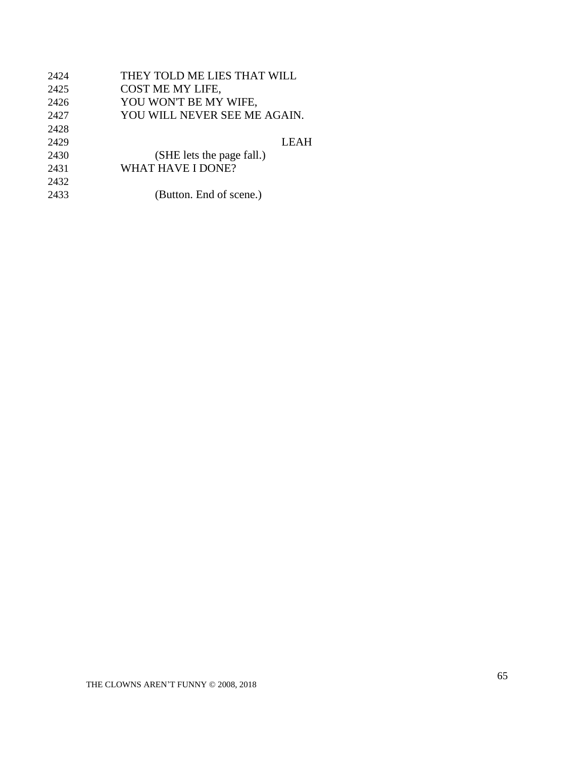| 2424 | THEY TOLD ME LIES THAT WILL  |
|------|------------------------------|
| 2425 | COST ME MY LIFE,             |
| 2426 | YOU WON'T BE MY WIFE,        |
| 2427 | YOU WILL NEVER SEE ME AGAIN. |
| 2428 |                              |
| 2429 | <b>LEAH</b>                  |
| 2430 | (SHE lets the page fall.)    |
| 2431 | WHAT HAVE I DONE?            |
| 2432 |                              |
| 2433 | (Button. End of scene.)      |
|      |                              |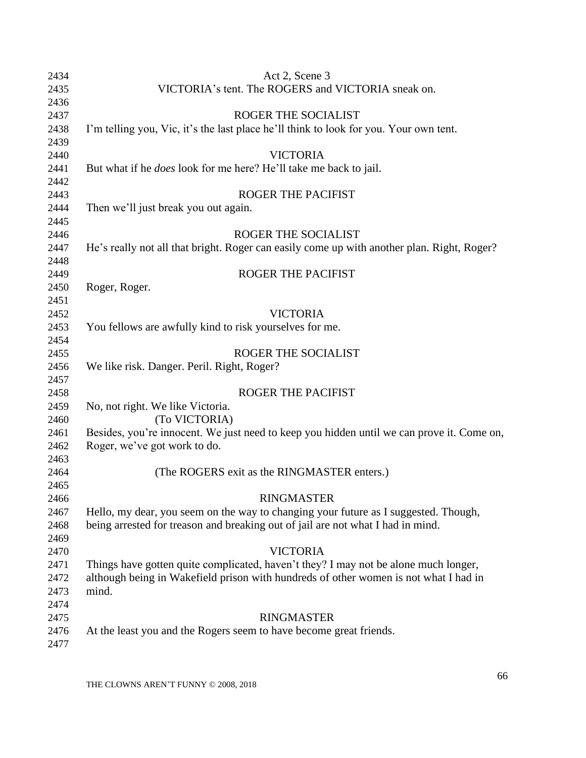| 2434 | Act 2, Scene 3                                                                             |
|------|--------------------------------------------------------------------------------------------|
| 2435 | VICTORIA's tent. The ROGERS and VICTORIA sneak on.                                         |
| 2436 |                                                                                            |
| 2437 | ROGER THE SOCIALIST                                                                        |
| 2438 | I'm telling you, Vic, it's the last place he'll think to look for you. Your own tent.      |
| 2439 |                                                                                            |
| 2440 | <b>VICTORIA</b>                                                                            |
| 2441 | But what if he <i>does</i> look for me here? He'll take me back to jail.                   |
| 2442 |                                                                                            |
| 2443 | <b>ROGER THE PACIFIST</b>                                                                  |
| 2444 | Then we'll just break you out again.                                                       |
| 2445 |                                                                                            |
| 2446 | ROGER THE SOCIALIST                                                                        |
| 2447 | He's really not all that bright. Roger can easily come up with another plan. Right, Roger? |
| 2448 |                                                                                            |
| 2449 | ROGER THE PACIFIST                                                                         |
| 2450 | Roger, Roger.                                                                              |
| 2451 |                                                                                            |
| 2452 | <b>VICTORIA</b>                                                                            |
| 2453 | You fellows are awfully kind to risk yourselves for me.                                    |
| 2454 |                                                                                            |
| 2455 | ROGER THE SOCIALIST                                                                        |
| 2456 | We like risk. Danger. Peril. Right, Roger?                                                 |
| 2457 |                                                                                            |
| 2458 | <b>ROGER THE PACIFIST</b>                                                                  |
| 2459 | No, not right. We like Victoria.                                                           |
| 2460 | (To VICTORIA)                                                                              |
| 2461 | Besides, you're innocent. We just need to keep you hidden until we can prove it. Come on,  |
| 2462 | Roger, we've got work to do.                                                               |
| 2463 |                                                                                            |
| 2464 | (The ROGERS exit as the RINGMASTER enters.)                                                |
| 2465 |                                                                                            |
| 2466 | <b>RINGMASTER</b>                                                                          |
| 2467 | Hello, my dear, you seem on the way to changing your future as I suggested. Though,        |
| 2468 | being arrested for treason and breaking out of jail are not what I had in mind.            |
| 2469 |                                                                                            |
| 2470 | <b>VICTORIA</b>                                                                            |
| 2471 | Things have gotten quite complicated, haven't they? I may not be alone much longer,        |
| 2472 | although being in Wakefield prison with hundreds of other women is not what I had in       |
| 2473 | mind.                                                                                      |
| 2474 |                                                                                            |
| 2475 | <b>RINGMASTER</b>                                                                          |
| 2476 | At the least you and the Rogers seem to have become great friends.                         |
| 2477 |                                                                                            |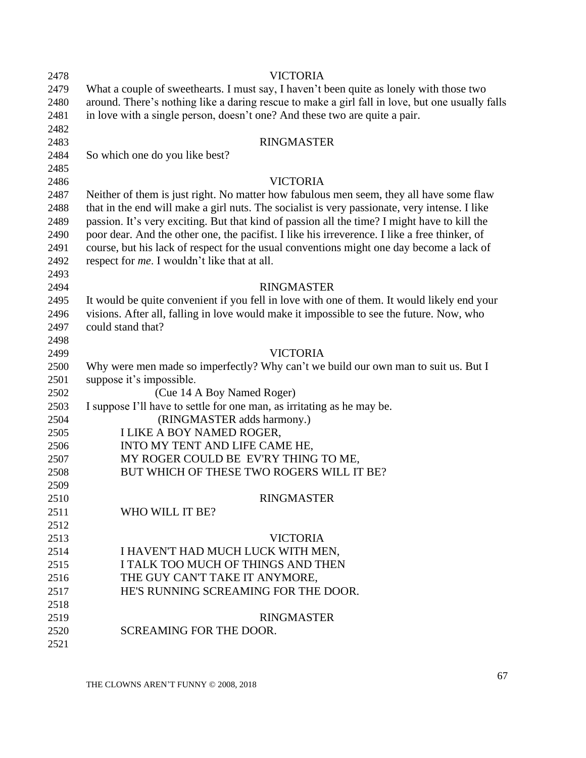| 2478 | <b>VICTORIA</b>                                                                                 |
|------|-------------------------------------------------------------------------------------------------|
| 2479 | What a couple of sweethearts. I must say, I haven't been quite as lonely with those two         |
| 2480 | around. There's nothing like a daring rescue to make a girl fall in love, but one usually falls |
| 2481 | in love with a single person, doesn't one? And these two are quite a pair.                      |
| 2482 |                                                                                                 |
| 2483 | <b>RINGMASTER</b>                                                                               |
| 2484 | So which one do you like best?                                                                  |
| 2485 |                                                                                                 |
| 2486 | <b>VICTORIA</b>                                                                                 |
| 2487 | Neither of them is just right. No matter how fabulous men seem, they all have some flaw         |
| 2488 | that in the end will make a girl nuts. The socialist is very passionate, very intense. I like   |
| 2489 | passion. It's very exciting. But that kind of passion all the time? I might have to kill the    |
| 2490 | poor dear. And the other one, the pacifist. I like his irreverence. I like a free thinker, of   |
| 2491 | course, but his lack of respect for the usual conventions might one day become a lack of        |
| 2492 | respect for <i>me</i> . I wouldn't like that at all.                                            |
| 2493 |                                                                                                 |
| 2494 | <b>RINGMASTER</b>                                                                               |
| 2495 | It would be quite convenient if you fell in love with one of them. It would likely end your     |
| 2496 | visions. After all, falling in love would make it impossible to see the future. Now, who        |
| 2497 | could stand that?                                                                               |
| 2498 |                                                                                                 |
| 2499 | <b>VICTORIA</b>                                                                                 |
| 2500 | Why were men made so imperfectly? Why can't we build our own man to suit us. But I              |
| 2501 | suppose it's impossible.                                                                        |
| 2502 | (Cue 14 A Boy Named Roger)                                                                      |
| 2503 | I suppose I'll have to settle for one man, as irritating as he may be.                          |
| 2504 | (RINGMASTER adds harmony.)                                                                      |
| 2505 | <b>I LIKE A BOY NAMED ROGER,</b>                                                                |
| 2506 | INTO MY TENT AND LIFE CAME HE,                                                                  |
| 2507 | MY ROGER COULD BE EV'RY THING TO ME,                                                            |
| 2508 | BUT WHICH OF THESE TWO ROGERS WILL IT BE?                                                       |
| 2509 |                                                                                                 |
| 2510 | <b>RINGMASTER</b>                                                                               |
| 2511 | WHO WILL IT BE?                                                                                 |
| 2512 |                                                                                                 |
| 2513 | <b>VICTORIA</b>                                                                                 |
| 2514 | I HAVEN'T HAD MUCH LUCK WITH MEN,                                                               |
| 2515 | I TALK TOO MUCH OF THINGS AND THEN                                                              |
| 2516 | THE GUY CAN'T TAKE IT ANYMORE,                                                                  |
| 2517 | HE'S RUNNING SCREAMING FOR THE DOOR.                                                            |
| 2518 |                                                                                                 |
| 2519 | <b>RINGMASTER</b>                                                                               |
| 2520 | SCREAMING FOR THE DOOR.                                                                         |
| 2521 |                                                                                                 |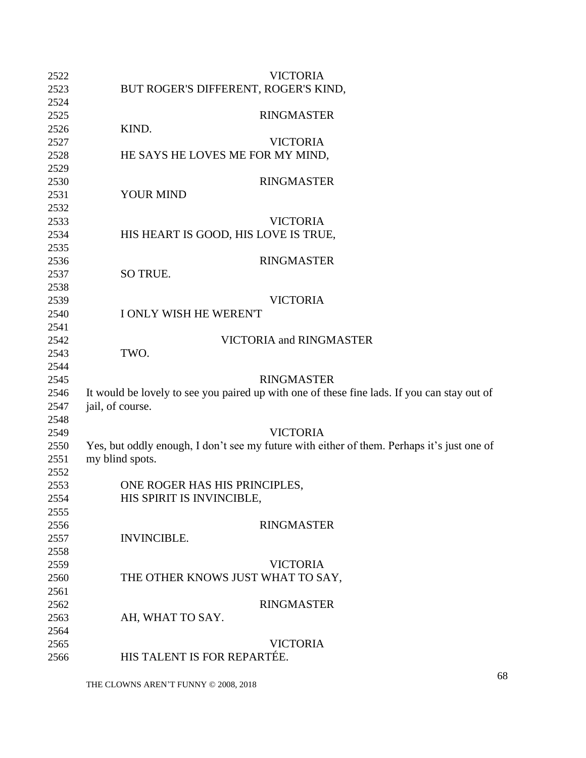| 2522 | <b>VICTORIA</b>                                                                             |
|------|---------------------------------------------------------------------------------------------|
| 2523 | BUT ROGER'S DIFFERENT, ROGER'S KIND,                                                        |
| 2524 |                                                                                             |
| 2525 | <b>RINGMASTER</b>                                                                           |
| 2526 | KIND.                                                                                       |
| 2527 | <b>VICTORIA</b>                                                                             |
| 2528 | HE SAYS HE LOVES ME FOR MY MIND,                                                            |
| 2529 |                                                                                             |
| 2530 | <b>RINGMASTER</b>                                                                           |
| 2531 | <b>YOUR MIND</b>                                                                            |
| 2532 |                                                                                             |
| 2533 | <b>VICTORIA</b>                                                                             |
| 2534 | HIS HEART IS GOOD, HIS LOVE IS TRUE,                                                        |
| 2535 |                                                                                             |
| 2536 | <b>RINGMASTER</b>                                                                           |
| 2537 | SO TRUE.                                                                                    |
| 2538 |                                                                                             |
| 2539 | <b>VICTORIA</b>                                                                             |
| 2540 | I ONLY WISH HE WEREN'T                                                                      |
| 2541 |                                                                                             |
| 2542 | VICTORIA and RINGMASTER                                                                     |
| 2543 | TWO.                                                                                        |
| 2544 |                                                                                             |
| 2545 | <b>RINGMASTER</b>                                                                           |
| 2546 | It would be lovely to see you paired up with one of these fine lads. If you can stay out of |
| 2547 | jail, of course.                                                                            |
| 2548 |                                                                                             |
| 2549 | <b>VICTORIA</b>                                                                             |
| 2550 | Yes, but oddly enough, I don't see my future with either of them. Perhaps it's just one of  |
| 2551 | my blind spots.                                                                             |
| 2552 |                                                                                             |
| 2553 | ONE ROGER HAS HIS PRINCIPLES,                                                               |
| 2554 | HIS SPIRIT IS INVINCIBLE,                                                                   |
| 2555 |                                                                                             |
| 2556 | <b>RINGMASTER</b>                                                                           |
| 2557 | <b>INVINCIBLE.</b>                                                                          |
| 2558 |                                                                                             |
| 2559 | <b>VICTORIA</b>                                                                             |
| 2560 | THE OTHER KNOWS JUST WHAT TO SAY,                                                           |
| 2561 |                                                                                             |
| 2562 | <b>RINGMASTER</b>                                                                           |
|      |                                                                                             |
| 2563 | AH, WHAT TO SAY.                                                                            |
| 2564 |                                                                                             |
| 2565 | <b>VICTORIA</b><br>HIS TALENT IS FOR REPARTÉE.                                              |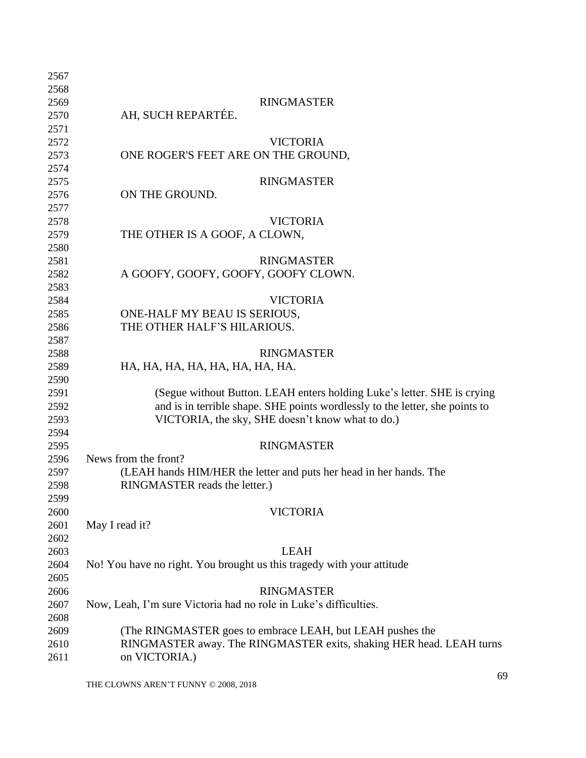| 2567 |                                                                              |
|------|------------------------------------------------------------------------------|
| 2568 |                                                                              |
| 2569 | <b>RINGMASTER</b>                                                            |
| 2570 | AH, SUCH REPARTÉE.                                                           |
| 2571 |                                                                              |
| 2572 | <b>VICTORIA</b>                                                              |
| 2573 | ONE ROGER'S FEET ARE ON THE GROUND,                                          |
| 2574 |                                                                              |
| 2575 | <b>RINGMASTER</b>                                                            |
| 2576 | ON THE GROUND.                                                               |
| 2577 |                                                                              |
| 2578 | <b>VICTORIA</b>                                                              |
| 2579 | THE OTHER IS A GOOF, A CLOWN,                                                |
| 2580 |                                                                              |
| 2581 | <b>RINGMASTER</b>                                                            |
| 2582 | A GOOFY, GOOFY, GOOFY, GOOFY CLOWN.                                          |
| 2583 |                                                                              |
| 2584 | <b>VICTORIA</b>                                                              |
| 2585 | ONE-HALF MY BEAU IS SERIOUS,                                                 |
| 2586 | THE OTHER HALF'S HILARIOUS.                                                  |
| 2587 |                                                                              |
| 2588 | <b>RINGMASTER</b>                                                            |
| 2589 | HA, HA, HA, HA, HA, HA, HA, HA.                                              |
| 2590 |                                                                              |
| 2591 | (Segue without Button. LEAH enters holding Luke's letter. SHE is crying      |
| 2592 | and is in terrible shape. SHE points wordlessly to the letter, she points to |
| 2593 | VICTORIA, the sky, SHE doesn't know what to do.)                             |
| 2594 |                                                                              |
| 2595 | <b>RINGMASTER</b>                                                            |
| 2596 | News from the front?                                                         |
| 2597 | (LEAH hands HIM/HER the letter and puts her head in her hands. The           |
| 2598 | RINGMASTER reads the letter.)                                                |
| 2599 |                                                                              |
| 2600 | <b>VICTORIA</b>                                                              |
| 2601 | May I read it?                                                               |
| 2602 |                                                                              |
| 2603 | <b>LEAH</b>                                                                  |
| 2604 | No! You have no right. You brought us this tragedy with your attitude        |
| 2605 |                                                                              |
| 2606 | <b>RINGMASTER</b>                                                            |
| 2607 | Now, Leah, I'm sure Victoria had no role in Luke's difficulties.             |
| 2608 |                                                                              |
| 2609 | (The RINGMASTER goes to embrace LEAH, but LEAH pushes the                    |
| 2610 | RINGMASTER away. The RINGMASTER exits, shaking HER head. LEAH turns          |
| 2611 | on VICTORIA.)                                                                |
|      |                                                                              |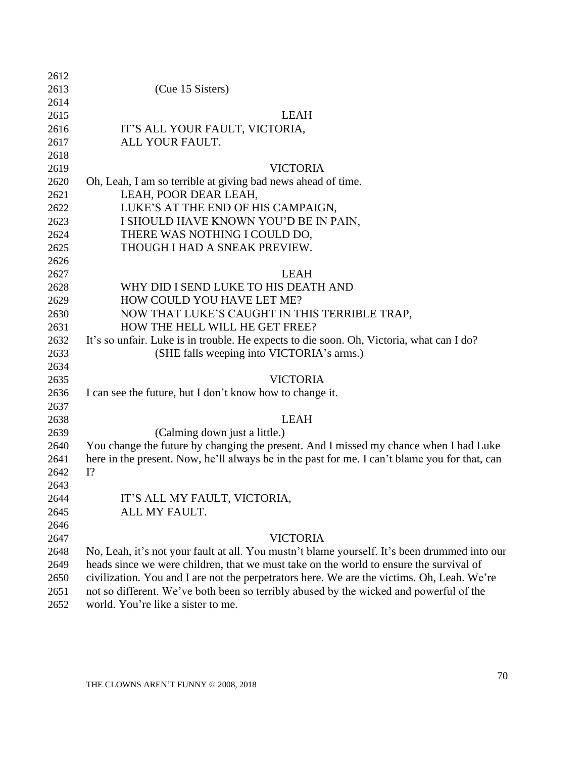| 2612 |                                                                                               |
|------|-----------------------------------------------------------------------------------------------|
| 2613 | (Cue 15 Sisters)                                                                              |
| 2614 |                                                                                               |
| 2615 | <b>LEAH</b>                                                                                   |
| 2616 | IT'S ALL YOUR FAULT, VICTORIA,                                                                |
| 2617 | ALL YOUR FAULT.                                                                               |
| 2618 |                                                                                               |
| 2619 | <b>VICTORIA</b>                                                                               |
| 2620 | Oh, Leah, I am so terrible at giving bad news ahead of time.                                  |
| 2621 | LEAH, POOR DEAR LEAH,                                                                         |
| 2622 | LUKE'S AT THE END OF HIS CAMPAIGN,                                                            |
| 2623 | I SHOULD HAVE KNOWN YOU'D BE IN PAIN,                                                         |
| 2624 | THERE WAS NOTHING I COULD DO,                                                                 |
| 2625 | THOUGH I HAD A SNEAK PREVIEW.                                                                 |
| 2626 |                                                                                               |
| 2627 | <b>LEAH</b>                                                                                   |
| 2628 | WHY DID I SEND LUKE TO HIS DEATH AND                                                          |
| 2629 | HOW COULD YOU HAVE LET ME?                                                                    |
| 2630 | NOW THAT LUKE'S CAUGHT IN THIS TERRIBLE TRAP,                                                 |
| 2631 | HOW THE HELL WILL HE GET FREE?                                                                |
| 2632 | It's so unfair. Luke is in trouble. He expects to die soon. Oh, Victoria, what can I do?      |
| 2633 | (SHE falls weeping into VICTORIA's arms.)                                                     |
| 2634 |                                                                                               |
| 2635 | <b>VICTORIA</b>                                                                               |
| 2636 | I can see the future, but I don't know how to change it.                                      |
| 2637 |                                                                                               |
| 2638 | <b>LEAH</b>                                                                                   |
| 2639 | (Calming down just a little.)                                                                 |
| 2640 | You change the future by changing the present. And I missed my chance when I had Luke         |
| 2641 | here in the present. Now, he'll always be in the past for me. I can't blame you for that, can |
| 2642 | $I$ ?                                                                                         |
| 2643 |                                                                                               |
| 2644 | IT'S ALL MY FAULT, VICTORIA,                                                                  |
| 2645 | ALL MY FAULT.                                                                                 |
| 2646 |                                                                                               |
| 2647 | <b>VICTORIA</b>                                                                               |
| 2648 | No, Leah, it's not your fault at all. You must n't blame yourself. It's been drummed into our |
| 2649 | heads since we were children, that we must take on the world to ensure the survival of        |
| 2650 | civilization. You and I are not the perpetrators here. We are the victims. Oh, Leah. We're    |
| 2651 | not so different. We've both been so terribly abused by the wicked and powerful of the        |
| 2652 | world. You're like a sister to me.                                                            |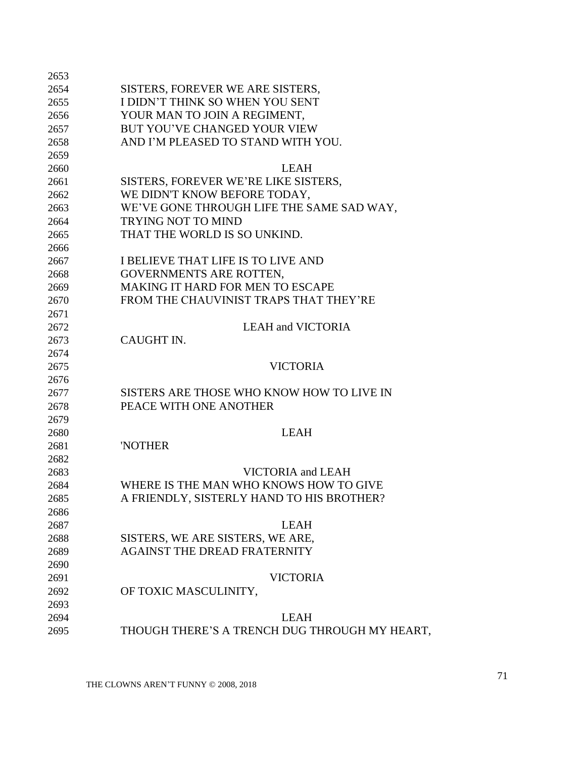| 2654         | SISTERS, FOREVER WE ARE SISTERS,                             |
|--------------|--------------------------------------------------------------|
| 2655         | I DIDN'T THINK SO WHEN YOU SENT                              |
| 2656         | YOUR MAN TO JOIN A REGIMENT,                                 |
| 2657         | BUT YOU'VE CHANGED YOUR VIEW                                 |
| 2658         | AND I'M PLEASED TO STAND WITH YOU.                           |
| 2659         |                                                              |
| 2660         | <b>LEAH</b>                                                  |
| 2661         | SISTERS, FOREVER WE'RE LIKE SISTERS,                         |
| 2662         | WE DIDN'T KNOW BEFORE TODAY,                                 |
| 2663         | WE'VE GONE THROUGH LIFE THE SAME SAD WAY,                    |
| 2664         | <b>TRYING NOT TO MIND</b>                                    |
| 2665         | THAT THE WORLD IS SO UNKIND.                                 |
| 2666         |                                                              |
| 2667         | I BELIEVE THAT LIFE IS TO LIVE AND                           |
| 2668         | GOVERNMENTS ARE ROTTEN,                                      |
| 2669         | <b>MAKING IT HARD FOR MEN TO ESCAPE</b>                      |
| 2670         | FROM THE CHAUVINIST TRAPS THAT THEY'RE                       |
| 2671         |                                                              |
| 2672         | <b>LEAH and VICTORIA</b>                                     |
| 2673         | CAUGHT IN.                                                   |
| 2674         |                                                              |
| 2675         | <b>VICTORIA</b>                                              |
| 2676         |                                                              |
| 2677         | SISTERS ARE THOSE WHO KNOW HOW TO LIVE IN                    |
|              |                                                              |
|              |                                                              |
| 2678         | PEACE WITH ONE ANOTHER                                       |
| 2679         |                                                              |
| 2680         | <b>LEAH</b>                                                  |
| 2681         | 'NOTHER                                                      |
| 2682         |                                                              |
| 2683         | VICTORIA and LEAH                                            |
| 2684         | WHERE IS THE MAN WHO KNOWS HOW TO GIVE                       |
| 2685         | A FRIENDLY, SISTERLY HAND TO HIS BROTHER?                    |
| 2686         |                                                              |
| 2687         | <b>LEAH</b>                                                  |
| 2688         | SISTERS, WE ARE SISTERS, WE ARE,                             |
| 2689         | <b>AGAINST THE DREAD FRATERNITY</b>                          |
| 2690         |                                                              |
| 2691         | <b>VICTORIA</b>                                              |
| 2692         | OF TOXIC MASCULINITY,                                        |
| 2693         |                                                              |
| 2694<br>2695 | <b>LEAH</b><br>THOUGH THERE'S A TRENCH DUG THROUGH MY HEART, |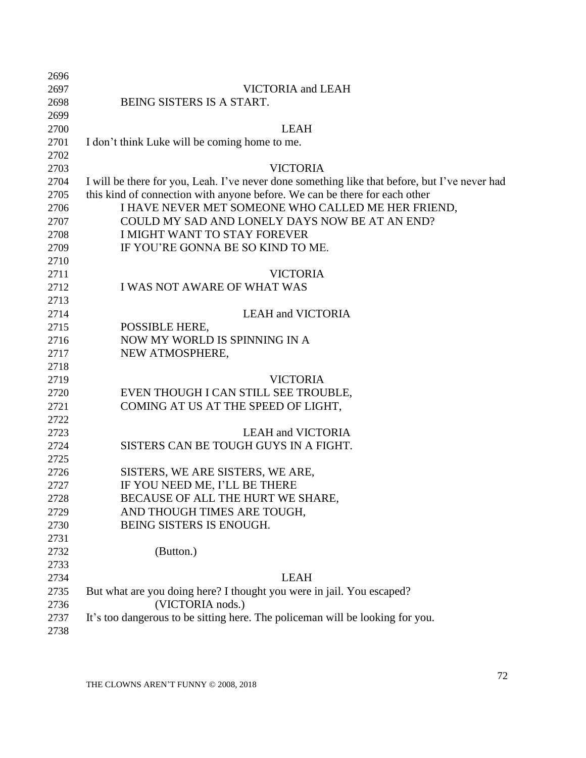| 2696 |                                                                                               |
|------|-----------------------------------------------------------------------------------------------|
| 2697 | VICTORIA and LEAH                                                                             |
| 2698 | BEING SISTERS IS A START.                                                                     |
| 2699 |                                                                                               |
| 2700 | <b>LEAH</b>                                                                                   |
| 2701 | I don't think Luke will be coming home to me.                                                 |
| 2702 |                                                                                               |
| 2703 | <b>VICTORIA</b>                                                                               |
| 2704 | I will be there for you, Leah. I've never done something like that before, but I've never had |
| 2705 | this kind of connection with anyone before. We can be there for each other                    |
| 2706 | I HAVE NEVER MET SOMEONE WHO CALLED ME HER FRIEND,                                            |
| 2707 | COULD MY SAD AND LONELY DAYS NOW BE AT AN END?                                                |
| 2708 | <b>I MIGHT WANT TO STAY FOREVER</b>                                                           |
| 2709 | IF YOU'RE GONNA BE SO KIND TO ME.                                                             |
| 2710 |                                                                                               |
| 2711 | <b>VICTORIA</b>                                                                               |
| 2712 | <b>I WAS NOT AWARE OF WHAT WAS</b>                                                            |
| 2713 |                                                                                               |
| 2714 | <b>LEAH and VICTORIA</b>                                                                      |
| 2715 | POSSIBLE HERE,                                                                                |
| 2716 | NOW MY WORLD IS SPINNING IN A                                                                 |
| 2717 | NEW ATMOSPHERE,                                                                               |
| 2718 |                                                                                               |
| 2719 | <b>VICTORIA</b>                                                                               |
| 2720 | EVEN THOUGH I CAN STILL SEE TROUBLE,                                                          |
| 2721 | COMING AT US AT THE SPEED OF LIGHT,                                                           |
| 2722 |                                                                                               |
| 2723 | <b>LEAH and VICTORIA</b>                                                                      |
| 2724 | SISTERS CAN BE TOUGH GUYS IN A FIGHT.                                                         |
| 2725 |                                                                                               |
| 2726 | SISTERS, WE ARE SISTERS, WE ARE,                                                              |
| 2727 | IF YOU NEED ME, I'LL BE THERE                                                                 |
| 2728 | BECAUSE OF ALL THE HURT WE SHARE,                                                             |
| 2729 | AND THOUGH TIMES ARE TOUGH,                                                                   |
| 2730 | BEING SISTERS IS ENOUGH.                                                                      |
| 2731 |                                                                                               |
| 2732 | (Button.)                                                                                     |
| 2733 |                                                                                               |
| 2734 | <b>LEAH</b>                                                                                   |
| 2735 | But what are you doing here? I thought you were in jail. You escaped?                         |
| 2736 | (VICTORIA nods.)                                                                              |
| 2737 | It's too dangerous to be sitting here. The policeman will be looking for you.                 |
| 2738 |                                                                                               |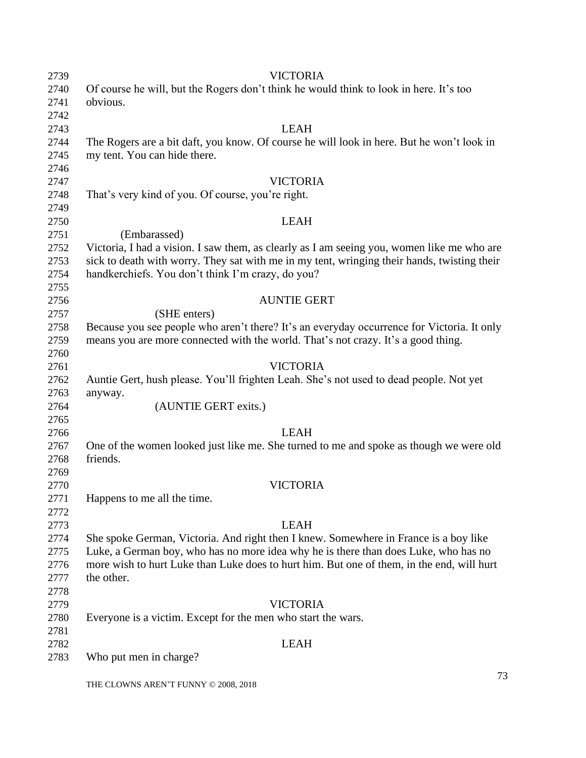| 2739 | <b>VICTORIA</b>                                                                             |
|------|---------------------------------------------------------------------------------------------|
| 2740 | Of course he will, but the Rogers don't think he would think to look in here. It's too      |
| 2741 | obvious.                                                                                    |
| 2742 |                                                                                             |
| 2743 | <b>LEAH</b>                                                                                 |
| 2744 | The Rogers are a bit daft, you know. Of course he will look in here. But he won't look in   |
| 2745 | my tent. You can hide there.                                                                |
| 2746 |                                                                                             |
| 2747 | <b>VICTORIA</b>                                                                             |
| 2748 | That's very kind of you. Of course, you're right.                                           |
| 2749 |                                                                                             |
| 2750 | <b>LEAH</b>                                                                                 |
| 2751 | (Embarassed)                                                                                |
| 2752 | Victoria, I had a vision. I saw them, as clearly as I am seeing you, women like me who are  |
| 2753 | sick to death with worry. They sat with me in my tent, wringing their hands, twisting their |
| 2754 | handkerchiefs. You don't think I'm crazy, do you?                                           |
| 2755 |                                                                                             |
| 2756 | <b>AUNTIE GERT</b>                                                                          |
| 2757 | (SHE enters)                                                                                |
| 2758 | Because you see people who aren't there? It's an everyday occurrence for Victoria. It only  |
| 2759 | means you are more connected with the world. That's not crazy. It's a good thing.           |
| 2760 |                                                                                             |
| 2761 | <b>VICTORIA</b>                                                                             |
| 2762 | Auntie Gert, hush please. You'll frighten Leah. She's not used to dead people. Not yet      |
| 2763 | anyway.                                                                                     |
| 2764 | (AUNTIE GERT exits.)                                                                        |
| 2765 |                                                                                             |
| 2766 | <b>LEAH</b>                                                                                 |
| 2767 | One of the women looked just like me. She turned to me and spoke as though we were old      |
| 2768 | friends.                                                                                    |
| 2769 |                                                                                             |
| 2770 | <b>VICTORIA</b>                                                                             |
| 2771 | Happens to me all the time.                                                                 |
| 2772 |                                                                                             |
| 2773 | <b>LEAH</b>                                                                                 |
| 2774 | She spoke German, Victoria. And right then I knew. Somewhere in France is a boy like        |
| 2775 | Luke, a German boy, who has no more idea why he is there than does Luke, who has no         |
| 2776 | more wish to hurt Luke than Luke does to hurt him. But one of them, in the end, will hurt   |
| 2777 | the other.                                                                                  |
| 2778 |                                                                                             |
| 2779 | <b>VICTORIA</b>                                                                             |
| 2780 | Everyone is a victim. Except for the men who start the wars.                                |
| 2781 |                                                                                             |
| 2782 | <b>LEAH</b>                                                                                 |
| 2783 | Who put men in charge?                                                                      |
|      |                                                                                             |
|      | $7^\circ$                                                                                   |

THE CLOWNS AREN'T FUNNY © 2008, 2018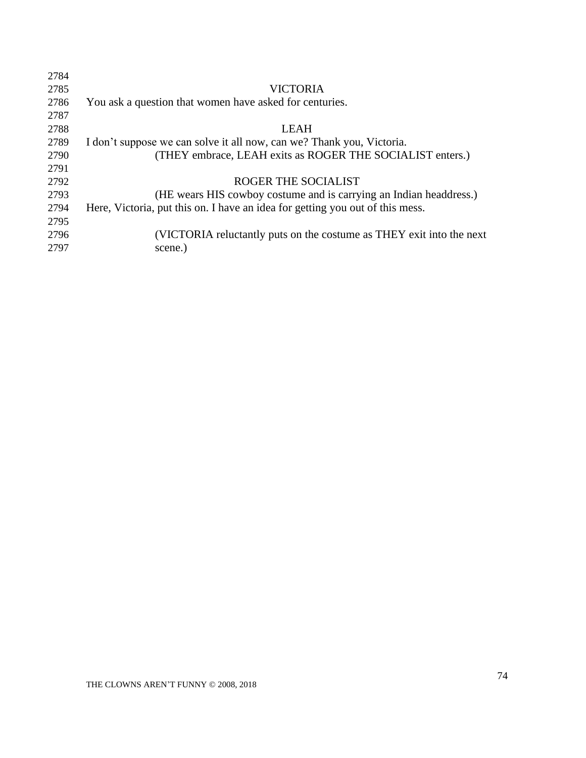| 2784 |                                                                               |
|------|-------------------------------------------------------------------------------|
| 2785 | VICTORIA                                                                      |
| 2786 | You ask a question that women have asked for centuries.                       |
| 2787 |                                                                               |
| 2788 | <b>LEAH</b>                                                                   |
| 2789 | I don't suppose we can solve it all now, can we? Thank you, Victoria.         |
| 2790 | (THEY embrace, LEAH exits as ROGER THE SOCIALIST enters.)                     |
| 2791 |                                                                               |
| 2792 | ROGER THE SOCIALIST                                                           |
| 2793 | (HE wears HIS cowboy costume and is carrying an Indian headdress.)            |
| 2794 | Here, Victoria, put this on. I have an idea for getting you out of this mess. |
| 2795 |                                                                               |
| 2796 | (VICTORIA reluctantly puts on the costume as THEY exit into the next          |
| 2797 | scene.)                                                                       |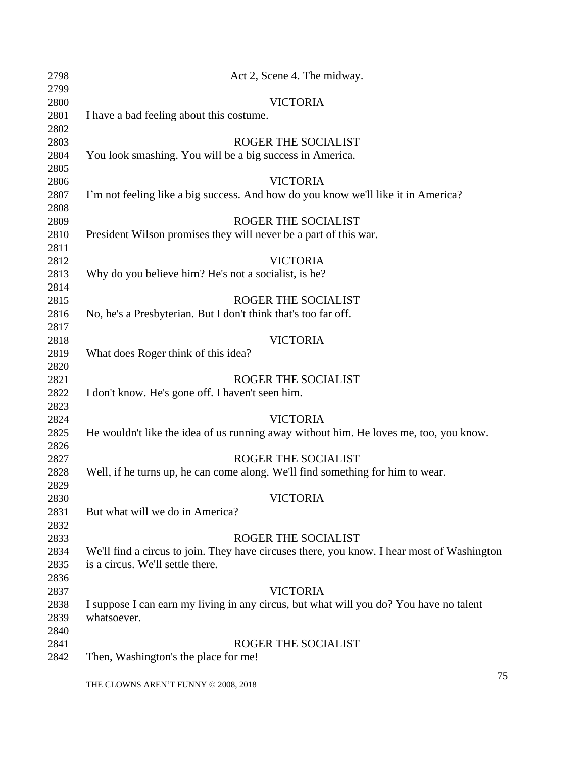| 2798 | Act 2, Scene 4. The midway.                                                                |
|------|--------------------------------------------------------------------------------------------|
| 2799 |                                                                                            |
| 2800 | <b>VICTORIA</b>                                                                            |
| 2801 | I have a bad feeling about this costume.                                                   |
| 2802 |                                                                                            |
| 2803 | ROGER THE SOCIALIST                                                                        |
| 2804 | You look smashing. You will be a big success in America.                                   |
| 2805 |                                                                                            |
| 2806 | <b>VICTORIA</b>                                                                            |
| 2807 | I'm not feeling like a big success. And how do you know we'll like it in America?          |
| 2808 |                                                                                            |
| 2809 | ROGER THE SOCIALIST                                                                        |
| 2810 | President Wilson promises they will never be a part of this war.                           |
| 2811 |                                                                                            |
| 2812 | <b>VICTORIA</b>                                                                            |
| 2813 | Why do you believe him? He's not a socialist, is he?                                       |
| 2814 |                                                                                            |
| 2815 | ROGER THE SOCIALIST                                                                        |
| 2816 | No, he's a Presbyterian. But I don't think that's too far off.                             |
| 2817 |                                                                                            |
| 2818 | <b>VICTORIA</b>                                                                            |
| 2819 | What does Roger think of this idea?                                                        |
| 2820 |                                                                                            |
| 2821 | ROGER THE SOCIALIST                                                                        |
| 2822 | I don't know. He's gone off. I haven't seen him.                                           |
| 2823 |                                                                                            |
| 2824 | <b>VICTORIA</b>                                                                            |
| 2825 | He wouldn't like the idea of us running away without him. He loves me, too, you know.      |
| 2826 |                                                                                            |
| 2827 | ROGER THE SOCIALIST                                                                        |
| 2828 | Well, if he turns up, he can come along. We'll find something for him to wear.             |
| 2829 |                                                                                            |
| 2830 | <b>VICTORIA</b>                                                                            |
| 2831 | But what will we do in America?                                                            |
| 2832 |                                                                                            |
| 2833 | ROGER THE SOCIALIST                                                                        |
| 2834 | We'll find a circus to join. They have circuses there, you know. I hear most of Washington |
| 2835 | is a circus. We'll settle there.                                                           |
| 2836 |                                                                                            |
| 2837 | <b>VICTORIA</b>                                                                            |
| 2838 | I suppose I can earn my living in any circus, but what will you do? You have no talent     |
| 2839 | whatsoever.                                                                                |
| 2840 |                                                                                            |
| 2841 | ROGER THE SOCIALIST                                                                        |
| 2842 | Then, Washington's the place for me!                                                       |
|      |                                                                                            |

THE CLOWNS AREN'T FUNNY © 2008, 2018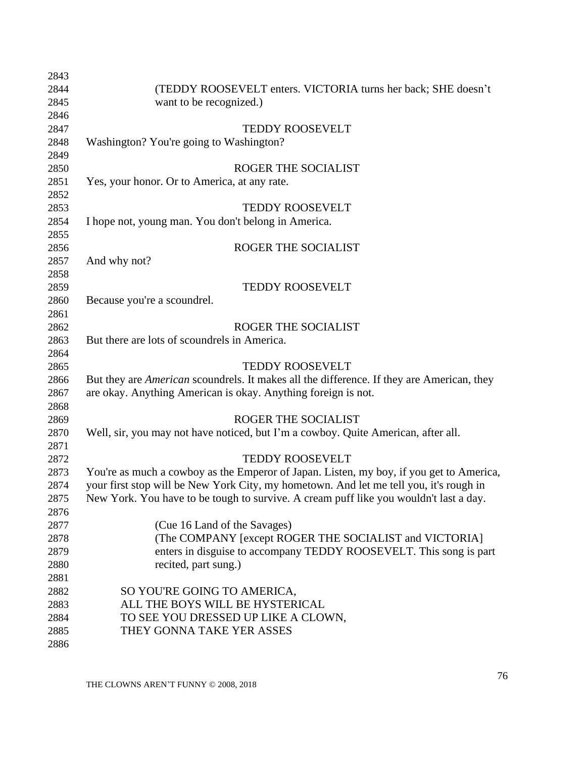| 2843 |                                                                                                  |
|------|--------------------------------------------------------------------------------------------------|
| 2844 | (TEDDY ROOSEVELT enters. VICTORIA turns her back; SHE doesn't                                    |
| 2845 | want to be recognized.)                                                                          |
| 2846 |                                                                                                  |
| 2847 | <b>TEDDY ROOSEVELT</b>                                                                           |
| 2848 | Washington? You're going to Washington?                                                          |
| 2849 |                                                                                                  |
| 2850 | ROGER THE SOCIALIST                                                                              |
| 2851 | Yes, your honor. Or to America, at any rate.                                                     |
| 2852 |                                                                                                  |
| 2853 | <b>TEDDY ROOSEVELT</b>                                                                           |
| 2854 | I hope not, young man. You don't belong in America.                                              |
| 2855 |                                                                                                  |
| 2856 | ROGER THE SOCIALIST                                                                              |
| 2857 | And why not?                                                                                     |
| 2858 |                                                                                                  |
| 2859 | <b>TEDDY ROOSEVELT</b>                                                                           |
| 2860 | Because you're a scoundrel.                                                                      |
| 2861 |                                                                                                  |
| 2862 | ROGER THE SOCIALIST                                                                              |
| 2863 | But there are lots of scoundrels in America.                                                     |
| 2864 |                                                                                                  |
| 2865 | <b>TEDDY ROOSEVELT</b>                                                                           |
| 2866 | But they are <i>American</i> scoundrels. It makes all the difference. If they are American, they |
| 2867 | are okay. Anything American is okay. Anything foreign is not.                                    |
| 2868 |                                                                                                  |
| 2869 | ROGER THE SOCIALIST                                                                              |
| 2870 | Well, sir, you may not have noticed, but I'm a cowboy. Quite American, after all.                |
| 2871 |                                                                                                  |
| 2872 | <b>TEDDY ROOSEVELT</b>                                                                           |
| 2873 | You're as much a cowboy as the Emperor of Japan. Listen, my boy, if you get to America,          |
| 2874 | your first stop will be New York City, my hometown. And let me tell you, it's rough in           |
| 2875 | New York. You have to be tough to survive. A cream puff like you wouldn't last a day.            |
| 2876 |                                                                                                  |
| 2877 | (Cue 16 Land of the Savages)                                                                     |
| 2878 | (The COMPANY [except ROGER THE SOCIALIST and VICTORIA]                                           |
| 2879 | enters in disguise to accompany TEDDY ROOSEVELT. This song is part                               |
| 2880 | recited, part sung.)                                                                             |
| 2881 |                                                                                                  |
| 2882 | SO YOU'RE GOING TO AMERICA,                                                                      |
| 2883 | ALL THE BOYS WILL BE HYSTERICAL                                                                  |
| 2884 | TO SEE YOU DRESSED UP LIKE A CLOWN,                                                              |
| 2885 | THEY GONNA TAKE YER ASSES                                                                        |
| 2886 |                                                                                                  |
|      |                                                                                                  |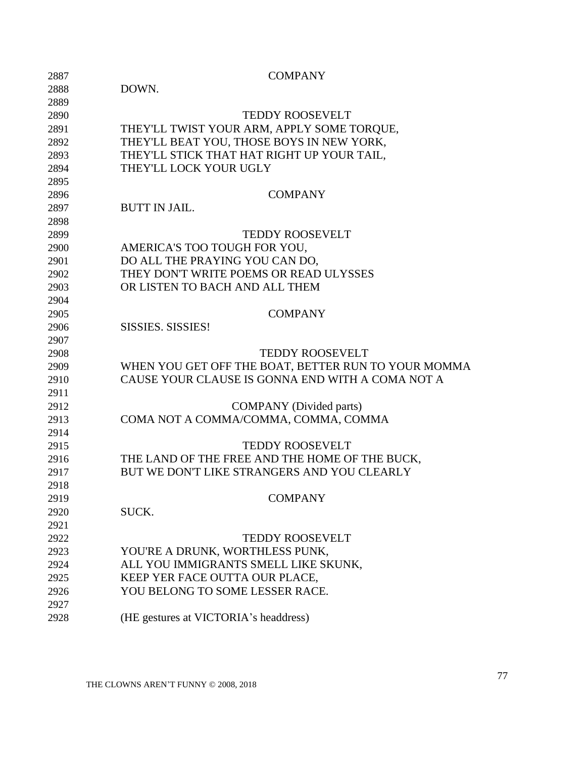| 2887 | <b>COMPANY</b>                                      |
|------|-----------------------------------------------------|
| 2888 | DOWN.                                               |
| 2889 |                                                     |
| 2890 | <b>TEDDY ROOSEVELT</b>                              |
| 2891 | THEY'LL TWIST YOUR ARM, APPLY SOME TORQUE,          |
| 2892 | THEY'LL BEAT YOU, THOSE BOYS IN NEW YORK,           |
| 2893 | THEY'LL STICK THAT HAT RIGHT UP YOUR TAIL,          |
| 2894 | THEY'LL LOCK YOUR UGLY                              |
| 2895 |                                                     |
| 2896 | <b>COMPANY</b>                                      |
| 2897 | <b>BUTT IN JAIL.</b>                                |
| 2898 |                                                     |
| 2899 | <b>TEDDY ROOSEVELT</b>                              |
| 2900 | AMERICA'S TOO TOUGH FOR YOU,                        |
| 2901 | DO ALL THE PRAYING YOU CAN DO,                      |
| 2902 | THEY DON'T WRITE POEMS OR READ ULYSSES              |
| 2903 | OR LISTEN TO BACH AND ALL THEM                      |
| 2904 |                                                     |
| 2905 | <b>COMPANY</b>                                      |
| 2906 | <b>SISSIES. SISSIES!</b>                            |
| 2907 |                                                     |
| 2908 | <b>TEDDY ROOSEVELT</b>                              |
| 2909 | WHEN YOU GET OFF THE BOAT, BETTER RUN TO YOUR MOMMA |
| 2910 | CAUSE YOUR CLAUSE IS GONNA END WITH A COMA NOT A    |
| 2911 |                                                     |
| 2912 | <b>COMPANY</b> (Divided parts)                      |
| 2913 | COMA NOT A COMMA/COMMA, COMMA, COMMA                |
| 2914 |                                                     |
| 2915 | <b>TEDDY ROOSEVELT</b>                              |
| 2916 | THE LAND OF THE FREE AND THE HOME OF THE BUCK,      |
| 2917 | BUT WE DON'T LIKE STRANGERS AND YOU CLEARLY         |
| 2918 |                                                     |
| 2919 | <b>COMPANY</b>                                      |
| 2920 | SUCK.                                               |
| 2921 |                                                     |
| 2922 | <b>TEDDY ROOSEVELT</b>                              |
| 2923 | YOU'RE A DRUNK, WORTHLESS PUNK,                     |
| 2924 | ALL YOU IMMIGRANTS SMELL LIKE SKUNK,                |
| 2925 | KEEP YER FACE OUTTA OUR PLACE,                      |
| 2926 | YOU BELONG TO SOME LESSER RACE.                     |
| 2927 |                                                     |
| 2928 | (HE gestures at VICTORIA's headdress)               |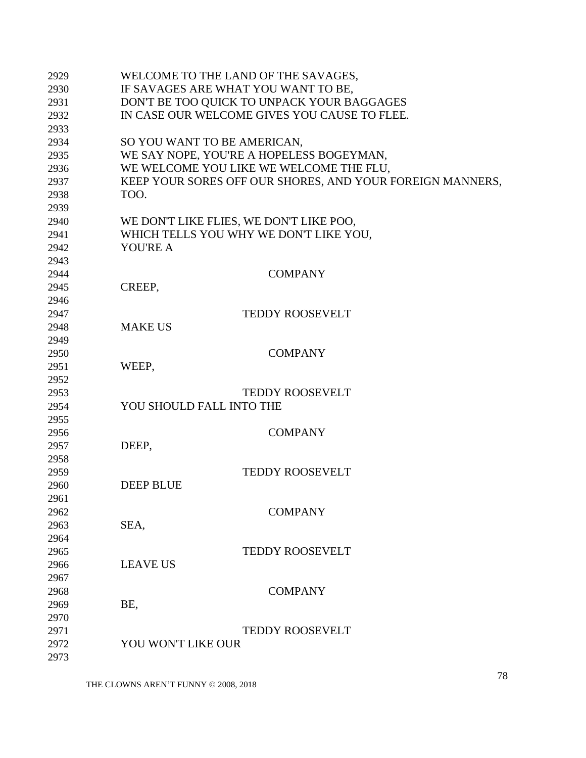| 2929 | WELCOME TO THE LAND OF THE SAVAGES,                       |
|------|-----------------------------------------------------------|
| 2930 | IF SAVAGES ARE WHAT YOU WANT TO BE,                       |
| 2931 | DON'T BE TOO QUICK TO UNPACK YOUR BAGGAGES                |
| 2932 | IN CASE OUR WELCOME GIVES YOU CAUSE TO FLEE.              |
| 2933 |                                                           |
| 2934 | SO YOU WANT TO BE AMERICAN,                               |
| 2935 | WE SAY NOPE, YOU'RE A HOPELESS BOGEYMAN,                  |
| 2936 | WE WELCOME YOU LIKE WE WELCOME THE FLU,                   |
| 2937 | KEEP YOUR SORES OFF OUR SHORES, AND YOUR FOREIGN MANNERS, |
| 2938 | TOO.                                                      |
| 2939 |                                                           |
| 2940 | WE DON'T LIKE FLIES, WE DON'T LIKE POO,                   |
| 2941 | WHICH TELLS YOU WHY WE DON'T LIKE YOU,                    |
| 2942 | <b>YOU'RE A</b>                                           |
| 2943 |                                                           |
| 2944 | <b>COMPANY</b>                                            |
| 2945 | CREEP,                                                    |
| 2946 |                                                           |
| 2947 | <b>TEDDY ROOSEVELT</b>                                    |
| 2948 | <b>MAKE US</b>                                            |
| 2949 |                                                           |
| 2950 | <b>COMPANY</b>                                            |
| 2951 | WEEP,                                                     |
| 2952 |                                                           |
| 2953 | <b>TEDDY ROOSEVELT</b>                                    |
| 2954 | YOU SHOULD FALL INTO THE                                  |
| 2955 |                                                           |
| 2956 | <b>COMPANY</b>                                            |
| 2957 | DEEP,                                                     |
| 2958 |                                                           |
| 2959 | <b>TEDDY ROOSEVELT</b>                                    |
| 2960 | <b>DEEP BLUE</b>                                          |
| 2961 |                                                           |
| 2962 | <b>COMPANY</b>                                            |
| 2963 | SEA,                                                      |
| 2964 |                                                           |
| 2965 | <b>TEDDY ROOSEVELT</b>                                    |
| 2966 | <b>LEAVE US</b>                                           |
| 2967 |                                                           |
| 2968 | <b>COMPANY</b>                                            |
| 2969 | BE,                                                       |
| 2970 |                                                           |
| 2971 | <b>TEDDY ROOSEVELT</b>                                    |
| 2972 | YOU WON'T LIKE OUR                                        |
| 2973 |                                                           |
|      |                                                           |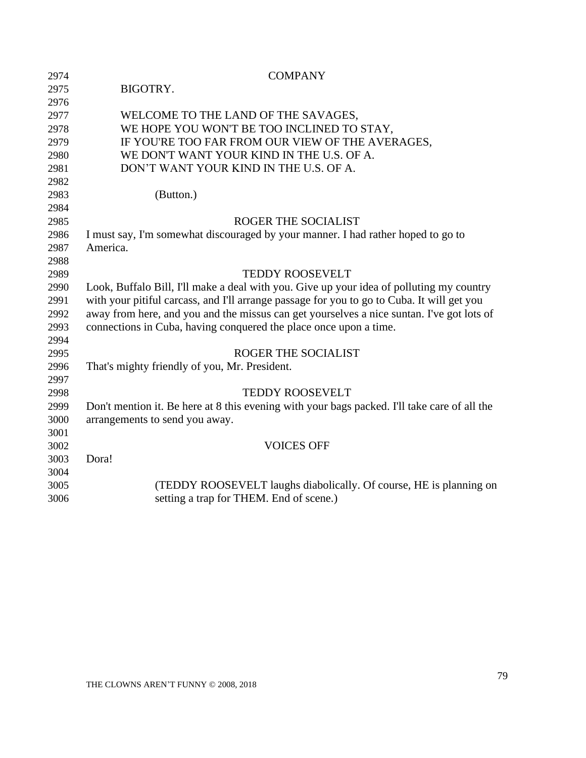| 2974 | <b>COMPANY</b>                                                                               |
|------|----------------------------------------------------------------------------------------------|
| 2975 | BIGOTRY.                                                                                     |
| 2976 |                                                                                              |
| 2977 | WELCOME TO THE LAND OF THE SAVAGES,                                                          |
| 2978 | WE HOPE YOU WON'T BE TOO INCLINED TO STAY,                                                   |
| 2979 | IF YOU'RE TOO FAR FROM OUR VIEW OF THE AVERAGES,                                             |
| 2980 | WE DON'T WANT YOUR KIND IN THE U.S. OF A.                                                    |
| 2981 | DON'T WANT YOUR KIND IN THE U.S. OF A.                                                       |
| 2982 |                                                                                              |
| 2983 | (Button.)                                                                                    |
| 2984 |                                                                                              |
| 2985 | ROGER THE SOCIALIST                                                                          |
| 2986 | I must say, I'm somewhat discouraged by your manner. I had rather hoped to go to             |
| 2987 | America.                                                                                     |
| 2988 |                                                                                              |
| 2989 | <b>TEDDY ROOSEVELT</b>                                                                       |
| 2990 | Look, Buffalo Bill, I'll make a deal with you. Give up your idea of polluting my country     |
| 2991 | with your pitiful carcass, and I'll arrange passage for you to go to Cuba. It will get you   |
| 2992 | away from here, and you and the missus can get yourselves a nice suntan. I've got lots of    |
| 2993 | connections in Cuba, having conquered the place once upon a time.                            |
| 2994 |                                                                                              |
| 2995 | ROGER THE SOCIALIST                                                                          |
| 2996 | That's mighty friendly of you, Mr. President.                                                |
| 2997 |                                                                                              |
| 2998 | <b>TEDDY ROOSEVELT</b>                                                                       |
| 2999 | Don't mention it. Be here at 8 this evening with your bags packed. I'll take care of all the |
| 3000 | arrangements to send you away.                                                               |
| 3001 |                                                                                              |
| 3002 | <b>VOICES OFF</b>                                                                            |
| 3003 | Dora!                                                                                        |
| 3004 |                                                                                              |
| 3005 | (TEDDY ROOSEVELT laughs diabolically. Of course, HE is planning on                           |
| 3006 | setting a trap for THEM. End of scene.)                                                      |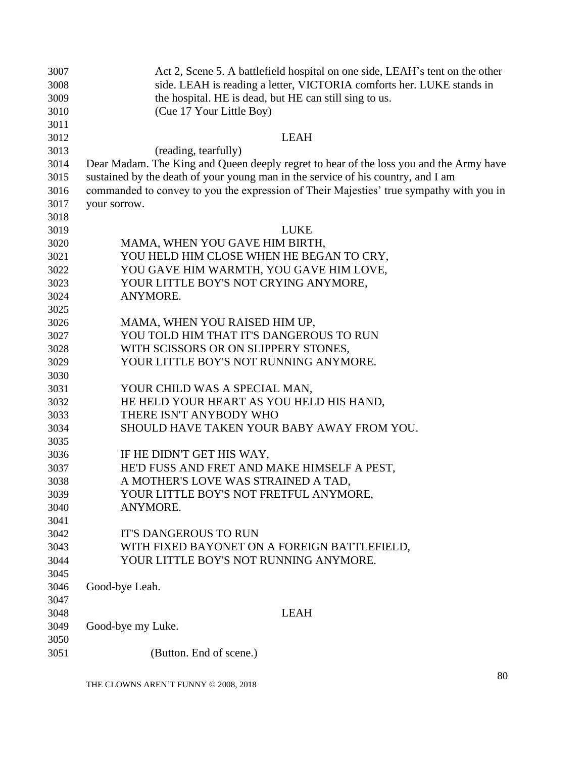| 3007 | Act 2, Scene 5. A battlefield hospital on one side, LEAH's tent on the other            |
|------|-----------------------------------------------------------------------------------------|
| 3008 | side. LEAH is reading a letter, VICTORIA comforts her. LUKE stands in                   |
| 3009 | the hospital. HE is dead, but HE can still sing to us.                                  |
| 3010 | (Cue 17 Your Little Boy)                                                                |
| 3011 |                                                                                         |
| 3012 | <b>LEAH</b>                                                                             |
| 3013 | (reading, tearfully)                                                                    |
| 3014 | Dear Madam. The King and Queen deeply regret to hear of the loss you and the Army have  |
| 3015 | sustained by the death of your young man in the service of his country, and I am        |
| 3016 | commanded to convey to you the expression of Their Majesties' true sympathy with you in |
| 3017 | your sorrow.                                                                            |
| 3018 |                                                                                         |
| 3019 | <b>LUKE</b>                                                                             |
| 3020 | MAMA, WHEN YOU GAVE HIM BIRTH,                                                          |
| 3021 | YOU HELD HIM CLOSE WHEN HE BEGAN TO CRY,                                                |
| 3022 | YOU GAVE HIM WARMTH, YOU GAVE HIM LOVE,                                                 |
| 3023 | YOUR LITTLE BOY'S NOT CRYING ANYMORE,                                                   |
| 3024 | ANYMORE.                                                                                |
| 3025 |                                                                                         |
| 3026 | MAMA, WHEN YOU RAISED HIM UP,                                                           |
| 3027 | YOU TOLD HIM THAT IT'S DANGEROUS TO RUN                                                 |
| 3028 | WITH SCISSORS OR ON SLIPPERY STONES,                                                    |
| 3029 | YOUR LITTLE BOY'S NOT RUNNING ANYMORE.                                                  |
| 3030 |                                                                                         |
| 3031 | YOUR CHILD WAS A SPECIAL MAN,                                                           |
| 3032 | HE HELD YOUR HEART AS YOU HELD HIS HAND,                                                |
| 3033 | THERE ISN'T ANYBODY WHO                                                                 |
| 3034 | SHOULD HAVE TAKEN YOUR BABY AWAY FROM YOU.                                              |
| 3035 |                                                                                         |
| 3036 | IF HE DIDN'T GET HIS WAY,                                                               |
| 3037 | HE'D FUSS AND FRET AND MAKE HIMSELF A PEST,                                             |
| 3038 | A MOTHER'S LOVE WAS STRAINED A TAD,                                                     |
| 3039 | YOUR LITTLE BOY'S NOT FRETFUL ANYMORE,                                                  |
| 3040 | ANYMORE.                                                                                |
| 3041 |                                                                                         |
| 3042 | <b>IT'S DANGEROUS TO RUN</b>                                                            |
| 3043 | WITH FIXED BAYONET ON A FOREIGN BATTLEFIELD,                                            |
| 3044 | YOUR LITTLE BOY'S NOT RUNNING ANYMORE.                                                  |
| 3045 |                                                                                         |
| 3046 | Good-bye Leah.                                                                          |
| 3047 |                                                                                         |
| 3048 | <b>LEAH</b>                                                                             |
| 3049 | Good-bye my Luke.                                                                       |
| 3050 |                                                                                         |
| 3051 | (Button. End of scene.)                                                                 |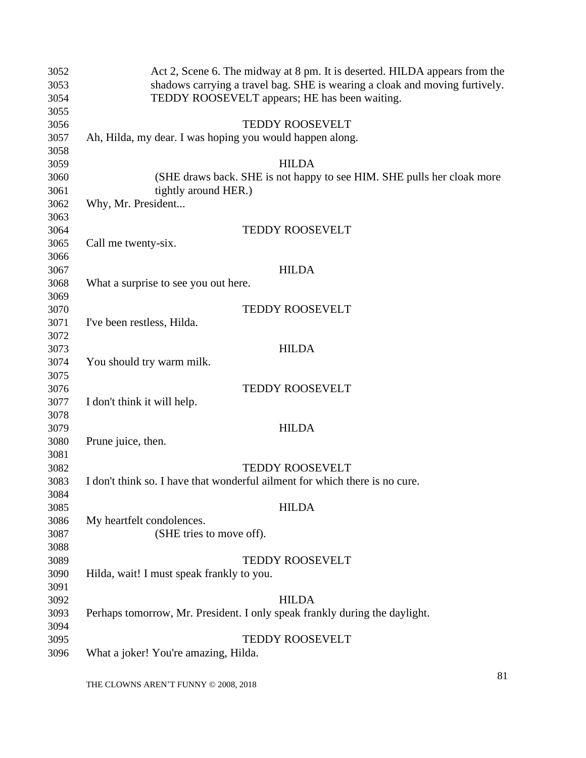| 3052 | Act 2, Scene 6. The midway at 8 pm. It is deserted. HILDA appears from the  |
|------|-----------------------------------------------------------------------------|
| 3053 | shadows carrying a travel bag. SHE is wearing a cloak and moving furtively. |
| 3054 | TEDDY ROOSEVELT appears; HE has been waiting.                               |
| 3055 |                                                                             |
| 3056 | <b>TEDDY ROOSEVELT</b>                                                      |
| 3057 | Ah, Hilda, my dear. I was hoping you would happen along.                    |
| 3058 |                                                                             |
| 3059 | <b>HILDA</b>                                                                |
| 3060 | (SHE draws back. SHE is not happy to see HIM. SHE pulls her cloak more      |
| 3061 | tightly around HER.)                                                        |
| 3062 | Why, Mr. President                                                          |
| 3063 |                                                                             |
| 3064 | <b>TEDDY ROOSEVELT</b>                                                      |
| 3065 | Call me twenty-six.                                                         |
| 3066 |                                                                             |
| 3067 | <b>HILDA</b>                                                                |
| 3068 | What a surprise to see you out here.                                        |
| 3069 |                                                                             |
| 3070 | <b>TEDDY ROOSEVELT</b>                                                      |
| 3071 | I've been restless, Hilda.                                                  |
| 3072 |                                                                             |
| 3073 | <b>HILDA</b>                                                                |
| 3074 | You should try warm milk.                                                   |
| 3075 |                                                                             |
| 3076 | <b>TEDDY ROOSEVELT</b>                                                      |
| 3077 | I don't think it will help.                                                 |
| 3078 |                                                                             |
| 3079 | <b>HILDA</b>                                                                |
| 3080 | Prune juice, then.                                                          |
| 3081 |                                                                             |
| 3082 | <b>TEDDY ROOSEVELT</b>                                                      |
| 3083 | I don't think so. I have that wonderful ailment for which there is no cure. |
| 3084 |                                                                             |
| 3085 | <b>HILDA</b>                                                                |
| 3086 | My heartfelt condolences.                                                   |
| 3087 | (SHE tries to move off).                                                    |
| 3088 |                                                                             |
| 3089 | <b>TEDDY ROOSEVELT</b>                                                      |
| 3090 | Hilda, wait! I must speak frankly to you.                                   |
| 3091 |                                                                             |
| 3092 | <b>HILDA</b>                                                                |
| 3093 | Perhaps tomorrow, Mr. President. I only speak frankly during the daylight.  |
| 3094 |                                                                             |
| 3095 | <b>TEDDY ROOSEVELT</b>                                                      |
| 3096 | What a joker! You're amazing, Hilda.                                        |
|      |                                                                             |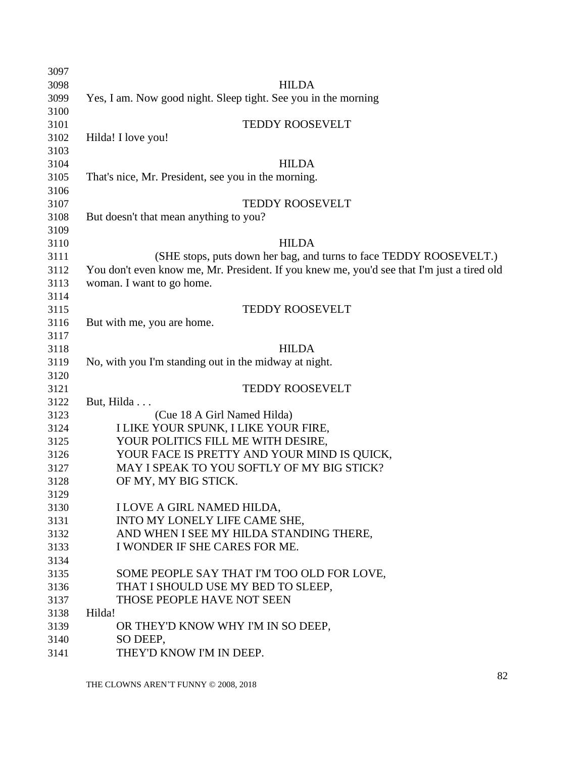| 3097 |                                                                                            |
|------|--------------------------------------------------------------------------------------------|
| 3098 | <b>HILDA</b>                                                                               |
| 3099 | Yes, I am. Now good night. Sleep tight. See you in the morning                             |
| 3100 |                                                                                            |
| 3101 | TEDDY ROOSEVELT                                                                            |
| 3102 | Hilda! I love you!                                                                         |
| 3103 |                                                                                            |
| 3104 | <b>HILDA</b>                                                                               |
| 3105 | That's nice, Mr. President, see you in the morning.                                        |
| 3106 |                                                                                            |
| 3107 | <b>TEDDY ROOSEVELT</b>                                                                     |
| 3108 | But doesn't that mean anything to you?                                                     |
| 3109 |                                                                                            |
| 3110 | <b>HILDA</b>                                                                               |
| 3111 | (SHE stops, puts down her bag, and turns to face TEDDY ROOSEVELT.)                         |
| 3112 | You don't even know me, Mr. President. If you knew me, you'd see that I'm just a tired old |
| 3113 | woman. I want to go home.                                                                  |
| 3114 |                                                                                            |
| 3115 | <b>TEDDY ROOSEVELT</b>                                                                     |
| 3116 | But with me, you are home.                                                                 |
| 3117 |                                                                                            |
| 3118 | <b>HILDA</b>                                                                               |
| 3119 | No, with you I'm standing out in the midway at night.                                      |
| 3120 |                                                                                            |
| 3121 | <b>TEDDY ROOSEVELT</b>                                                                     |
| 3122 | But, Hilda                                                                                 |
| 3123 | (Cue 18 A Girl Named Hilda)                                                                |
| 3124 | I LIKE YOUR SPUNK, I LIKE YOUR FIRE,                                                       |
| 3125 | YOUR POLITICS FILL ME WITH DESIRE,                                                         |
| 3126 | YOUR FACE IS PRETTY AND YOUR MIND IS QUICK,                                                |
| 3127 | MAY I SPEAK TO YOU SOFTLY OF MY BIG STICK?                                                 |
| 3128 | OF MY, MY BIG STICK.                                                                       |
| 3129 |                                                                                            |
| 3130 | I LOVE A GIRL NAMED HILDA,                                                                 |
| 3131 | INTO MY LONELY LIFE CAME SHE,                                                              |
| 3132 | AND WHEN I SEE MY HILDA STANDING THERE,                                                    |
| 3133 | I WONDER IF SHE CARES FOR ME.                                                              |
| 3134 |                                                                                            |
| 3135 | SOME PEOPLE SAY THAT I'M TOO OLD FOR LOVE,                                                 |
| 3136 | THAT I SHOULD USE MY BED TO SLEEP,                                                         |
| 3137 | THOSE PEOPLE HAVE NOT SEEN                                                                 |
| 3138 | Hilda!                                                                                     |
| 3139 | OR THEY'D KNOW WHY I'M IN SO DEEP,                                                         |
| 3140 | SO DEEP,                                                                                   |
| 3141 | THEY'D KNOW I'M IN DEEP.                                                                   |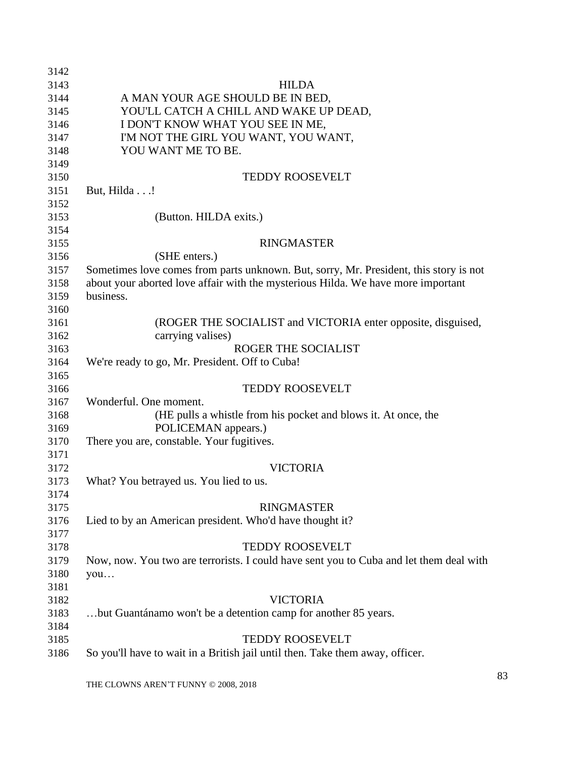| 3142 |                                                                                        |
|------|----------------------------------------------------------------------------------------|
| 3143 | <b>HILDA</b>                                                                           |
| 3144 | A MAN YOUR AGE SHOULD BE IN BED,                                                       |
| 3145 | YOU'LL CATCH A CHILL AND WAKE UP DEAD,                                                 |
| 3146 | I DON'T KNOW WHAT YOU SEE IN ME,                                                       |
| 3147 | I'M NOT THE GIRL YOU WANT, YOU WANT,                                                   |
| 3148 | YOU WANT ME TO BE.                                                                     |
| 3149 |                                                                                        |
| 3150 | <b>TEDDY ROOSEVELT</b>                                                                 |
| 3151 | But, Hilda!                                                                            |
| 3152 |                                                                                        |
| 3153 | (Button. HILDA exits.)                                                                 |
| 3154 |                                                                                        |
| 3155 | <b>RINGMASTER</b>                                                                      |
| 3156 | (SHE enters.)                                                                          |
| 3157 | Sometimes love comes from parts unknown. But, sorry, Mr. President, this story is not  |
| 3158 | about your aborted love affair with the mysterious Hilda. We have more important       |
| 3159 | business.                                                                              |
| 3160 |                                                                                        |
| 3161 | (ROGER THE SOCIALIST and VICTORIA enter opposite, disguised,                           |
| 3162 | carrying valises)                                                                      |
| 3163 | <b>ROGER THE SOCIALIST</b>                                                             |
| 3164 | We're ready to go, Mr. President. Off to Cuba!                                         |
| 3165 |                                                                                        |
| 3166 | TEDDY ROOSEVELT                                                                        |
| 3167 | Wonderful. One moment.                                                                 |
| 3168 | (HE pulls a whistle from his pocket and blows it. At once, the                         |
| 3169 | POLICEMAN appears.)                                                                    |
| 3170 | There you are, constable. Your fugitives.                                              |
| 3171 |                                                                                        |
| 3172 | <b>VICTORIA</b>                                                                        |
| 3173 | What? You betrayed us. You lied to us.                                                 |
| 3174 |                                                                                        |
| 3175 | <b>RINGMASTER</b>                                                                      |
| 3176 | Lied to by an American president. Who'd have thought it?                               |
| 3177 |                                                                                        |
| 3178 | <b>TEDDY ROOSEVELT</b>                                                                 |
| 3179 | Now, now. You two are terrorists. I could have sent you to Cuba and let them deal with |
| 3180 | you                                                                                    |
| 3181 |                                                                                        |
| 3182 | <b>VICTORIA</b>                                                                        |
| 3183 | but Guantánamo won't be a detention camp for another 85 years.                         |
| 3184 |                                                                                        |
| 3185 | <b>TEDDY ROOSEVELT</b>                                                                 |
| 3186 | So you'll have to wait in a British jail until then. Take them away, officer.          |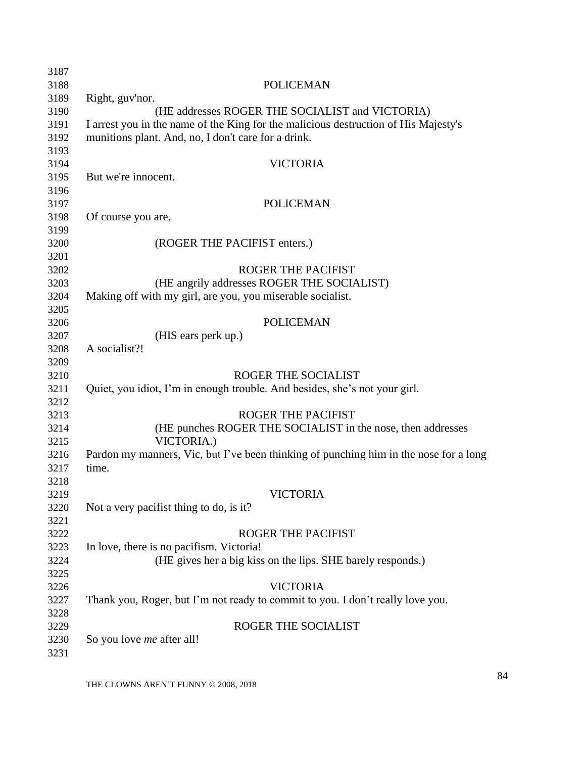| 3187 |                                                                                       |
|------|---------------------------------------------------------------------------------------|
| 3188 | <b>POLICEMAN</b>                                                                      |
| 3189 | Right, guv'nor.                                                                       |
| 3190 | (HE addresses ROGER THE SOCIALIST and VICTORIA)                                       |
| 3191 | I arrest you in the name of the King for the malicious destruction of His Majesty's   |
| 3192 | munitions plant. And, no, I don't care for a drink.                                   |
| 3193 |                                                                                       |
| 3194 | <b>VICTORIA</b>                                                                       |
| 3195 | But we're innocent.                                                                   |
| 3196 |                                                                                       |
| 3197 | <b>POLICEMAN</b>                                                                      |
| 3198 | Of course you are.                                                                    |
| 3199 |                                                                                       |
| 3200 | (ROGER THE PACIFIST enters.)                                                          |
| 3201 |                                                                                       |
| 3202 | <b>ROGER THE PACIFIST</b>                                                             |
| 3203 | (HE angrily addresses ROGER THE SOCIALIST)                                            |
| 3204 | Making off with my girl, are you, you miserable socialist.                            |
| 3205 |                                                                                       |
| 3206 | <b>POLICEMAN</b>                                                                      |
| 3207 | (HIS ears perk up.)                                                                   |
| 3208 | A socialist?!                                                                         |
| 3209 |                                                                                       |
| 3210 | <b>ROGER THE SOCIALIST</b>                                                            |
| 3211 | Quiet, you idiot, I'm in enough trouble. And besides, she's not your girl.            |
| 3212 |                                                                                       |
| 3213 | <b>ROGER THE PACIFIST</b>                                                             |
| 3214 | (HE punches ROGER THE SOCIALIST in the nose, then addresses                           |
| 3215 | VICTORIA.)                                                                            |
| 3216 | Pardon my manners, Vic, but I've been thinking of punching him in the nose for a long |
| 3217 | time.                                                                                 |
| 3218 |                                                                                       |
| 3219 | VICTORIA                                                                              |
| 3220 | Not a very pacifist thing to do, is it?                                               |
| 3221 |                                                                                       |
| 3222 | <b>ROGER THE PACIFIST</b>                                                             |
| 3223 | In love, there is no pacifism. Victoria!                                              |
| 3224 | (HE gives her a big kiss on the lips. SHE barely responds.)                           |
| 3225 |                                                                                       |
| 3226 | <b>VICTORIA</b>                                                                       |
| 3227 | Thank you, Roger, but I'm not ready to commit to you. I don't really love you.        |
| 3228 |                                                                                       |
| 3229 | ROGER THE SOCIALIST                                                                   |
| 3230 | So you love <i>me</i> after all!                                                      |
| 3231 |                                                                                       |
|      |                                                                                       |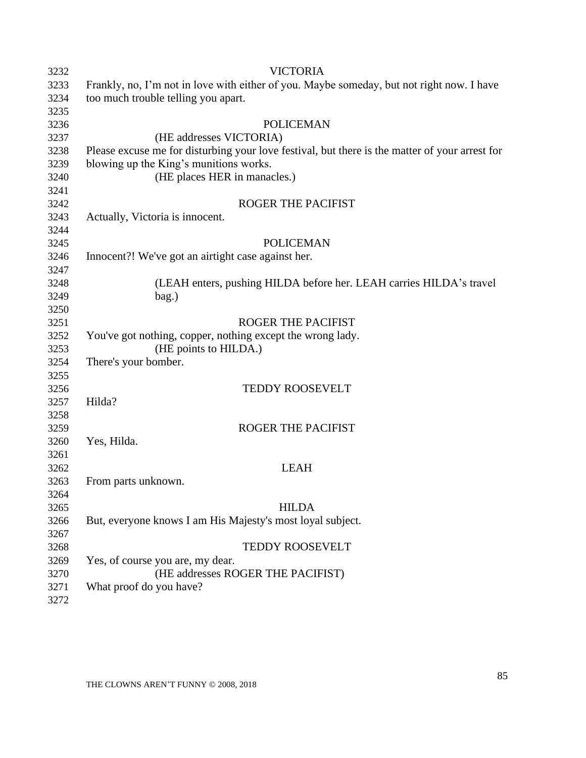| 3232 | <b>VICTORIA</b>                                                                                |
|------|------------------------------------------------------------------------------------------------|
| 3233 | Frankly, no, I'm not in love with either of you. Maybe someday, but not right now. I have      |
| 3234 | too much trouble telling you apart.                                                            |
| 3235 |                                                                                                |
| 3236 | <b>POLICEMAN</b>                                                                               |
| 3237 | (HE addresses VICTORIA)                                                                        |
| 3238 | Please excuse me for disturbing your love festival, but there is the matter of your arrest for |
| 3239 | blowing up the King's munitions works.                                                         |
| 3240 | (HE places HER in manacles.)                                                                   |
| 3241 |                                                                                                |
| 3242 | ROGER THE PACIFIST                                                                             |
| 3243 | Actually, Victoria is innocent.                                                                |
| 3244 |                                                                                                |
| 3245 | <b>POLICEMAN</b>                                                                               |
| 3246 | Innocent?! We've got an airtight case against her.                                             |
| 3247 |                                                                                                |
| 3248 | (LEAH enters, pushing HILDA before her. LEAH carries HILDA's travel                            |
| 3249 | bag.)                                                                                          |
| 3250 |                                                                                                |
| 3251 | <b>ROGER THE PACIFIST</b>                                                                      |
| 3252 | You've got nothing, copper, nothing except the wrong lady.                                     |
| 3253 | (HE points to HILDA.)                                                                          |
| 3254 | There's your bomber.                                                                           |
| 3255 |                                                                                                |
| 3256 | <b>TEDDY ROOSEVELT</b>                                                                         |
| 3257 | Hilda?                                                                                         |
| 3258 |                                                                                                |
| 3259 | <b>ROGER THE PACIFIST</b>                                                                      |
| 3260 | Yes, Hilda.                                                                                    |
| 3261 |                                                                                                |
| 3262 | <b>LEAH</b>                                                                                    |
| 3263 | From parts unknown.                                                                            |
| 3264 |                                                                                                |
| 3265 | <b>HILDA</b>                                                                                   |
| 3266 | But, everyone knows I am His Majesty's most loyal subject.                                     |
| 3267 |                                                                                                |
| 3268 | TEDDY ROOSEVELT                                                                                |
| 3269 | Yes, of course you are, my dear.                                                               |
| 3270 | (HE addresses ROGER THE PACIFIST)                                                              |
| 3271 | What proof do you have?                                                                        |
| 3272 |                                                                                                |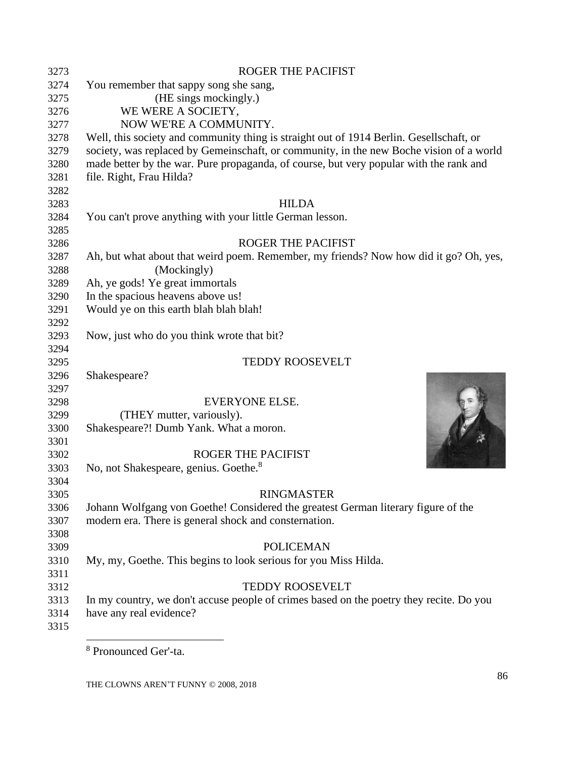| 3273 | <b>ROGER THE PACIFIST</b>                                                               |
|------|-----------------------------------------------------------------------------------------|
| 3274 | You remember that sappy song she sang,                                                  |
| 3275 | (HE sings mockingly.)                                                                   |
| 3276 | WE WERE A SOCIETY,                                                                      |
| 3277 | NOW WE'RE A COMMUNITY.                                                                  |
| 3278 | Well, this society and community thing is straight out of 1914 Berlin. Gesellschaft, or |
| 3279 | society, was replaced by Gemeinschaft, or community, in the new Boche vision of a world |
| 3280 | made better by the war. Pure propaganda, of course, but very popular with the rank and  |
| 3281 | file. Right, Frau Hilda?                                                                |
| 3282 |                                                                                         |
| 3283 | <b>HILDA</b>                                                                            |
| 3284 | You can't prove anything with your little German lesson.                                |
| 3285 |                                                                                         |
| 3286 | <b>ROGER THE PACIFIST</b>                                                               |
| 3287 | Ah, but what about that weird poem. Remember, my friends? Now how did it go? Oh, yes,   |
| 3288 | (Mockingly)                                                                             |
| 3289 | Ah, ye gods! Ye great immortals                                                         |
| 3290 | In the spacious heavens above us!                                                       |
| 3291 | Would ye on this earth blah blah blah!                                                  |
| 3292 |                                                                                         |
| 3293 | Now, just who do you think wrote that bit?                                              |
| 3294 |                                                                                         |
| 3295 | <b>TEDDY ROOSEVELT</b>                                                                  |
| 3296 | Shakespeare?                                                                            |
| 3297 |                                                                                         |
| 3298 | EVERYONE ELSE.                                                                          |
| 3299 | (THEY mutter, variously).                                                               |
| 3300 | Shakespeare?! Dumb Yank. What a moron.                                                  |
| 3301 |                                                                                         |
| 3302 | <b>ROGER THE PACIFIST</b>                                                               |
| 3303 | No, not Shakespeare, genius. Goethe. <sup>8</sup>                                       |
| 3304 |                                                                                         |
| 3305 | <b>RINGMASTER</b>                                                                       |
| 3306 | Johann Wolfgang von Goethe! Considered the greatest German literary figure of the       |
| 3307 | modern era. There is general shock and consternation.                                   |
| 3308 |                                                                                         |
| 3309 | <b>POLICEMAN</b>                                                                        |
| 3310 | My, my, Goethe. This begins to look serious for you Miss Hilda.                         |
| 3311 |                                                                                         |
| 3312 | <b>TEDDY ROOSEVELT</b>                                                                  |
| 3313 | In my country, we don't accuse people of crimes based on the poetry they recite. Do you |
| 3314 | have any real evidence?                                                                 |
| 3315 |                                                                                         |
|      |                                                                                         |

Pronounced Ger'-ta.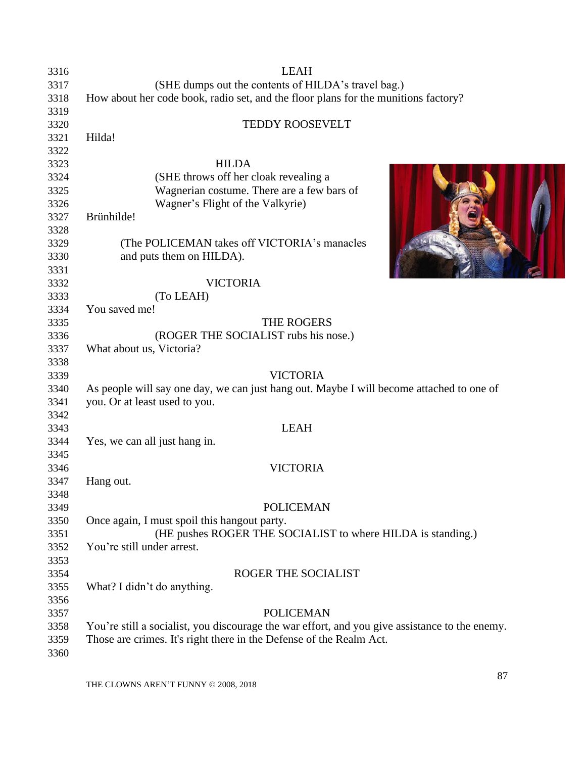| 3316 | <b>LEAH</b>                                                                                    |
|------|------------------------------------------------------------------------------------------------|
| 3317 | (SHE dumps out the contents of HILDA's travel bag.)                                            |
| 3318 | How about her code book, radio set, and the floor plans for the munitions factory?             |
| 3319 |                                                                                                |
| 3320 | TEDDY ROOSEVELT                                                                                |
| 3321 | Hilda!                                                                                         |
| 3322 |                                                                                                |
| 3323 | <b>HILDA</b>                                                                                   |
| 3324 | (SHE throws off her cloak revealing a                                                          |
| 3325 | Wagnerian costume. There are a few bars of                                                     |
| 3326 | Wagner's Flight of the Valkyrie)                                                               |
| 3327 | Brünhilde!                                                                                     |
| 3328 |                                                                                                |
| 3329 | (The POLICEMAN takes off VICTORIA's manacles                                                   |
| 3330 | and puts them on HILDA).                                                                       |
| 3331 |                                                                                                |
| 3332 | <b>VICTORIA</b>                                                                                |
| 3333 | (To LEAH)                                                                                      |
| 3334 | You saved me!                                                                                  |
| 3335 | THE ROGERS                                                                                     |
|      | (ROGER THE SOCIALIST rubs his nose.)                                                           |
| 3336 |                                                                                                |
| 3337 | What about us, Victoria?                                                                       |
| 3338 | <b>VICTORIA</b>                                                                                |
| 3339 |                                                                                                |
| 3340 | As people will say one day, we can just hang out. Maybe I will become attached to one of       |
| 3341 | you. Or at least used to you.                                                                  |
| 3342 |                                                                                                |
| 3343 | <b>LEAH</b>                                                                                    |
| 3344 | Yes, we can all just hang in.                                                                  |
| 3345 |                                                                                                |
| 3346 | <b>VICTORIA</b>                                                                                |
| 3347 | Hang out.                                                                                      |
| 3348 |                                                                                                |
| 3349 | <b>POLICEMAN</b>                                                                               |
| 3350 | Once again, I must spoil this hangout party.                                                   |
| 3351 | (HE pushes ROGER THE SOCIALIST to where HILDA is standing.)                                    |
| 3352 | You're still under arrest.                                                                     |
| 3353 |                                                                                                |
| 3354 | ROGER THE SOCIALIST                                                                            |
| 3355 | What? I didn't do anything.                                                                    |
| 3356 |                                                                                                |
| 3357 | <b>POLICEMAN</b>                                                                               |
| 3358 | You're still a socialist, you discourage the war effort, and you give assistance to the enemy. |
| 3359 | Those are crimes. It's right there in the Defense of the Realm Act.                            |
| 3360 |                                                                                                |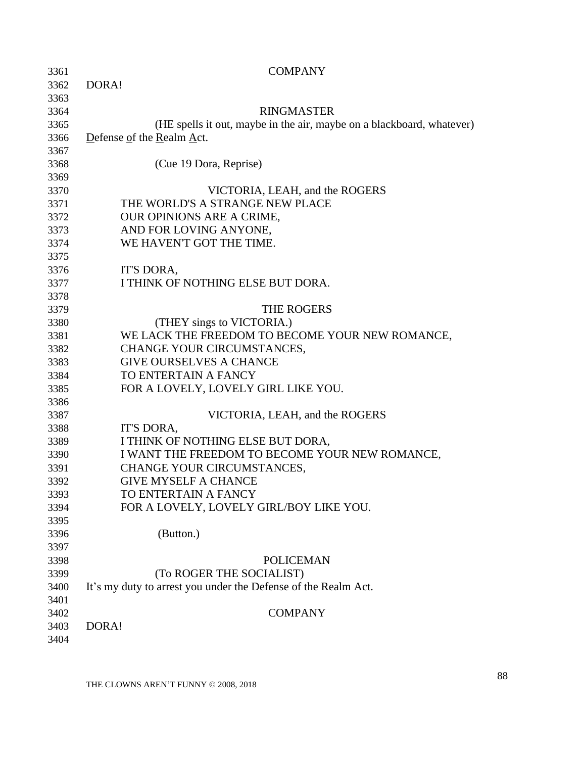| 3361 | <b>COMPANY</b>                                                        |
|------|-----------------------------------------------------------------------|
| 3362 | DORA!                                                                 |
| 3363 |                                                                       |
| 3364 | <b>RINGMASTER</b>                                                     |
| 3365 | (HE spells it out, maybe in the air, maybe on a blackboard, whatever) |
| 3366 | Defense of the Realm Act.                                             |
| 3367 |                                                                       |
| 3368 | (Cue 19 Dora, Reprise)                                                |
| 3369 |                                                                       |
| 3370 | VICTORIA, LEAH, and the ROGERS                                        |
| 3371 | THE WORLD'S A STRANGE NEW PLACE                                       |
| 3372 | <b>OUR OPINIONS ARE A CRIME,</b>                                      |
| 3373 | AND FOR LOVING ANYONE,                                                |
| 3374 | WE HAVEN'T GOT THE TIME.                                              |
| 3375 |                                                                       |
| 3376 | IT'S DORA,                                                            |
| 3377 | I THINK OF NOTHING ELSE BUT DORA.                                     |
| 3378 |                                                                       |
| 3379 | <b>THE ROGERS</b>                                                     |
| 3380 | (THEY sings to VICTORIA.)                                             |
| 3381 | WE LACK THE FREEDOM TO BECOME YOUR NEW ROMANCE,                       |
| 3382 | CHANGE YOUR CIRCUMSTANCES,                                            |
| 3383 | <b>GIVE OURSELVES A CHANCE</b>                                        |
| 3384 | TO ENTERTAIN A FANCY                                                  |
| 3385 | FOR A LOVELY, LOVELY GIRL LIKE YOU.                                   |
| 3386 |                                                                       |
| 3387 | VICTORIA, LEAH, and the ROGERS                                        |
| 3388 | IT'S DORA,                                                            |
| 3389 | I THINK OF NOTHING ELSE BUT DORA,                                     |
| 3390 | I WANT THE FREEDOM TO BECOME YOUR NEW ROMANCE,                        |
| 3391 | CHANGE YOUR CIRCUMSTANCES,                                            |
| 3392 | <b>GIVE MYSELF A CHANCE</b>                                           |
| 3393 | TO ENTERTAIN A FANCY                                                  |
| 3394 | FOR A LOVELY, LOVELY GIRL/BOY LIKE YOU.                               |
| 3395 |                                                                       |
| 3396 | (Button.)                                                             |
| 3397 |                                                                       |
| 3398 | <b>POLICEMAN</b>                                                      |
| 3399 | (To ROGER THE SOCIALIST)                                              |
| 3400 | It's my duty to arrest you under the Defense of the Realm Act.        |
| 3401 |                                                                       |
| 3402 | <b>COMPANY</b>                                                        |
| 3403 | DORA!                                                                 |
| 3404 |                                                                       |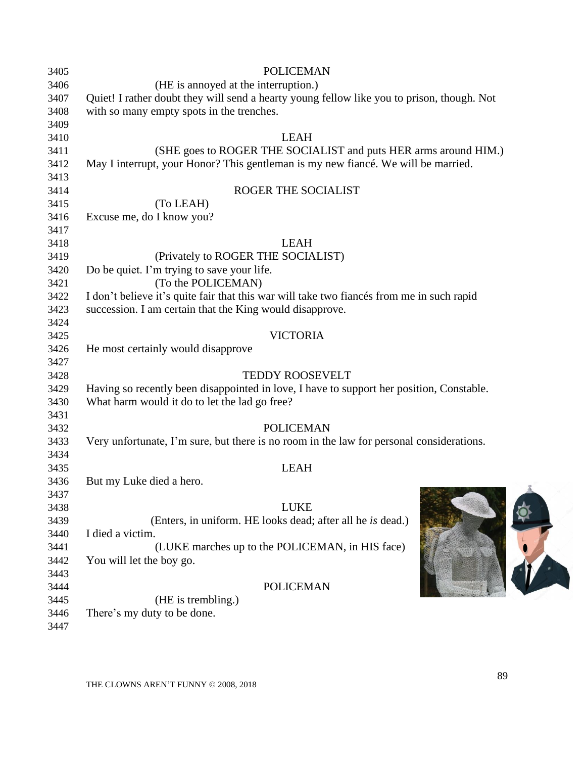| 3405 | <b>POLICEMAN</b>                                                                           |
|------|--------------------------------------------------------------------------------------------|
| 3406 | (HE is annoyed at the interruption.)                                                       |
| 3407 | Quiet! I rather doubt they will send a hearty young fellow like you to prison, though. Not |
| 3408 | with so many empty spots in the trenches.                                                  |
| 3409 |                                                                                            |
| 3410 | <b>LEAH</b>                                                                                |
| 3411 | (SHE goes to ROGER THE SOCIALIST and puts HER arms around HIM.)                            |
| 3412 | May I interrupt, your Honor? This gentleman is my new fiance. We will be married.          |
| 3413 |                                                                                            |
| 3414 | ROGER THE SOCIALIST                                                                        |
| 3415 | (To LEAH)                                                                                  |
| 3416 | Excuse me, do I know you?                                                                  |
| 3417 |                                                                                            |
| 3418 | <b>LEAH</b>                                                                                |
| 3419 | (Privately to ROGER THE SOCIALIST)                                                         |
| 3420 | Do be quiet. I'm trying to save your life.                                                 |
| 3421 | (To the POLICEMAN)                                                                         |
| 3422 | I don't believe it's quite fair that this war will take two fiances from me in such rapid  |
| 3423 | succession. I am certain that the King would disapprove.                                   |
| 3424 |                                                                                            |
| 3425 | <b>VICTORIA</b>                                                                            |
| 3426 | He most certainly would disapprove                                                         |
| 3427 |                                                                                            |
| 3428 | <b>TEDDY ROOSEVELT</b>                                                                     |
| 3429 | Having so recently been disappointed in love, I have to support her position, Constable.   |
| 3430 | What harm would it do to let the lad go free?                                              |
| 3431 |                                                                                            |
| 3432 | <b>POLICEMAN</b>                                                                           |
| 3433 | Very unfortunate, I'm sure, but there is no room in the law for personal considerations.   |
| 3434 |                                                                                            |
| 3435 | <b>LEAH</b>                                                                                |
| 3436 | But my Luke died a hero.                                                                   |
| 3437 |                                                                                            |
| 3438 | <b>LUKE</b>                                                                                |
| 3439 | (Enters, in uniform. HE looks dead; after all he is dead.)                                 |
| 3440 | I died a victim.                                                                           |
| 3441 | (LUKE marches up to the POLICEMAN, in HIS face)                                            |
| 3442 | You will let the boy go.                                                                   |
|      |                                                                                            |
| 3443 | <b>POLICEMAN</b>                                                                           |
| 3444 |                                                                                            |
| 3445 | (HE is trembling.)                                                                         |
| 3446 | There's my duty to be done.                                                                |
| 3447 |                                                                                            |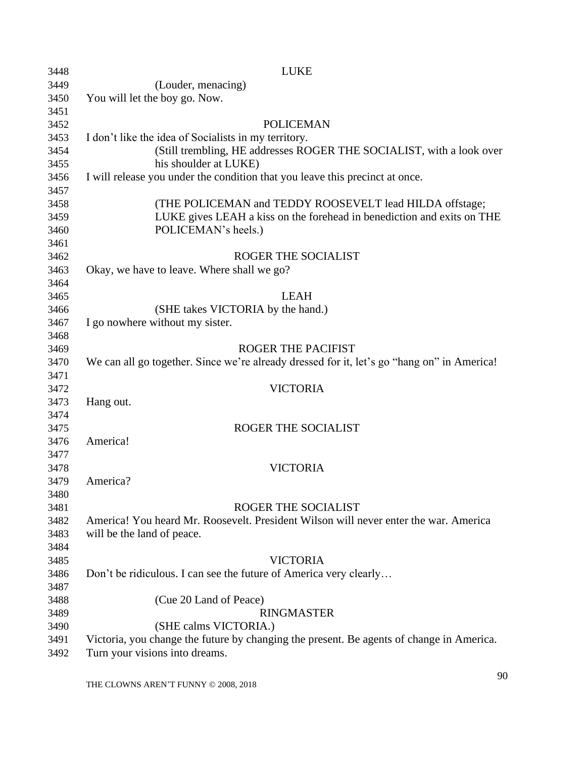| 3448 | <b>LUKE</b>                                                                                |
|------|--------------------------------------------------------------------------------------------|
| 3449 | (Louder, menacing)                                                                         |
| 3450 | You will let the boy go. Now.                                                              |
| 3451 |                                                                                            |
| 3452 | <b>POLICEMAN</b>                                                                           |
| 3453 | I don't like the idea of Socialists in my territory.                                       |
| 3454 | (Still trembling, HE addresses ROGER THE SOCIALIST, with a look over                       |
| 3455 | his shoulder at LUKE)                                                                      |
| 3456 | I will release you under the condition that you leave this precinct at once.               |
| 3457 |                                                                                            |
| 3458 | (THE POLICEMAN and TEDDY ROOSEVELT lead HILDA offstage;                                    |
| 3459 | LUKE gives LEAH a kiss on the forehead in benediction and exits on THE                     |
| 3460 | POLICEMAN's heels.)                                                                        |
| 3461 |                                                                                            |
| 3462 | ROGER THE SOCIALIST                                                                        |
| 3463 | Okay, we have to leave. Where shall we go?                                                 |
| 3464 |                                                                                            |
| 3465 | <b>LEAH</b>                                                                                |
| 3466 | (SHE takes VICTORIA by the hand.)                                                          |
| 3467 | I go nowhere without my sister.                                                            |
| 3468 |                                                                                            |
| 3469 | <b>ROGER THE PACIFIST</b>                                                                  |
| 3470 | We can all go together. Since we're already dressed for it, let's go "hang on" in America! |
| 3471 |                                                                                            |
| 3472 | <b>VICTORIA</b>                                                                            |
| 3473 | Hang out.                                                                                  |
| 3474 |                                                                                            |
| 3475 | ROGER THE SOCIALIST                                                                        |
| 3476 | America!                                                                                   |
| 3477 |                                                                                            |
| 3478 | <b>VICTORIA</b>                                                                            |
| 3479 | America?                                                                                   |
| 3480 |                                                                                            |
| 3481 | <b>ROGER THE SOCIALIST</b>                                                                 |
| 3482 | America! You heard Mr. Roosevelt. President Wilson will never enter the war. America       |
| 3483 | will be the land of peace.                                                                 |
| 3484 |                                                                                            |
| 3485 | <b>VICTORIA</b>                                                                            |
| 3486 | Don't be ridiculous. I can see the future of America very clearly                          |
| 3487 |                                                                                            |
| 3488 | (Cue 20 Land of Peace)                                                                     |
| 3489 | <b>RINGMASTER</b>                                                                          |
| 3490 | (SHE calms VICTORIA.)                                                                      |
| 3491 | Victoria, you change the future by changing the present. Be agents of change in America.   |
| 3492 | Turn your visions into dreams.                                                             |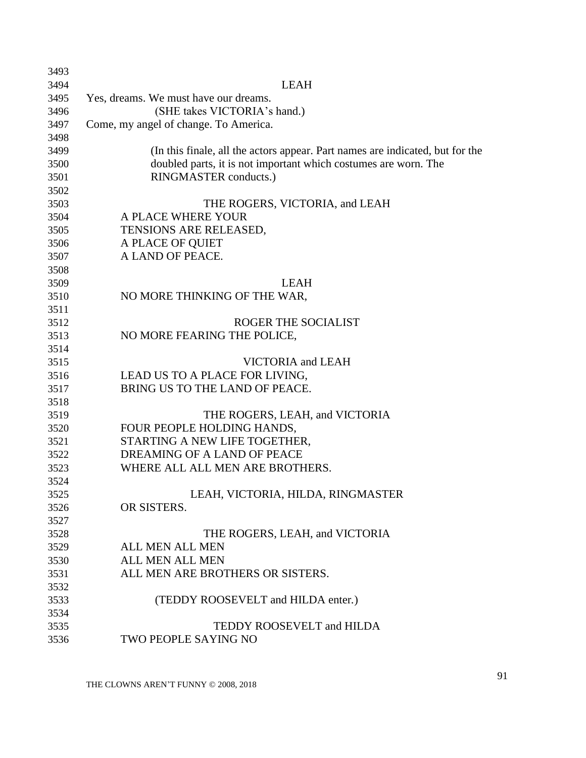| 3493 |                                                                               |
|------|-------------------------------------------------------------------------------|
| 3494 | <b>LEAH</b>                                                                   |
| 3495 | Yes, dreams. We must have our dreams.                                         |
| 3496 | (SHE takes VICTORIA's hand.)                                                  |
| 3497 | Come, my angel of change. To America.                                         |
| 3498 |                                                                               |
| 3499 | (In this finale, all the actors appear. Part names are indicated, but for the |
| 3500 | doubled parts, it is not important which costumes are worn. The               |
| 3501 | RINGMASTER conducts.)                                                         |
| 3502 |                                                                               |
| 3503 | THE ROGERS, VICTORIA, and LEAH                                                |
| 3504 | A PLACE WHERE YOUR                                                            |
| 3505 | TENSIONS ARE RELEASED,                                                        |
| 3506 | A PLACE OF QUIET                                                              |
| 3507 | A LAND OF PEACE.                                                              |
| 3508 |                                                                               |
| 3509 | <b>LEAH</b>                                                                   |
| 3510 | NO MORE THINKING OF THE WAR,                                                  |
| 3511 |                                                                               |
| 3512 | ROGER THE SOCIALIST                                                           |
| 3513 | NO MORE FEARING THE POLICE,                                                   |
| 3514 |                                                                               |
| 3515 | VICTORIA and LEAH                                                             |
| 3516 | LEAD US TO A PLACE FOR LIVING,                                                |
| 3517 | BRING US TO THE LAND OF PEACE.                                                |
| 3518 |                                                                               |
| 3519 | THE ROGERS, LEAH, and VICTORIA                                                |
| 3520 | FOUR PEOPLE HOLDING HANDS,                                                    |
| 3521 | STARTING A NEW LIFE TOGETHER,                                                 |
| 3522 | DREAMING OF A LAND OF PEACE                                                   |
| 3523 | WHERE ALL ALL MEN ARE BROTHERS.                                               |
| 3524 |                                                                               |
| 3525 | LEAH, VICTORIA, HILDA, RINGMASTER                                             |
| 3526 | OR SISTERS.                                                                   |
| 3527 |                                                                               |
| 3528 | THE ROGERS, LEAH, and VICTORIA                                                |
| 3529 | <b>ALL MEN ALL MEN</b>                                                        |
| 3530 | <b>ALL MEN ALL MEN</b>                                                        |
| 3531 | ALL MEN ARE BROTHERS OR SISTERS.                                              |
| 3532 |                                                                               |
| 3533 | (TEDDY ROOSEVELT and HILDA enter.)                                            |
| 3534 |                                                                               |
| 3535 | TEDDY ROOSEVELT and HILDA                                                     |
| 3536 | TWO PEOPLE SAYING NO                                                          |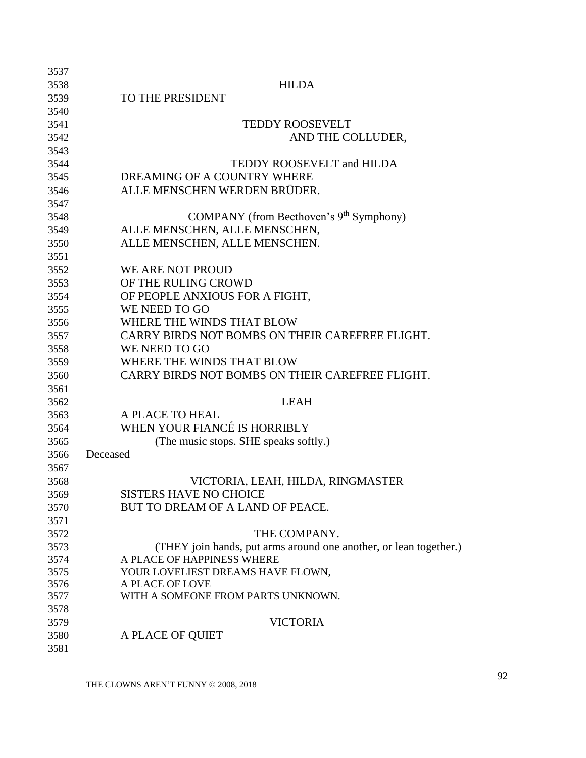| 3538<br><b>HILDA</b><br>TO THE PRESIDENT<br>3539<br>3540<br><b>TEDDY ROOSEVELT</b><br>3541<br>3542<br>AND THE COLLUDER,<br>3543<br>TEDDY ROOSEVELT and HILDA<br>3544<br>DREAMING OF A COUNTRY WHERE<br>3545<br>ALLE MENSCHEN WERDEN BRÜDER.<br>3546 |  |
|-----------------------------------------------------------------------------------------------------------------------------------------------------------------------------------------------------------------------------------------------------|--|
|                                                                                                                                                                                                                                                     |  |
|                                                                                                                                                                                                                                                     |  |
|                                                                                                                                                                                                                                                     |  |
|                                                                                                                                                                                                                                                     |  |
|                                                                                                                                                                                                                                                     |  |
|                                                                                                                                                                                                                                                     |  |
|                                                                                                                                                                                                                                                     |  |
|                                                                                                                                                                                                                                                     |  |
|                                                                                                                                                                                                                                                     |  |
| 3547                                                                                                                                                                                                                                                |  |
| COMPANY (from Beethoven's 9 <sup>th</sup> Symphony)<br>3548                                                                                                                                                                                         |  |
| ALLE MENSCHEN, ALLE MENSCHEN,<br>3549                                                                                                                                                                                                               |  |
| ALLE MENSCHEN, ALLE MENSCHEN.<br>3550                                                                                                                                                                                                               |  |
| 3551                                                                                                                                                                                                                                                |  |
| WE ARE NOT PROUD<br>3552                                                                                                                                                                                                                            |  |
| OF THE RULING CROWD<br>3553                                                                                                                                                                                                                         |  |
| OF PEOPLE ANXIOUS FOR A FIGHT,<br>3554                                                                                                                                                                                                              |  |
| WE NEED TO GO<br>3555                                                                                                                                                                                                                               |  |
| WHERE THE WINDS THAT BLOW<br>3556                                                                                                                                                                                                                   |  |
| CARRY BIRDS NOT BOMBS ON THEIR CAREFREE FLIGHT.<br>3557                                                                                                                                                                                             |  |
| WE NEED TO GO<br>3558                                                                                                                                                                                                                               |  |
| WHERE THE WINDS THAT BLOW<br>3559                                                                                                                                                                                                                   |  |
| CARRY BIRDS NOT BOMBS ON THEIR CAREFREE FLIGHT.<br>3560                                                                                                                                                                                             |  |
| 3561                                                                                                                                                                                                                                                |  |
| 3562<br><b>LEAH</b>                                                                                                                                                                                                                                 |  |
| A PLACE TO HEAL<br>3563                                                                                                                                                                                                                             |  |
| WHEN YOUR FIANCÉ IS HORRIBLY<br>3564                                                                                                                                                                                                                |  |
| (The music stops. SHE speaks softly.)<br>3565                                                                                                                                                                                                       |  |
| Deceased<br>3566                                                                                                                                                                                                                                    |  |
| 3567                                                                                                                                                                                                                                                |  |
| VICTORIA, LEAH, HILDA, RINGMASTER<br>3568                                                                                                                                                                                                           |  |
| <b>SISTERS HAVE NO CHOICE</b><br>3569                                                                                                                                                                                                               |  |
| BUT TO DREAM OF A LAND OF PEACE.<br>3570                                                                                                                                                                                                            |  |
| 3571                                                                                                                                                                                                                                                |  |
| THE COMPANY.<br>3572                                                                                                                                                                                                                                |  |
| (THEY join hands, put arms around one another, or lean together.)<br>3573                                                                                                                                                                           |  |
| A PLACE OF HAPPINESS WHERE<br>3574                                                                                                                                                                                                                  |  |
| 3575<br>YOUR LOVELIEST DREAMS HAVE FLOWN,                                                                                                                                                                                                           |  |
| 3576<br>A PLACE OF LOVE                                                                                                                                                                                                                             |  |
| 3577<br>WITH A SOMEONE FROM PARTS UNKNOWN.                                                                                                                                                                                                          |  |
| 3578                                                                                                                                                                                                                                                |  |
| <b>VICTORIA</b><br>3579                                                                                                                                                                                                                             |  |
| A PLACE OF QUIET<br>3580                                                                                                                                                                                                                            |  |
| 3581                                                                                                                                                                                                                                                |  |